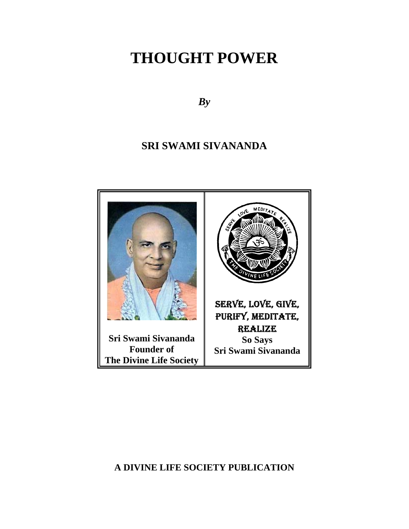*By*

## **SRI SWAMI SIVANANDA**



**A DIVINE LIFE SOCIETY PUBLICATION**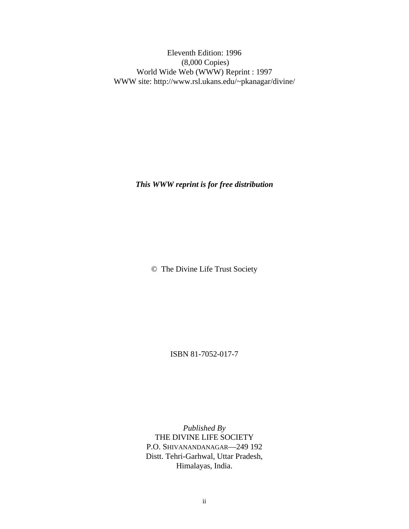Eleventh Edition: 1996 (8,000 Copies) World Wide Web (WWW) Reprint : 1997 WWW site: http://www.rsl.ukans.edu/~pkanagar/divine/

*This WWW reprint is for free distribution*

© The Divine Life Trust Society

ISBN 81-7052-017-7

*Published By* THE DIVINE LIFE SOCIETY P.O. SHIVANANDANAGAR—249 192 Distt. Tehri-Garhwal, Uttar Pradesh, Himalayas, India.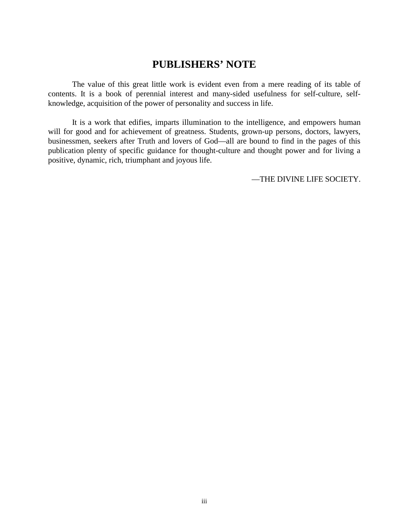## **PUBLISHERS' NOTE**

The value of this great little work is evident even from a mere reading of its table of contents. It is a book of perennial interest and many-sided usefulness for self-culture, selfknowledge, acquisition of the power of personality and success in life.

It is a work that edifies, imparts illumination to the intelligence, and empowers human will for good and for achievement of greatness. Students, grown-up persons, doctors, lawyers, businessmen, seekers after Truth and lovers of God—all are bound to find in the pages of this publication plenty of specific guidance for thought-culture and thought power and for living a positive, dynamic, rich, triumphant and joyous life.

—THE DIVINE LIFE SOCIETY.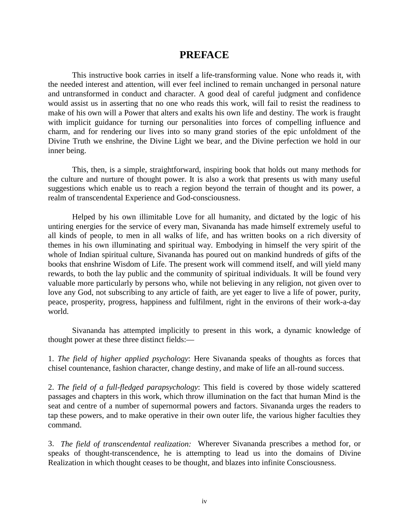### **PREFACE**

This instructive book carries in itself a life-transforming value. None who reads it, with the needed interest and attention, will ever feel inclined to remain unchanged in personal nature and untransformed in conduct and character. A good deal of careful judgment and confidence would assist us in asserting that no one who reads this work, will fail to resist the readiness to make of his own will a Power that alters and exalts his own life and destiny. The work is fraught with implicit guidance for turning our personalities into forces of compelling influence and charm, and for rendering our lives into so many grand stories of the epic unfoldment of the Divine Truth we enshrine, the Divine Light we bear, and the Divine perfection we hold in our inner being.

This, then, is a simple, straightforward, inspiring book that holds out many methods for the culture and nurture of thought power. It is also a work that presents us with many useful suggestions which enable us to reach a region beyond the terrain of thought and its power, a realm of transcendental Experience and God-consciousness.

Helped by his own illimitable Love for all humanity, and dictated by the logic of his untiring energies for the service of every man, Sivananda has made himself extremely useful to all kinds of people, to men in all walks of life, and has written books on a rich diversity of themes in his own illuminating and spiritual way. Embodying in himself the very spirit of the whole of Indian spiritual culture, Sivananda has poured out on mankind hundreds of gifts of the books that enshrine Wisdom of Life. The present work will commend itself, and will yield many rewards, to both the lay public and the community of spiritual individuals. It will be found very valuable more particularly by persons who, while not believing in any religion, not given over to love any God, not subscribing to any article of faith, are yet eager to live a life of power, purity, peace, prosperity, progress, happiness and fulfilment, right in the environs of their work-a-day world.

Sivananda has attempted implicitly to present in this work, a dynamic knowledge of thought power at these three distinct fields:—

1. *The field of higher applied psychology*: Here Sivananda speaks of thoughts as forces that chisel countenance, fashion character, change destiny, and make of life an all-round success.

2. *The field of a full-fledged parapsychology*: This field is covered by those widely scattered passages and chapters in this work, which throw illumination on the fact that human Mind is the seat and centre of a number of supernormal powers and factors. Sivananda urges the readers to tap these powers, and to make operative in their own outer life, the various higher faculties they command.

3. *The field of transcendental realization:* Wherever Sivananda prescribes a method for, or speaks of thought-transcendence, he is attempting to lead us into the domains of Divine Realization in which thought ceases to be thought, and blazes into infinite Consciousness.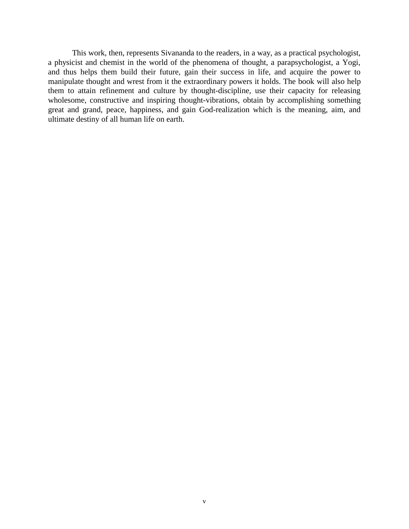This work, then, represents Sivananda to the readers, in a way, as a practical psychologist, a physicist and chemist in the world of the phenomena of thought, a parapsychologist, a Yogi, and thus helps them build their future, gain their success in life, and acquire the power to manipulate thought and wrest from it the extraordinary powers it holds. The book will also help them to attain refinement and culture by thought-discipline, use their capacity for releasing wholesome, constructive and inspiring thought-vibrations, obtain by accomplishing something great and grand, peace, happiness, and gain God-realization which is the meaning, aim, and ultimate destiny of all human life on earth.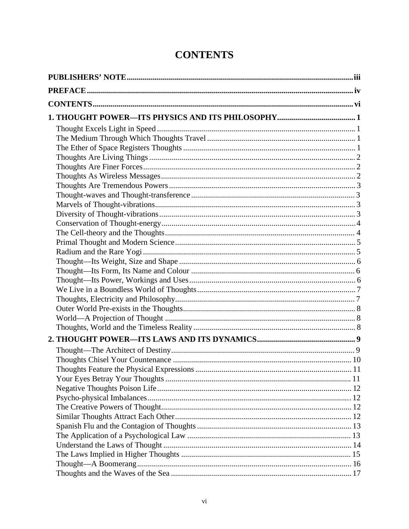| <b>CONTENTS</b> |
|-----------------|
|-----------------|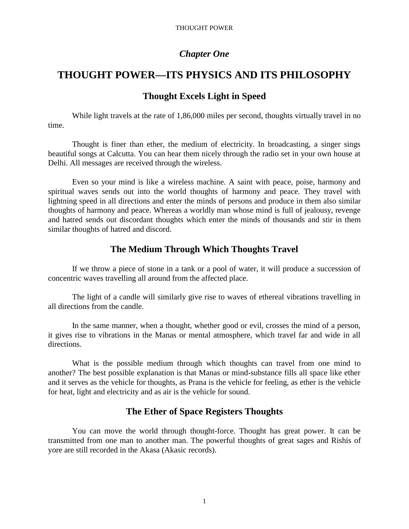### *Chapter One*

## **THOUGHT POWER—ITS PHYSICS AND ITS PHILOSOPHY**

### **Thought Excels Light in Speed**

While light travels at the rate of 1,86,000 miles per second, thoughts virtually travel in no time.

Thought is finer than ether, the medium of electricity. In broadcasting, a singer sings beautiful songs at Calcutta. You can hear them nicely through the radio set in your own house at Delhi. All messages are received through the wireless.

Even so your mind is like a wireless machine. A saint with peace, poise, harmony and spiritual waves sends out into the world thoughts of harmony and peace. They travel with lightning speed in all directions and enter the minds of persons and produce in them also similar thoughts of harmony and peace. Whereas a worldly man whose mind is full of jealousy, revenge and hatred sends out discordant thoughts which enter the minds of thousands and stir in them similar thoughts of hatred and discord.

### **The Medium Through Which Thoughts Travel**

If we throw a piece of stone in a tank or a pool of water, it will produce a succession of concentric waves travelling all around from the affected place.

The light of a candle will similarly give rise to waves of ethereal vibrations travelling in all directions from the candle.

In the same manner, when a thought, whether good or evil, crosses the mind of a person, it gives rise to vibrations in the Manas or mental atmosphere, which travel far and wide in all directions.

What is the possible medium through which thoughts can travel from one mind to another? The best possible explanation is that Manas or mind-substance fills all space like ether and it serves as the vehicle for thoughts, as Prana is the vehicle for feeling, as ether is the vehicle for heat, light and electricity and as air is the vehicle for sound.

### **The Ether of Space Registers Thoughts**

You can move the world through thought-force. Thought has great power. It can be transmitted from one man to another man. The powerful thoughts of great sages and Rishis of yore are still recorded in the Akasa (Akasic records).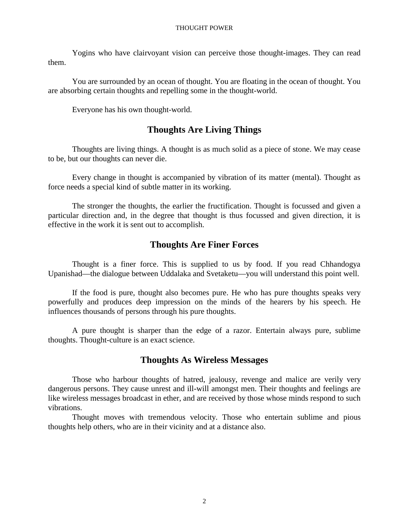Yogins who have clairvoyant vision can perceive those thought-images. They can read them.

You are surrounded by an ocean of thought. You are floating in the ocean of thought. You are absorbing certain thoughts and repelling some in the thought-world.

Everyone has his own thought-world.

### **Thoughts Are Living Things**

Thoughts are living things. A thought is as much solid as a piece of stone. We may cease to be, but our thoughts can never die.

Every change in thought is accompanied by vibration of its matter (mental). Thought as force needs a special kind of subtle matter in its working.

The stronger the thoughts, the earlier the fructification. Thought is focussed and given a particular direction and, in the degree that thought is thus focussed and given direction, it is effective in the work it is sent out to accomplish.

### **Thoughts Are Finer Forces**

Thought is a finer force. This is supplied to us by food. If you read Chhandogya Upanishad—the dialogue between Uddalaka and Svetaketu—you will understand this point well.

If the food is pure, thought also becomes pure. He who has pure thoughts speaks very powerfully and produces deep impression on the minds of the hearers by his speech. He influences thousands of persons through his pure thoughts.

A pure thought is sharper than the edge of a razor. Entertain always pure, sublime thoughts. Thought-culture is an exact science.

### **Thoughts As Wireless Messages**

Those who harbour thoughts of hatred, jealousy, revenge and malice are verily very dangerous persons. They cause unrest and ill-will amongst men. Their thoughts and feelings are like wireless messages broadcast in ether, and are received by those whose minds respond to such vibrations.

Thought moves with tremendous velocity. Those who entertain sublime and pious thoughts help others, who are in their vicinity and at a distance also.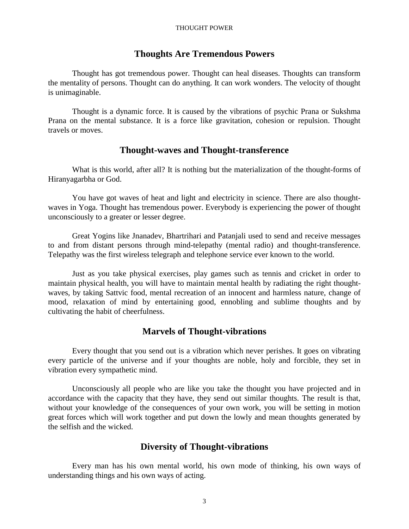#### **Thoughts Are Tremendous Powers**

Thought has got tremendous power. Thought can heal diseases. Thoughts can transform the mentality of persons. Thought can do anything. It can work wonders. The velocity of thought is unimaginable.

Thought is a dynamic force. It is caused by the vibrations of psychic Prana or Sukshma Prana on the mental substance. It is a force like gravitation, cohesion or repulsion. Thought travels or moves.

### **Thought-waves and Thought-transference**

What is this world, after all? It is nothing but the materialization of the thought-forms of Hiranyagarbha or God.

You have got waves of heat and light and electricity in science. There are also thoughtwaves in Yoga. Thought has tremendous power. Everybody is experiencing the power of thought unconsciously to a greater or lesser degree.

Great Yogins like Jnanadev, Bhartrihari and Patanjali used to send and receive messages to and from distant persons through mind-telepathy (mental radio) and thought-transference. Telepathy was the first wireless telegraph and telephone service ever known to the world.

Just as you take physical exercises, play games such as tennis and cricket in order to maintain physical health, you will have to maintain mental health by radiating the right thoughtwaves, by taking Sattvic food, mental recreation of an innocent and harmless nature, change of mood, relaxation of mind by entertaining good, ennobling and sublime thoughts and by cultivating the habit of cheerfulness.

### **Marvels of Thought-vibrations**

Every thought that you send out is a vibration which never perishes. It goes on vibrating every particle of the universe and if your thoughts are noble, holy and forcible, they set in vibration every sympathetic mind.

Unconsciously all people who are like you take the thought you have projected and in accordance with the capacity that they have, they send out similar thoughts. The result is that, without your knowledge of the consequences of your own work, you will be setting in motion great forces which will work together and put down the lowly and mean thoughts generated by the selfish and the wicked.

### **Diversity of Thought-vibrations**

Every man has his own mental world, his own mode of thinking, his own ways of understanding things and his own ways of acting.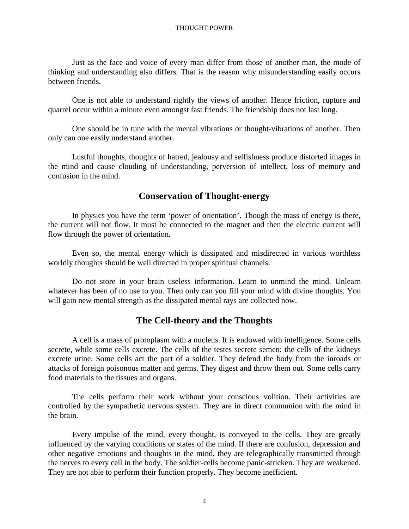Just as the face and voice of every man differ from those of another man, the mode of thinking and understanding also differs. That is the reason why misunderstanding easily occurs between friends.

One is not able to understand rightly the views of another. Hence friction, rupture and quarrel occur within a minute even amongst fast friends. The friendship does not last long.

One should be in tune with the mental vibrations or thought-vibrations of another. Then only can one easily understand another.

Lustful thoughts, thoughts of hatred, jealousy and selfishness produce distorted images in the mind and cause clouding of understanding, perversion of intellect, loss of memory and confusion in the mind.

### **Conservation of Thought-energy**

In physics you have the term 'power of orientation'. Though the mass of energy is there, the current will not flow. It must be connected to the magnet and then the electric current will flow through the power of orientation.

Even so, the mental energy which is dissipated and misdirected in various worthless worldly thoughts should be well directed in proper spiritual channels.

Do not store in your brain useless information. Learn to unmind the mind. Unlearn whatever has been of no use to you. Then only can you fill your mind with divine thoughts. You will gain new mental strength as the dissipated mental rays are collected now.

### **The Cell-theory and the Thoughts**

A cell is a mass of protoplasm with a nucleus. It is endowed with intelligence. Some cells secrete, while some cells excrete. The cells of the testes secrete semen; the cells of the kidneys excrete urine. Some cells act the part of a soldier. They defend the body from the inroads or attacks of foreign poisonous matter and germs. They digest and throw them out. Some cells carry food materials to the tissues and organs.

The cells perform their work without your conscious volition. Their activities are controlled by the sympathetic nervous system. They are in direct communion with the mind in the brain.

Every impulse of the mind, every thought, is conveyed to the cells. They are greatly influenced by the varying conditions or states of the mind. If there are confusion, depression and other negative emotions and thoughts in the mind, they are telegraphically transmitted through the nerves to every cell in the body. The soldier-cells become panic-stricken. They are weakened. They are not able to perform their function properly. They become inefficient.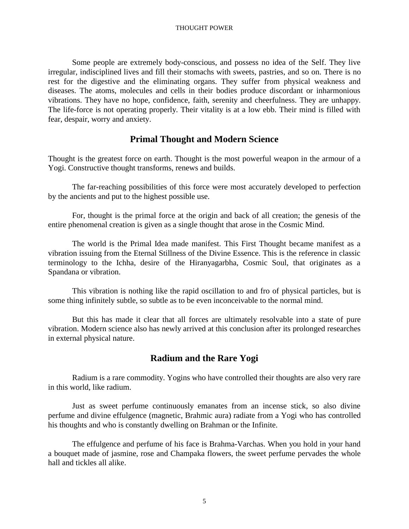Some people are extremely body-conscious, and possess no idea of the Self. They live irregular, indisciplined lives and fill their stomachs with sweets, pastries, and so on. There is no rest for the digestive and the eliminating organs. They suffer from physical weakness and diseases. The atoms, molecules and cells in their bodies produce discordant or inharmonious vibrations. They have no hope, confidence, faith, serenity and cheerfulness. They are unhappy. The life-force is not operating properly. Their vitality is at a low ebb. Their mind is filled with fear, despair, worry and anxiety.

### **Primal Thought and Modern Science**

Thought is the greatest force on earth. Thought is the most powerful weapon in the armour of a Yogi. Constructive thought transforms, renews and builds.

The far-reaching possibilities of this force were most accurately developed to perfection by the ancients and put to the highest possible use.

For, thought is the primal force at the origin and back of all creation; the genesis of the entire phenomenal creation is given as a single thought that arose in the Cosmic Mind.

The world is the Primal Idea made manifest. This First Thought became manifest as a vibration issuing from the Eternal Stillness of the Divine Essence. This is the reference in classic terminology to the Ichha, desire of the Hiranyagarbha, Cosmic Soul, that originates as a Spandana or vibration.

This vibration is nothing like the rapid oscillation to and fro of physical particles, but is some thing infinitely subtle, so subtle as to be even inconceivable to the normal mind.

But this has made it clear that all forces are ultimately resolvable into a state of pure vibration. Modern science also has newly arrived at this conclusion after its prolonged researches in external physical nature.

### **Radium and the Rare Yogi**

Radium is a rare commodity. Yogins who have controlled their thoughts are also very rare in this world, like radium.

Just as sweet perfume continuously emanates from an incense stick, so also divine perfume and divine effulgence (magnetic, Brahmic aura) radiate from a Yogi who has controlled his thoughts and who is constantly dwelling on Brahman or the Infinite.

The effulgence and perfume of his face is Brahma-Varchas. When you hold in your hand a bouquet made of jasmine, rose and Champaka flowers, the sweet perfume pervades the whole hall and tickles all alike.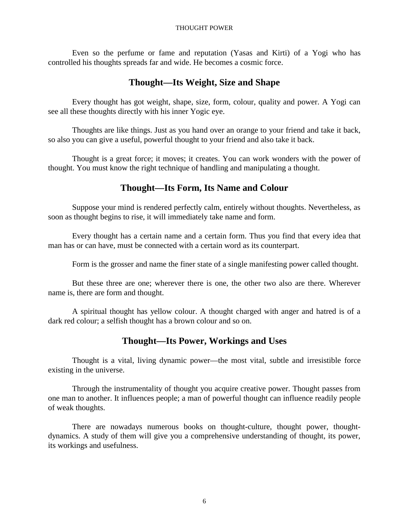Even so the perfume or fame and reputation (Yasas and Kirti) of a Yogi who has controlled his thoughts spreads far and wide. He becomes a cosmic force.

### **Thought—Its Weight, Size and Shape**

Every thought has got weight, shape, size, form, colour, quality and power. A Yogi can see all these thoughts directly with his inner Yogic eye.

Thoughts are like things. Just as you hand over an orange to your friend and take it back, so also you can give a useful, powerful thought to your friend and also take it back.

Thought is a great force; it moves; it creates. You can work wonders with the power of thought. You must know the right technique of handling and manipulating a thought.

### **Thought—Its Form, Its Name and Colour**

Suppose your mind is rendered perfectly calm, entirely without thoughts. Nevertheless, as soon as thought begins to rise, it will immediately take name and form.

Every thought has a certain name and a certain form. Thus you find that every idea that man has or can have, must be connected with a certain word as its counterpart.

Form is the grosser and name the finer state of a single manifesting power called thought.

But these three are one; wherever there is one, the other two also are there. Wherever name is, there are form and thought.

A spiritual thought has yellow colour. A thought charged with anger and hatred is of a dark red colour; a selfish thought has a brown colour and so on.

### **Thought—Its Power, Workings and Uses**

Thought is a vital, living dynamic power—the most vital, subtle and irresistible force existing in the universe.

Through the instrumentality of thought you acquire creative power. Thought passes from one man to another. It influences people; a man of powerful thought can influence readily people of weak thoughts.

There are nowadays numerous books on thought-culture, thought power, thoughtdynamics. A study of them will give you a comprehensive understanding of thought, its power, its workings and usefulness.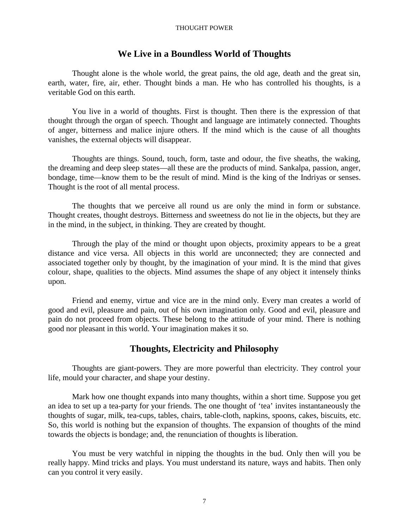### **We Live in a Boundless World of Thoughts**

Thought alone is the whole world, the great pains, the old age, death and the great sin, earth, water, fire, air, ether. Thought binds a man. He who has controlled his thoughts, is a veritable God on this earth.

You live in a world of thoughts. First is thought. Then there is the expression of that thought through the organ of speech. Thought and language are intimately connected. Thoughts of anger, bitterness and malice injure others. If the mind which is the cause of all thoughts vanishes, the external objects will disappear.

Thoughts are things. Sound, touch, form, taste and odour, the five sheaths, the waking, the dreaming and deep sleep states—all these are the products of mind. Sankalpa, passion, anger, bondage, time—know them to be the result of mind. Mind is the king of the Indriyas or senses. Thought is the root of all mental process.

The thoughts that we perceive all round us are only the mind in form or substance. Thought creates, thought destroys. Bitterness and sweetness do not lie in the objects, but they are in the mind, in the subject, in thinking. They are created by thought.

Through the play of the mind or thought upon objects, proximity appears to be a great distance and vice versa. All objects in this world are unconnected; they are connected and associated together only by thought, by the imagination of your mind. It is the mind that gives colour, shape, qualities to the objects. Mind assumes the shape of any object it intensely thinks upon.

Friend and enemy, virtue and vice are in the mind only. Every man creates a world of good and evil, pleasure and pain, out of his own imagination only. Good and evil, pleasure and pain do not proceed from objects. These belong to the attitude of your mind. There is nothing good nor pleasant in this world. Your imagination makes it so.

### **Thoughts, Electricity and Philosophy**

Thoughts are giant-powers. They are more powerful than electricity. They control your life, mould your character, and shape your destiny.

Mark how one thought expands into many thoughts, within a short time. Suppose you get an idea to set up a tea-party for your friends. The one thought of 'tea' invites instantaneously the thoughts of sugar, milk, tea-cups, tables, chairs, table-cloth, napkins, spoons, cakes, biscuits, etc. So, this world is nothing but the expansion of thoughts. The expansion of thoughts of the mind towards the objects is bondage; and, the renunciation of thoughts is liberation.

You must be very watchful in nipping the thoughts in the bud. Only then will you be really happy. Mind tricks and plays. You must understand its nature, ways and habits. Then only can you control it very easily.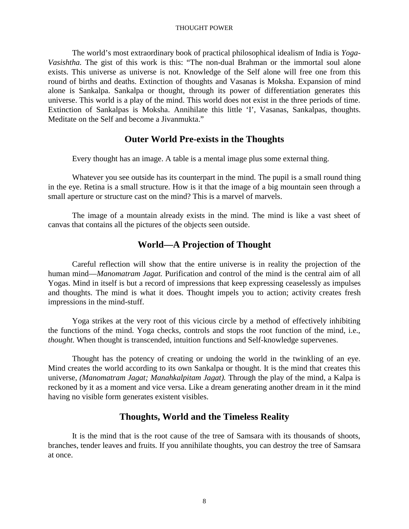The world's most extraordinary book of practical philosophical idealism of India is *Yoga-Vasishtha.* The gist of this work is this: "The non-dual Brahman or the immortal soul alone exists. This universe as universe is not. Knowledge of the Self alone will free one from this round of births and deaths. Extinction of thoughts and Vasanas is Moksha. Expansion of mind alone is Sankalpa. Sankalpa or thought, through its power of differentiation generates this universe. This world is a play of the mind. This world does not exist in the three periods of time. Extinction of Sankalpas is Moksha. Annihilate this little 'I', Vasanas, Sankalpas, thoughts. Meditate on the Self and become a Jivanmukta."

### **Outer World Pre-exists in the Thoughts**

Every thought has an image. A table is a mental image plus some external thing.

Whatever you see outside has its counterpart in the mind. The pupil is a small round thing in the eye. Retina is a small structure. How is it that the image of a big mountain seen through a small aperture or structure cast on the mind? This is a marvel of marvels.

The image of a mountain already exists in the mind. The mind is like a vast sheet of canvas that contains all the pictures of the objects seen outside.

### **World—A Projection of Thought**

Careful reflection will show that the entire universe is in reality the projection of the human mind—*Manomatram Jagat.* Purification and control of the mind is the central aim of all Yogas. Mind in itself is but a record of impressions that keep expressing ceaselessly as impulses and thoughts. The mind is what it does. Thought impels you to action; activity creates fresh impressions in the mind-stuff.

Yoga strikes at the very root of this vicious circle by a method of effectively inhibiting the functions of the mind. Yoga checks, controls and stops the root function of the mind, i.e., *thought.* When thought is transcended, intuition functions and Self-knowledge supervenes.

Thought has the potency of creating or undoing the world in the twinkling of an eye. Mind creates the world according to its own Sankalpa or thought. It is the mind that creates this universe, *(Manomatram Jagat; Manahkalpitam Jagat).* Through the play of the mind, a Kalpa is reckoned by it as a moment and vice versa. Like a dream generating another dream in it the mind having no visible form generates existent visibles.

### **Thoughts, World and the Timeless Reality**

It is the mind that is the root cause of the tree of Samsara with its thousands of shoots, branches, tender leaves and fruits. If you annihilate thoughts, you can destroy the tree of Samsara at once.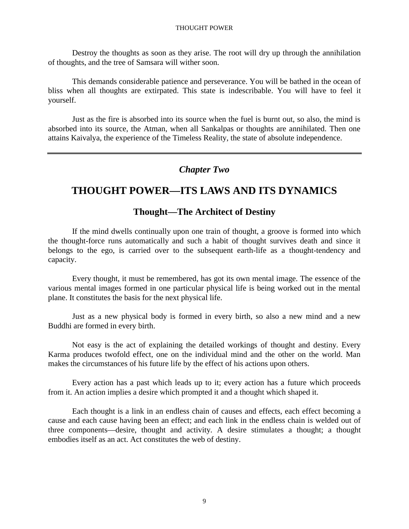Destroy the thoughts as soon as they arise. The root will dry up through the annihilation of thoughts, and the tree of Samsara will wither soon.

This demands considerable patience and perseverance. You will be bathed in the ocean of bliss when all thoughts are extirpated. This state is indescribable. You will have to feel it yourself.

Just as the fire is absorbed into its source when the fuel is burnt out, so also, the mind is absorbed into its source, the Atman, when all Sankalpas or thoughts are annihilated. Then one attains Kaivalya, the experience of the Timeless Reality, the state of absolute independence.

### *Chapter Two*

## **THOUGHT POWER—ITS LAWS AND ITS DYNAMICS**

### **Thought—The Architect of Destiny**

If the mind dwells continually upon one train of thought, a groove is formed into which the thought-force runs automatically and such a habit of thought survives death and since it belongs to the ego, is carried over to the subsequent earth-life as a thought-tendency and capacity.

Every thought, it must be remembered, has got its own mental image. The essence of the various mental images formed in one particular physical life is being worked out in the mental plane. It constitutes the basis for the next physical life.

Just as a new physical body is formed in every birth, so also a new mind and a new Buddhi are formed in every birth.

Not easy is the act of explaining the detailed workings of thought and destiny. Every Karma produces twofold effect, one on the individual mind and the other on the world. Man makes the circumstances of his future life by the effect of his actions upon others.

Every action has a past which leads up to it; every action has a future which proceeds from it. An action implies a desire which prompted it and a thought which shaped it.

Each thought is a link in an endless chain of causes and effects, each effect becoming a cause and each cause having been an effect; and each link in the endless chain is welded out of three components—desire, thought and activity. A desire stimulates a thought; a thought embodies itself as an act. Act constitutes the web of destiny.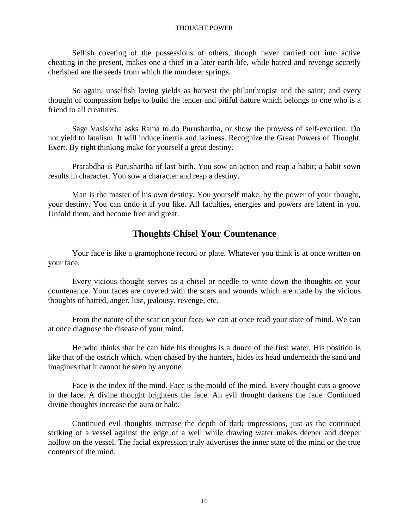Selfish coveting of the possessions of others, though never carried out into active cheating in the present, makes one a thief in a later earth-life, while hatred and revenge secretly cherished are the seeds from which the murderer springs.

So again, unselfish loving yields as harvest the philanthropist and the saint; and every thought of compassion helps to build the tender and pitiful nature which belongs to one who is a friend to all creatures.

Sage Vasishtha asks Rama to do Purushartha, or show the prowess of self-exertion. Do not yield to fatalism. It will induce inertia and laziness. Recognize the Great Powers of Thought. Exert. By right thinking make for yourself a great destiny.

Prarabdha is Purushartha of last birth. You sow an action and reap a habit; a habit sown results in character. You sow a character and reap a destiny.

Man is the master of his own destiny. You yourself make, by the power of your thought, your destiny. You can undo it if you like. All faculties, energies and powers are latent in you. Unfold them, and become free and great.

### **Thoughts Chisel Your Countenance**

Your face is like a gramophone record or plate. Whatever you think is at once written on your face.

Every vicious thought serves as a chisel or needle to write down the thoughts on your countenance. Your faces are covered with the scars and wounds which are made by the vicious thoughts of hatred, anger, lust, jealousy, revenge, etc.

From the nature of the scar on your face, we can at once read your state of mind. We can at once diagnose the disease of your mind.

He who thinks that he can hide his thoughts is a dunce of the first water. His position is like that of the ostrich which, when chased by the hunters, hides its head underneath the sand and imagines that it cannot be seen by anyone.

Face is the index of the mind. Face is the mould of the mind. Every thought cuts a groove in the face. A divine thought brightens the face. An evil thought darkens the face. Continued divine thoughts increase the aura or halo.

Continued evil thoughts increase the depth of dark impressions, just as the continued striking of a vessel against the edge of a well while drawing water makes deeper and deeper hollow on the vessel. The facial expression truly advertises the inner state of the mind or the true contents of the mind.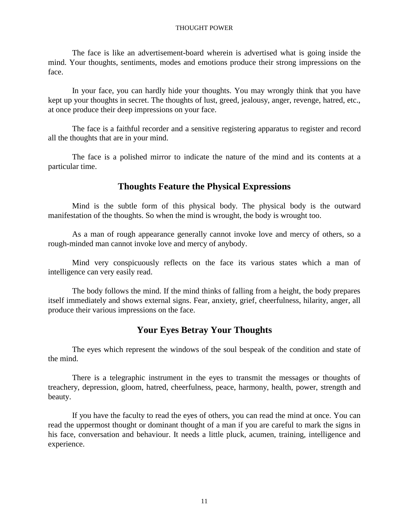The face is like an advertisement-board wherein is advertised what is going inside the mind. Your thoughts, sentiments, modes and emotions produce their strong impressions on the face.

In your face, you can hardly hide your thoughts. You may wrongly think that you have kept up your thoughts in secret. The thoughts of lust, greed, jealousy, anger, revenge, hatred, etc., at once produce their deep impressions on your face.

The face is a faithful recorder and a sensitive registering apparatus to register and record all the thoughts that are in your mind.

The face is a polished mirror to indicate the nature of the mind and its contents at a particular time.

### **Thoughts Feature the Physical Expressions**

Mind is the subtle form of this physical body. The physical body is the outward manifestation of the thoughts. So when the mind is wrought, the body is wrought too.

As a man of rough appearance generally cannot invoke love and mercy of others, so a rough-minded man cannot invoke love and mercy of anybody.

Mind very conspicuously reflects on the face its various states which a man of intelligence can very easily read.

The body follows the mind. If the mind thinks of falling from a height, the body prepares itself immediately and shows external signs. Fear, anxiety, grief, cheerfulness, hilarity, anger, all produce their various impressions on the face.

### **Your Eyes Betray Your Thoughts**

The eyes which represent the windows of the soul bespeak of the condition and state of the mind.

There is a telegraphic instrument in the eyes to transmit the messages or thoughts of treachery, depression, gloom, hatred, cheerfulness, peace, harmony, health, power, strength and beauty.

If you have the faculty to read the eyes of others, you can read the mind at once. You can read the uppermost thought or dominant thought of a man if you are careful to mark the signs in his face, conversation and behaviour. It needs a little pluck, acumen, training, intelligence and experience.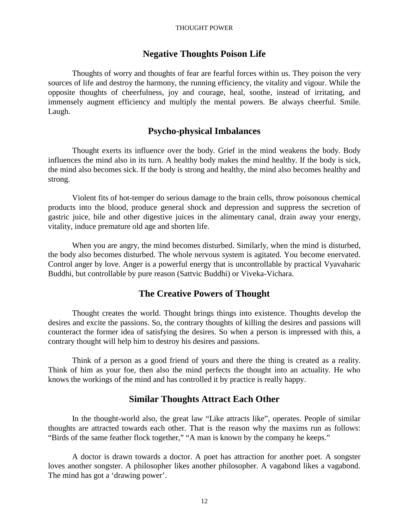### **Negative Thoughts Poison Life**

Thoughts of worry and thoughts of fear are fearful forces within us. They poison the very sources of life and destroy the harmony, the running efficiency, the vitality and vigour. While the opposite thoughts of cheerfulness, joy and courage, heal, soothe, instead of irritating, and immensely augment efficiency and multiply the mental powers. Be always cheerful. Smile. Laugh.

### **Psycho-physical Imbalances**

Thought exerts its influence over the body. Grief in the mind weakens the body. Body influences the mind also in its turn. A healthy body makes the mind healthy. If the body is sick, the mind also becomes sick. If the body is strong and healthy, the mind also becomes healthy and strong.

Violent fits of hot-temper do serious damage to the brain cells, throw poisonous chemical products into the blood, produce general shock and depression and suppress the secretion of gastric juice, bile and other digestive juices in the alimentary canal, drain away your energy, vitality, induce premature old age and shorten life.

When you are angry, the mind becomes disturbed. Similarly, when the mind is disturbed, the body also becomes disturbed. The whole nervous system is agitated. You become enervated. Control anger by love. Anger is a powerful energy that is uncontrollable by practical Vyavaharic Buddhi, but controllable by pure reason (Sattvic Buddhi) or Viveka-Vichara.

### **The Creative Powers of Thought**

Thought creates the world. Thought brings things into existence. Thoughts develop the desires and excite the passions. So, the contrary thoughts of killing the desires and passions will counteract the former idea of satisfying the desires. So when a person is impressed with this, a contrary thought will help him to destroy his desires and passions.

Think of a person as a good friend of yours and there the thing is created as a reality. Think of him as your foe, then also the mind perfects the thought into an actuality. He who knows the workings of the mind and has controlled it by practice is really happy.

### **Similar Thoughts Attract Each Other**

In the thought-world also, the great law "Like attracts like", operates. People of similar thoughts are attracted towards each other. That is the reason why the maxims run as follows: "Birds of the same feather flock together," "A man is known by the company he keeps."

A doctor is drawn towards a doctor. A poet has attraction for another poet. A songster loves another songster. A philosopher likes another philosopher. A vagabond likes a vagabond. The mind has got a 'drawing power'.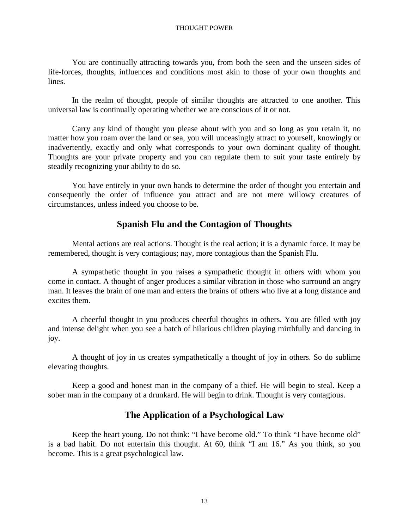You are continually attracting towards you, from both the seen and the unseen sides of life-forces, thoughts, influences and conditions most akin to those of your own thoughts and lines.

In the realm of thought, people of similar thoughts are attracted to one another. This universal law is continually operating whether we are conscious of it or not.

Carry any kind of thought you please about with you and so long as you retain it, no matter how you roam over the land or sea, you will unceasingly attract to yourself, knowingly or inadvertently, exactly and only what corresponds to your own dominant quality of thought. Thoughts are your private property and you can regulate them to suit your taste entirely by steadily recognizing your ability to do so.

You have entirely in your own hands to determine the order of thought you entertain and consequently the order of influence you attract and are not mere willowy creatures of circumstances, unless indeed you choose to be.

### **Spanish Flu and the Contagion of Thoughts**

Mental actions are real actions. Thought is the real action; it is a dynamic force. It may be remembered, thought is very contagious; nay, more contagious than the Spanish Flu.

A sympathetic thought in you raises a sympathetic thought in others with whom you come in contact. A thought of anger produces a similar vibration in those who surround an angry man. It leaves the brain of one man and enters the brains of others who live at a long distance and excites them.

A cheerful thought in you produces cheerful thoughts in others. You are filled with joy and intense delight when you see a batch of hilarious children playing mirthfully and dancing in joy.

A thought of joy in us creates sympathetically a thought of joy in others. So do sublime elevating thoughts.

Keep a good and honest man in the company of a thief. He will begin to steal. Keep a sober man in the company of a drunkard. He will begin to drink. Thought is very contagious.

### **The Application of a Psychological Law**

Keep the heart young. Do not think: "I have become old." To think "I have become old" is a bad habit. Do not entertain this thought. At 60, think "I am 16." As you think, so you become. This is a great psychological law.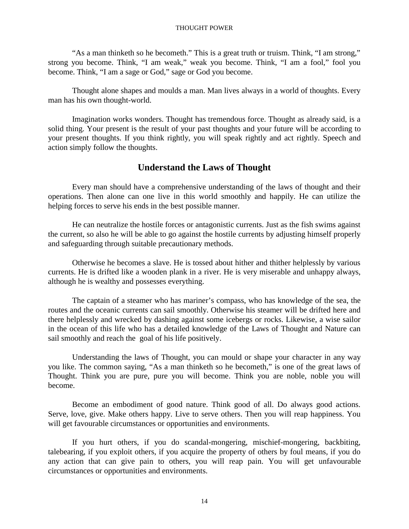"As a man thinketh so he becometh." This is a great truth or truism. Think, "I am strong," strong you become. Think, "I am weak," weak you become. Think, "I am a fool," fool you become. Think, "I am a sage or God," sage or God you become.

Thought alone shapes and moulds a man. Man lives always in a world of thoughts. Every man has his own thought-world.

Imagination works wonders. Thought has tremendous force. Thought as already said, is a solid thing. Your present is the result of your past thoughts and your future will be according to your present thoughts. If you think rightly, you will speak rightly and act rightly. Speech and action simply follow the thoughts.

### **Understand the Laws of Thought**

Every man should have a comprehensive understanding of the laws of thought and their operations. Then alone can one live in this world smoothly and happily. He can utilize the helping forces to serve his ends in the best possible manner.

He can neutralize the hostile forces or antagonistic currents. Just as the fish swims against the current, so also he will be able to go against the hostile currents by adjusting himself properly and safeguarding through suitable precautionary methods.

Otherwise he becomes a slave. He is tossed about hither and thither helplessly by various currents. He is drifted like a wooden plank in a river. He is very miserable and unhappy always, although he is wealthy and possesses everything.

The captain of a steamer who has mariner's compass, who has knowledge of the sea, the routes and the oceanic currents can sail smoothly. Otherwise his steamer will be drifted here and there helplessly and wrecked by dashing against some icebergs or rocks. Likewise, a wise sailor in the ocean of this life who has a detailed knowledge of the Laws of Thought and Nature can sail smoothly and reach the goal of his life positively.

Understanding the laws of Thought, you can mould or shape your character in any way you like. The common saying, "As a man thinketh so he becometh," is one of the great laws of Thought. Think you are pure, pure you will become. Think you are noble, noble you will become.

Become an embodiment of good nature. Think good of all. Do always good actions. Serve, love, give. Make others happy. Live to serve others. Then you will reap happiness. You will get favourable circumstances or opportunities and environments.

If you hurt others, if you do scandal-mongering, mischief-mongering, backbiting, talebearing, if you exploit others, if you acquire the property of others by foul means, if you do any action that can give pain to others, you will reap pain. You will get unfavourable circumstances or opportunities and environments.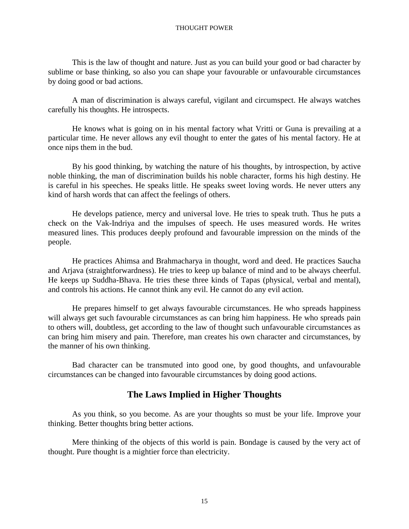This is the law of thought and nature. Just as you can build your good or bad character by sublime or base thinking, so also you can shape your favourable or unfavourable circumstances by doing good or bad actions.

A man of discrimination is always careful, vigilant and circumspect. He always watches carefully his thoughts. He introspects.

He knows what is going on in his mental factory what Vritti or Guna is prevailing at a particular time. He never allows any evil thought to enter the gates of his mental factory. He at once nips them in the bud.

By his good thinking, by watching the nature of his thoughts, by introspection, by active noble thinking, the man of discrimination builds his noble character, forms his high destiny. He is careful in his speeches. He speaks little. He speaks sweet loving words. He never utters any kind of harsh words that can affect the feelings of others.

He develops patience, mercy and universal love. He tries to speak truth. Thus he puts a check on the Vak-Indriya and the impulses of speech. He uses measured words. He writes measured lines. This produces deeply profound and favourable impression on the minds of the people.

He practices Ahimsa and Brahmacharya in thought, word and deed. He practices Saucha and Arjava (straightforwardness). He tries to keep up balance of mind and to be always cheerful. He keeps up Suddha-Bhava. He tries these three kinds of Tapas (physical, verbal and mental), and controls his actions. He cannot think any evil. He cannot do any evil action.

He prepares himself to get always favourable circumstances. He who spreads happiness will always get such favourable circumstances as can bring him happiness. He who spreads pain to others will, doubtless, get according to the law of thought such unfavourable circumstances as can bring him misery and pain. Therefore, man creates his own character and circumstances, by the manner of his own thinking.

Bad character can be transmuted into good one, by good thoughts, and unfavourable circumstances can be changed into favourable circumstances by doing good actions.

### **The Laws Implied in Higher Thoughts**

As you think, so you become. As are your thoughts so must be your life. Improve your thinking. Better thoughts bring better actions.

Mere thinking of the objects of this world is pain. Bondage is caused by the very act of thought. Pure thought is a mightier force than electricity.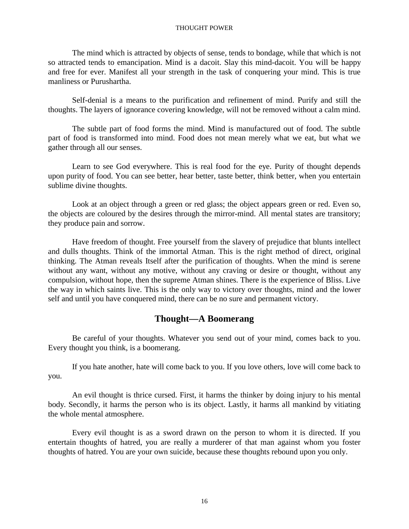The mind which is attracted by objects of sense, tends to bondage, while that which is not so attracted tends to emancipation. Mind is a dacoit. Slay this mind-dacoit. You will be happy and free for ever. Manifest all your strength in the task of conquering your mind. This is true manliness or Purushartha.

Self-denial is a means to the purification and refinement of mind. Purify and still the thoughts. The layers of ignorance covering knowledge, will not be removed without a calm mind.

The subtle part of food forms the mind. Mind is manufactured out of food. The subtle part of food is transformed into mind. Food does not mean merely what we eat, but what we gather through all our senses.

Learn to see God everywhere. This is real food for the eye. Purity of thought depends upon purity of food. You can see better, hear better, taste better, think better, when you entertain sublime divine thoughts.

Look at an object through a green or red glass; the object appears green or red. Even so, the objects are coloured by the desires through the mirror-mind. All mental states are transitory; they produce pain and sorrow.

Have freedom of thought. Free yourself from the slavery of prejudice that blunts intellect and dulls thoughts. Think of the immortal Atman. This is the right method of direct, original thinking. The Atman reveals Itself after the purification of thoughts. When the mind is serene without any want, without any motive, without any craving or desire or thought, without any compulsion, without hope, then the supreme Atman shines. There is the experience of Bliss. Live the way in which saints live. This is the only way to victory over thoughts, mind and the lower self and until you have conquered mind, there can be no sure and permanent victory.

### **Thought—A Boomerang**

Be careful of your thoughts. Whatever you send out of your mind, comes back to you. Every thought you think, is a boomerang.

If you hate another, hate will come back to you. If you love others, love will come back to you.

An evil thought is thrice cursed. First, it harms the thinker by doing injury to his mental body. Secondly, it harms the person who is its object. Lastly, it harms all mankind by vitiating the whole mental atmosphere.

Every evil thought is as a sword drawn on the person to whom it is directed. If you entertain thoughts of hatred, you are really a murderer of that man against whom you foster thoughts of hatred. You are your own suicide, because these thoughts rebound upon you only.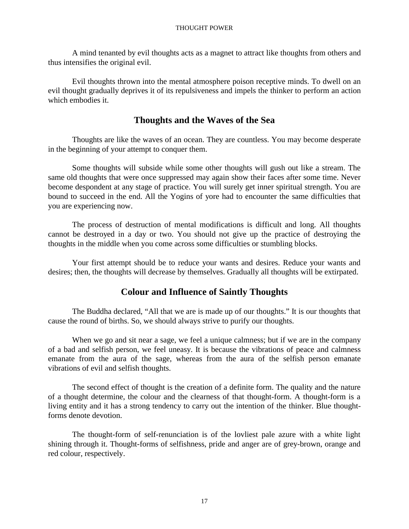A mind tenanted by evil thoughts acts as a magnet to attract like thoughts from others and thus intensifies the original evil.

Evil thoughts thrown into the mental atmosphere poison receptive minds. To dwell on an evil thought gradually deprives it of its repulsiveness and impels the thinker to perform an action which embodies it.

### **Thoughts and the Waves of the Sea**

Thoughts are like the waves of an ocean. They are countless. You may become desperate in the beginning of your attempt to conquer them.

Some thoughts will subside while some other thoughts will gush out like a stream. The same old thoughts that were once suppressed may again show their faces after some time. Never become despondent at any stage of practice. You will surely get inner spiritual strength. You are bound to succeed in the end. All the Yogins of yore had to encounter the same difficulties that you are experiencing now.

The process of destruction of mental modifications is difficult and long. All thoughts cannot be destroyed in a day or two. You should not give up the practice of destroying the thoughts in the middle when you come across some difficulties or stumbling blocks.

Your first attempt should be to reduce your wants and desires. Reduce your wants and desires; then, the thoughts will decrease by themselves. Gradually all thoughts will be extirpated.

### **Colour and Influence of Saintly Thoughts**

The Buddha declared, "All that we are is made up of our thoughts." It is our thoughts that cause the round of births. So, we should always strive to purify our thoughts.

When we go and sit near a sage, we feel a unique calmness; but if we are in the company of a bad and selfish person, we feel uneasy. It is because the vibrations of peace and calmness emanate from the aura of the sage, whereas from the aura of the selfish person emanate vibrations of evil and selfish thoughts.

The second effect of thought is the creation of a definite form. The quality and the nature of a thought determine, the colour and the clearness of that thought-form. A thought-form is a living entity and it has a strong tendency to carry out the intention of the thinker. Blue thoughtforms denote devotion.

The thought-form of self-renunciation is of the lovliest pale azure with a white light shining through it. Thought-forms of selfishness, pride and anger are of grey-brown, orange and red colour, respectively.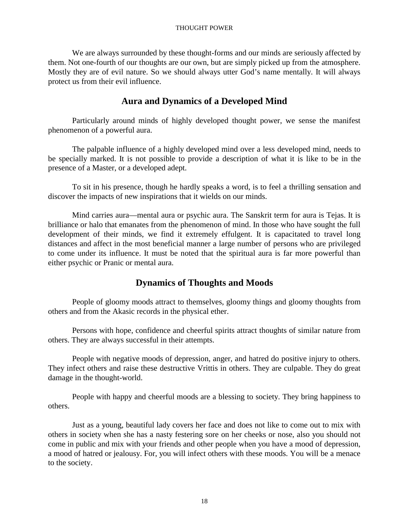We are always surrounded by these thought-forms and our minds are seriously affected by them. Not one-fourth of our thoughts are our own, but are simply picked up from the atmosphere. Mostly they are of evil nature. So we should always utter God's name mentally. It will always protect us from their evil influence.

### **Aura and Dynamics of a Developed Mind**

Particularly around minds of highly developed thought power, we sense the manifest phenomenon of a powerful aura.

The palpable influence of a highly developed mind over a less developed mind, needs to be specially marked. It is not possible to provide a description of what it is like to be in the presence of a Master, or a developed adept.

To sit in his presence, though he hardly speaks a word, is to feel a thrilling sensation and discover the impacts of new inspirations that it wields on our minds.

Mind carries aura—mental aura or psychic aura. The Sanskrit term for aura is Tejas. It is brilliance or halo that emanates from the phenomenon of mind. In those who have sought the full development of their minds, we find it extremely effulgent. It is capacitated to travel long distances and affect in the most beneficial manner a large number of persons who are privileged to come under its influence. It must be noted that the spiritual aura is far more powerful than either psychic or Pranic or mental aura.

### **Dynamics of Thoughts and Moods**

People of gloomy moods attract to themselves, gloomy things and gloomy thoughts from others and from the Akasic records in the physical ether.

Persons with hope, confidence and cheerful spirits attract thoughts of similar nature from others. They are always successful in their attempts.

People with negative moods of depression, anger, and hatred do positive injury to others. They infect others and raise these destructive Vrittis in others. They are culpable. They do great damage in the thought-world.

People with happy and cheerful moods are a blessing to society. They bring happiness to others.

Just as a young, beautiful lady covers her face and does not like to come out to mix with others in society when she has a nasty festering sore on her cheeks or nose, also you should not come in public and mix with your friends and other people when you have a mood of depression, a mood of hatred or jealousy. For, you will infect others with these moods. You will be a menace to the society.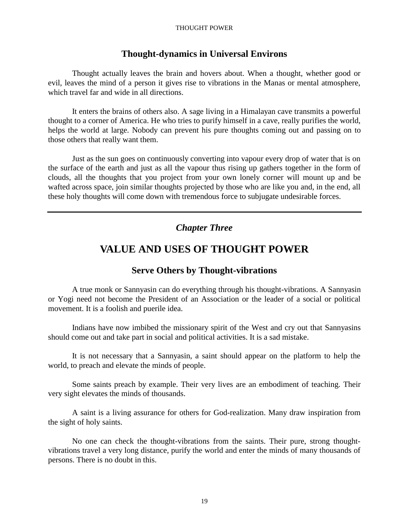### **Thought-dynamics in Universal Environs**

Thought actually leaves the brain and hovers about. When a thought, whether good or evil, leaves the mind of a person it gives rise to vibrations in the Manas or mental atmosphere, which travel far and wide in all directions.

It enters the brains of others also. A sage living in a Himalayan cave transmits a powerful thought to a corner of America. He who tries to purify himself in a cave, really purifies the world, helps the world at large. Nobody can prevent his pure thoughts coming out and passing on to those others that really want them.

Just as the sun goes on continuously converting into vapour every drop of water that is on the surface of the earth and just as all the vapour thus rising up gathers together in the form of clouds, all the thoughts that you project from your own lonely corner will mount up and be wafted across space, join similar thoughts projected by those who are like you and, in the end, all these holy thoughts will come down with tremendous force to subjugate undesirable forces.

### *Chapter Three*

### **VALUE AND USES OF THOUGHT POWER**

### **Serve Others by Thought-vibrations**

A true monk or Sannyasin can do everything through his thought-vibrations. A Sannyasin or Yogi need not become the President of an Association or the leader of a social or political movement. It is a foolish and puerile idea.

Indians have now imbibed the missionary spirit of the West and cry out that Sannyasins should come out and take part in social and political activities. It is a sad mistake.

It is not necessary that a Sannyasin, a saint should appear on the platform to help the world, to preach and elevate the minds of people.

Some saints preach by example. Their very lives are an embodiment of teaching. Their very sight elevates the minds of thousands.

A saint is a living assurance for others for God-realization. Many draw inspiration from the sight of holy saints.

No one can check the thought-vibrations from the saints. Their pure, strong thoughtvibrations travel a very long distance, purify the world and enter the minds of many thousands of persons. There is no doubt in this.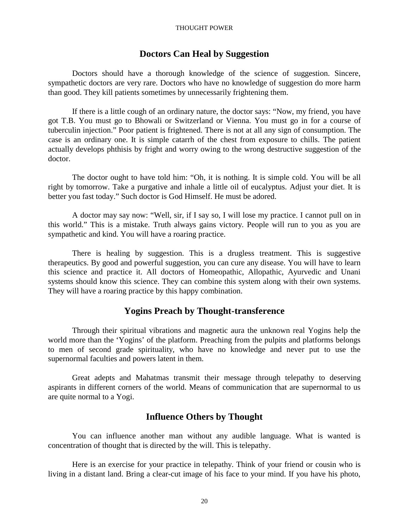### **Doctors Can Heal by Suggestion**

Doctors should have a thorough knowledge of the science of suggestion. Sincere, sympathetic doctors are very rare. Doctors who have no knowledge of suggestion do more harm than good. They kill patients sometimes by unnecessarily frightening them.

If there is a little cough of an ordinary nature, the doctor says: "Now, my friend, you have got T.B. You must go to Bhowali or Switzerland or Vienna. You must go in for a course of tuberculin injection." Poor patient is frightened. There is not at all any sign of consumption. The case is an ordinary one. It is simple catarrh of the chest from exposure to chills. The patient actually develops phthisis by fright and worry owing to the wrong destructive suggestion of the doctor.

The doctor ought to have told him: "Oh, it is nothing. It is simple cold. You will be all right by tomorrow. Take a purgative and inhale a little oil of eucalyptus. Adjust your diet. It is better you fast today." Such doctor is God Himself. He must be adored.

A doctor may say now: "Well, sir, if I say so, I will lose my practice. I cannot pull on in this world." This is a mistake. Truth always gains victory. People will run to you as you are sympathetic and kind. You will have a roaring practice.

There is healing by suggestion. This is a drugless treatment. This is suggestive therapeutics. By good and powerful suggestion, you can cure any disease. You will have to learn this science and practice it. All doctors of Homeopathic, Allopathic, Ayurvedic and Unani systems should know this science. They can combine this system along with their own systems. They will have a roaring practice by this happy combination.

### **Yogins Preach by Thought-transference**

Through their spiritual vibrations and magnetic aura the unknown real Yogins help the world more than the 'Yogins' of the platform. Preaching from the pulpits and platforms belongs to men of second grade spirituality, who have no knowledge and never put to use the supernormal faculties and powers latent in them.

Great adepts and Mahatmas transmit their message through telepathy to deserving aspirants in different corners of the world. Means of communication that are supernormal to us are quite normal to a Yogi.

### **Influence Others by Thought**

You can influence another man without any audible language. What is wanted is concentration of thought that is directed by the will. This is telepathy.

Here is an exercise for your practice in telepathy. Think of your friend or cousin who is living in a distant land. Bring a clear-cut image of his face to your mind. If you have his photo,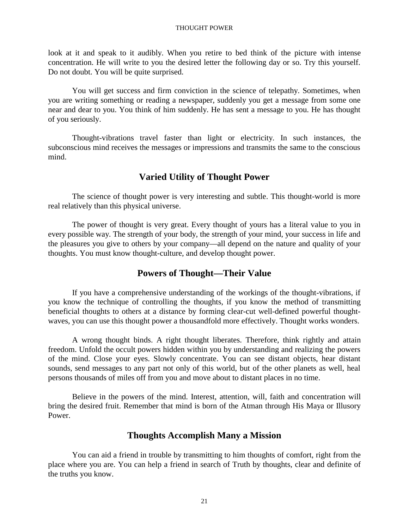look at it and speak to it audibly. When you retire to bed think of the picture with intense concentration. He will write to you the desired letter the following day or so. Try this yourself. Do not doubt. You will be quite surprised.

You will get success and firm conviction in the science of telepathy. Sometimes, when you are writing something or reading a newspaper, suddenly you get a message from some one near and dear to you. You think of him suddenly. He has sent a message to you. He has thought of you seriously.

Thought-vibrations travel faster than light or electricity. In such instances, the subconscious mind receives the messages or impressions and transmits the same to the conscious mind.

### **Varied Utility of Thought Power**

The science of thought power is very interesting and subtle. This thought-world is more real relatively than this physical universe.

The power of thought is very great. Every thought of yours has a literal value to you in every possible way. The strength of your body, the strength of your mind, your success in life and the pleasures you give to others by your company—all depend on the nature and quality of your thoughts. You must know thought-culture, and develop thought power.

### **Powers of Thought—Their Value**

If you have a comprehensive understanding of the workings of the thought-vibrations, if you know the technique of controlling the thoughts, if you know the method of transmitting beneficial thoughts to others at a distance by forming clear-cut well-defined powerful thoughtwaves, you can use this thought power a thousandfold more effectively. Thought works wonders.

A wrong thought binds. A right thought liberates. Therefore, think rightly and attain freedom. Unfold the occult powers hidden within you by understanding and realizing the powers of the mind. Close your eyes. Slowly concentrate. You can see distant objects, hear distant sounds, send messages to any part not only of this world, but of the other planets as well, heal persons thousands of miles off from you and move about to distant places in no time.

Believe in the powers of the mind. Interest, attention, will, faith and concentration will bring the desired fruit. Remember that mind is born of the Atman through His Maya or Illusory Power.

### **Thoughts Accomplish Many a Mission**

You can aid a friend in trouble by transmitting to him thoughts of comfort, right from the place where you are. You can help a friend in search of Truth by thoughts, clear and definite of the truths you know.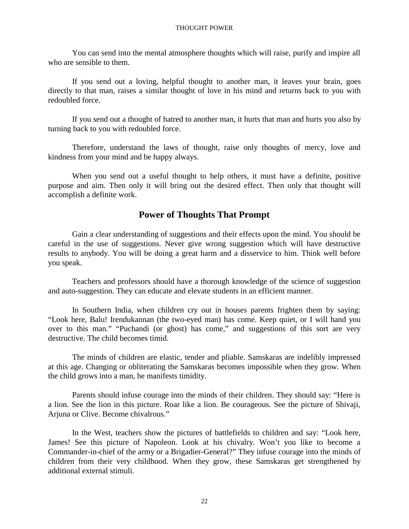You can send into the mental atmosphere thoughts which will raise, purify and inspire all who are sensible to them.

If you send out a loving, helpful thought to another man, it leaves your brain, goes directly to that man, raises a similar thought of love in his mind and returns back to you with redoubled force.

If you send out a thought of hatred to another man, it hurts that man and hurts you also by turning back to you with redoubled force.

Therefore, understand the laws of thought, raise only thoughts of mercy, love and kindness from your mind and be happy always.

When you send out a useful thought to help others, it must have a definite, positive purpose and aim. Then only it will bring out the desired effect. Then only that thought will accomplish a definite work.

### **Power of Thoughts That Prompt**

Gain a clear understanding of suggestions and their effects upon the mind. You should be careful in the use of suggestions. Never give wrong suggestion which will have destructive results to anybody. You will be doing a great harm and a disservice to him. Think well before you speak.

Teachers and professors should have a thorough knowledge of the science of suggestion and auto-suggestion. They can educate and elevate students in an efficient manner.

In Southern India, when children cry out in houses parents frighten them by saying: "Look here, Balu! Irendukannan (the two-eyed man) has come. Keep quiet, or I will hand you over to this man." "Puchandi (or ghost) has come," and suggestions of this sort are very destructive. The child becomes timid.

The minds of children are elastic, tender and pliable. Samskaras are indelibly impressed at this age. Changing or obliterating the Samskaras becomes impossible when they grow. When the child grows into a man, he manifests timidity.

Parents should infuse courage into the minds of their children. They should say: "Here is a lion. See the lion in this picture. Roar like a lion. Be courageous. See the picture of Shivaji, Arjuna or Clive. Become chivalrous."

In the West, teachers show the pictures of battlefields to children and say: "Look here, James! See this picture of Napoleon. Look at his chivalry. Won't you like to become a Commander-in-chief of the army or a Brigadier-General?" They infuse courage into the minds of children from their very childhood. When they grow, these Samskaras get strengthened by additional external stimuli.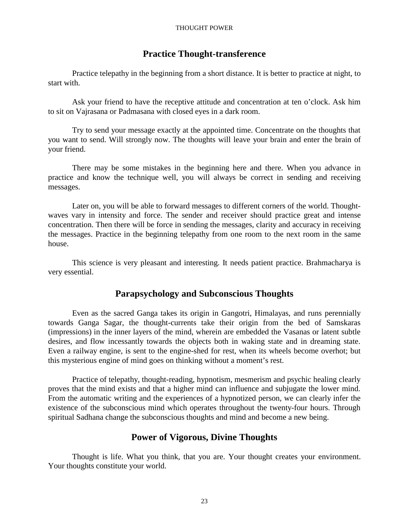### **Practice Thought-transference**

Practice telepathy in the beginning from a short distance. It is better to practice at night, to start with.

Ask your friend to have the receptive attitude and concentration at ten o'clock. Ask him to sit on Vajrasana or Padmasana with closed eyes in a dark room.

Try to send your message exactly at the appointed time. Concentrate on the thoughts that you want to send. Will strongly now. The thoughts will leave your brain and enter the brain of your friend.

There may be some mistakes in the beginning here and there. When you advance in practice and know the technique well, you will always be correct in sending and receiving messages.

Later on, you will be able to forward messages to different corners of the world. Thoughtwaves vary in intensity and force. The sender and receiver should practice great and intense concentration. Then there will be force in sending the messages, clarity and accuracy in receiving the messages. Practice in the beginning telepathy from one room to the next room in the same house.

This science is very pleasant and interesting. It needs patient practice. Brahmacharya is very essential.

### **Parapsychology and Subconscious Thoughts**

Even as the sacred Ganga takes its origin in Gangotri, Himalayas, and runs perennially towards Ganga Sagar, the thought-currents take their origin from the bed of Samskaras (impressions) in the inner layers of the mind, wherein are embedded the Vasanas or latent subtle desires, and flow incessantly towards the objects both in waking state and in dreaming state. Even a railway engine, is sent to the engine-shed for rest, when its wheels become overhot; but this mysterious engine of mind goes on thinking without a moment's rest.

Practice of telepathy, thought-reading, hypnotism, mesmerism and psychic healing clearly proves that the mind exists and that a higher mind can influence and subjugate the lower mind. From the automatic writing and the experiences of a hypnotized person, we can clearly infer the existence of the subconscious mind which operates throughout the twenty-four hours. Through spiritual Sadhana change the subconscious thoughts and mind and become a new being.

### **Power of Vigorous, Divine Thoughts**

Thought is life. What you think, that you are. Your thought creates your environment. Your thoughts constitute your world.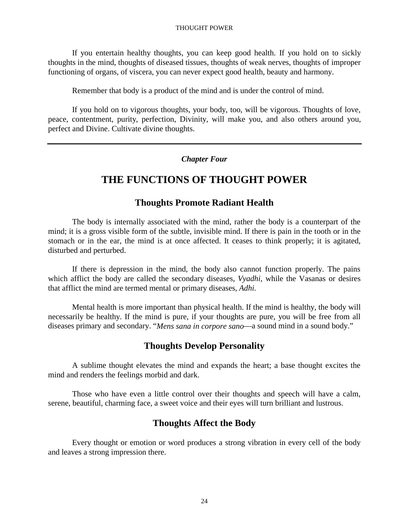If you entertain healthy thoughts, you can keep good health. If you hold on to sickly thoughts in the mind, thoughts of diseased tissues, thoughts of weak nerves, thoughts of improper functioning of organs, of viscera, you can never expect good health, beauty and harmony.

Remember that body is a product of the mind and is under the control of mind.

If you hold on to vigorous thoughts, your body, too, will be vigorous. Thoughts of love, peace, contentment, purity, perfection, Divinity, will make you, and also others around you, perfect and Divine. Cultivate divine thoughts.

### *Chapter Four*

## **THE FUNCTIONS OF THOUGHT POWER**

### **Thoughts Promote Radiant Health**

The body is internally associated with the mind, rather the body is a counterpart of the mind; it is a gross visible form of the subtle, invisible mind. If there is pain in the tooth or in the stomach or in the ear, the mind is at once affected. It ceases to think properly; it is agitated, disturbed and perturbed.

If there is depression in the mind, the body also cannot function properly. The pains which afflict the body are called the secondary diseases, *Vyadhi,* while the Vasanas or desires that afflict the mind are termed mental or primary diseases, *Adhi.*

Mental health is more important than physical health. If the mind is healthy, the body will necessarily be healthy. If the mind is pure, if your thoughts are pure, you will be free from all diseases primary and secondary. "*Mens sana in corpore sano*—a sound mind in a sound body."

### **Thoughts Develop Personality**

A sublime thought elevates the mind and expands the heart; a base thought excites the mind and renders the feelings morbid and dark.

Those who have even a little control over their thoughts and speech will have a calm, serene, beautiful, charming face, a sweet voice and their eyes will turn brilliant and lustrous.

### **Thoughts Affect the Body**

Every thought or emotion or word produces a strong vibration in every cell of the body and leaves a strong impression there.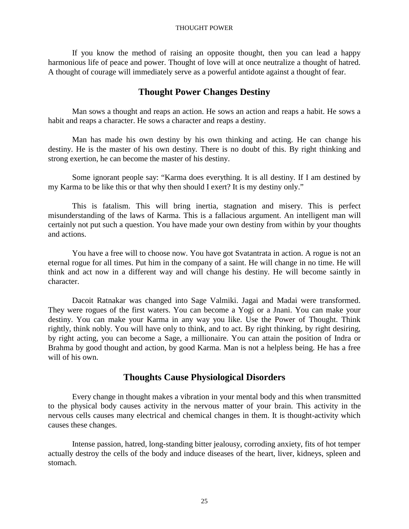If you know the method of raising an opposite thought, then you can lead a happy harmonious life of peace and power. Thought of love will at once neutralize a thought of hatred. A thought of courage will immediately serve as a powerful antidote against a thought of fear.

### **Thought Power Changes Destiny**

Man sows a thought and reaps an action. He sows an action and reaps a habit. He sows a habit and reaps a character. He sows a character and reaps a destiny.

Man has made his own destiny by his own thinking and acting. He can change his destiny. He is the master of his own destiny. There is no doubt of this. By right thinking and strong exertion, he can become the master of his destiny.

Some ignorant people say: "Karma does everything. It is all destiny. If I am destined by my Karma to be like this or that why then should I exert? It is my destiny only."

This is fatalism. This will bring inertia, stagnation and misery. This is perfect misunderstanding of the laws of Karma. This is a fallacious argument. An intelligent man will certainly not put such a question. You have made your own destiny from within by your thoughts and actions.

You have a free will to choose now. You have got Svatantrata in action. A rogue is not an eternal rogue for all times. Put him in the company of a saint. He will change in no time. He will think and act now in a different way and will change his destiny. He will become saintly in character.

Dacoit Ratnakar was changed into Sage Valmiki. Jagai and Madai were transformed. They were rogues of the first waters. You can become a Yogi or a Jnani. You can make your destiny. You can make your Karma in any way you like. Use the Power of Thought. Think rightly, think nobly. You will have only to think, and to act. By right thinking, by right desiring, by right acting, you can become a Sage, a millionaire. You can attain the position of Indra or Brahma by good thought and action, by good Karma. Man is not a helpless being. He has a free will of his own.

### **Thoughts Cause Physiological Disorders**

Every change in thought makes a vibration in your mental body and this when transmitted to the physical body causes activity in the nervous matter of your brain. This activity in the nervous cells causes many electrical and chemical changes in them. It is thought-activity which causes these changes.

Intense passion, hatred, long-standing bitter jealousy, corroding anxiety, fits of hot temper actually destroy the cells of the body and induce diseases of the heart, liver, kidneys, spleen and stomach.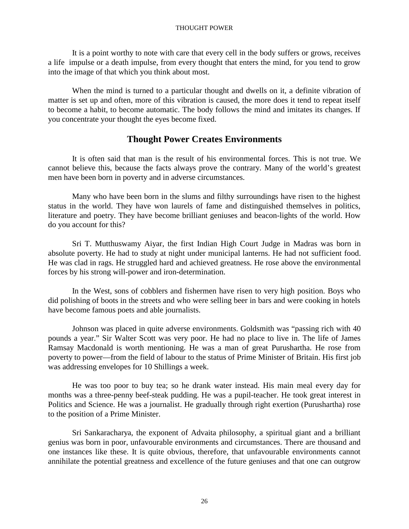It is a point worthy to note with care that every cell in the body suffers or grows, receives a life impulse or a death impulse, from every thought that enters the mind, for you tend to grow into the image of that which you think about most.

When the mind is turned to a particular thought and dwells on it, a definite vibration of matter is set up and often, more of this vibration is caused, the more does it tend to repeat itself to become a habit, to become automatic. The body follows the mind and imitates its changes. If you concentrate your thought the eyes become fixed.

### **Thought Power Creates Environments**

It is often said that man is the result of his environmental forces. This is not true. We cannot believe this, because the facts always prove the contrary. Many of the world's greatest men have been born in poverty and in adverse circumstances.

Many who have been born in the slums and filthy surroundings have risen to the highest status in the world. They have won laurels of fame and distinguished themselves in politics, literature and poetry. They have become brilliant geniuses and beacon-lights of the world. How do you account for this?

Sri T. Mutthuswamy Aiyar, the first Indian High Court Judge in Madras was born in absolute poverty. He had to study at night under municipal lanterns. He had not sufficient food. He was clad in rags. He struggled hard and achieved greatness. He rose above the environmental forces by his strong will-power and iron-determination.

In the West, sons of cobblers and fishermen have risen to very high position. Boys who did polishing of boots in the streets and who were selling beer in bars and were cooking in hotels have become famous poets and able journalists.

Johnson was placed in quite adverse environments. Goldsmith was "passing rich with 40 pounds a year." Sir Walter Scott was very poor. He had no place to live in. The life of James Ramsay Macdonald is worth mentioning. He was a man of great Purushartha. He rose from poverty to power—from the field of labour to the status of Prime Minister of Britain. His first job was addressing envelopes for 10 Shillings a week.

He was too poor to buy tea; so he drank water instead. His main meal every day for months was a three-penny beef-steak pudding. He was a pupil-teacher. He took great interest in Politics and Science. He was a journalist. He gradually through right exertion (Purushartha) rose to the position of a Prime Minister.

Sri Sankaracharya, the exponent of Advaita philosophy, a spiritual giant and a brilliant genius was born in poor, unfavourable environments and circumstances. There are thousand and one instances like these. It is quite obvious, therefore, that unfavourable environments cannot annihilate the potential greatness and excellence of the future geniuses and that one can outgrow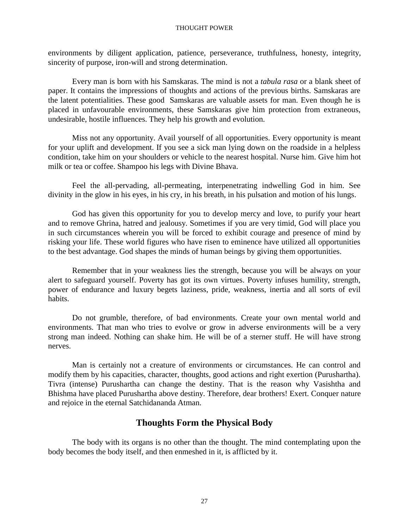environments by diligent application, patience, perseverance, truthfulness, honesty, integrity, sincerity of purpose, iron-will and strong determination.

Every man is born with his Samskaras. The mind is not a *tabula rasa* or a blank sheet of paper. It contains the impressions of thoughts and actions of the previous births. Samskaras are the latent potentialities. These good Samskaras are valuable assets for man. Even though he is placed in unfavourable environments, these Samskaras give him protection from extraneous, undesirable, hostile influences. They help his growth and evolution.

Miss not any opportunity. Avail yourself of all opportunities. Every opportunity is meant for your uplift and development. If you see a sick man lying down on the roadside in a helpless condition, take him on your shoulders or vehicle to the nearest hospital. Nurse him. Give him hot milk or tea or coffee. Shampoo his legs with Divine Bhava.

Feel the all-pervading, all-permeating, interpenetrating indwelling God in him. See divinity in the glow in his eyes, in his cry, in his breath, in his pulsation and motion of his lungs.

God has given this opportunity for you to develop mercy and love, to purify your heart and to remove Ghrina, hatred and jealousy. Sometimes if you are very timid, God will place you in such circumstances wherein you will be forced to exhibit courage and presence of mind by risking your life. These world figures who have risen to eminence have utilized all opportunities to the best advantage. God shapes the minds of human beings by giving them opportunities.

Remember that in your weakness lies the strength, because you will be always on your alert to safeguard yourself. Poverty has got its own virtues. Poverty infuses humility, strength, power of endurance and luxury begets laziness, pride, weakness, inertia and all sorts of evil habits.

Do not grumble, therefore, of bad environments. Create your own mental world and environments. That man who tries to evolve or grow in adverse environments will be a very strong man indeed. Nothing can shake him. He will be of a sterner stuff. He will have strong nerves.

Man is certainly not a creature of environments or circumstances. He can control and modify them by his capacities, character, thoughts, good actions and right exertion (Purushartha). Tivra (intense) Purushartha can change the destiny. That is the reason why Vasishtha and Bhishma have placed Purushartha above destiny. Therefore, dear brothers! Exert. Conquer nature and rejoice in the eternal Satchidananda Atman.

### **Thoughts Form the Physical Body**

The body with its organs is no other than the thought. The mind contemplating upon the body becomes the body itself, and then enmeshed in it, is afflicted by it.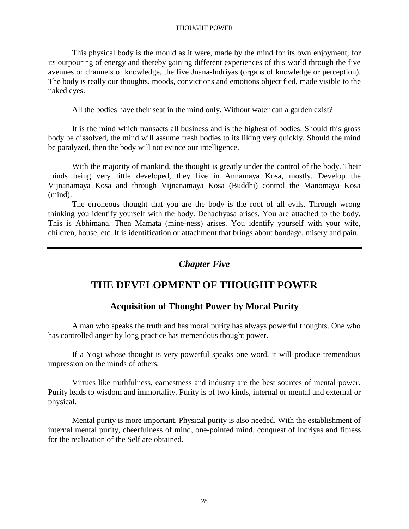This physical body is the mould as it were, made by the mind for its own enjoyment, for its outpouring of energy and thereby gaining different experiences of this world through the five avenues or channels of knowledge, the five Jnana-Indriyas (organs of knowledge or perception). The body is really our thoughts, moods, convictions and emotions objectified, made visible to the naked eyes.

All the bodies have their seat in the mind only. Without water can a garden exist?

It is the mind which transacts all business and is the highest of bodies. Should this gross body be dissolved, the mind will assume fresh bodies to its liking very quickly. Should the mind be paralyzed, then the body will not evince our intelligence.

With the majority of mankind, the thought is greatly under the control of the body. Their minds being very little developed, they live in Annamaya Kosa, mostly. Develop the Vijnanamaya Kosa and through Vijnanamaya Kosa (Buddhi) control the Manomaya Kosa (mind).

The erroneous thought that you are the body is the root of all evils. Through wrong thinking you identify yourself with the body. Dehadhyasa arises. You are attached to the body. This is Abhimana. Then Mamata (mine-ness) arises. You identify yourself with your wife, children, house, etc. It is identification or attachment that brings about bondage, misery and pain.

## *Chapter Five*

# **THE DEVELOPMENT OF THOUGHT POWER**

## **Acquisition of Thought Power by Moral Purity**

A man who speaks the truth and has moral purity has always powerful thoughts. One who has controlled anger by long practice has tremendous thought power.

If a Yogi whose thought is very powerful speaks one word, it will produce tremendous impression on the minds of others.

Virtues like truthfulness, earnestness and industry are the best sources of mental power. Purity leads to wisdom and immortality. Purity is of two kinds, internal or mental and external or physical.

Mental purity is more important. Physical purity is also needed. With the establishment of internal mental purity, cheerfulness of mind, one-pointed mind, conquest of Indriyas and fitness for the realization of the Self are obtained.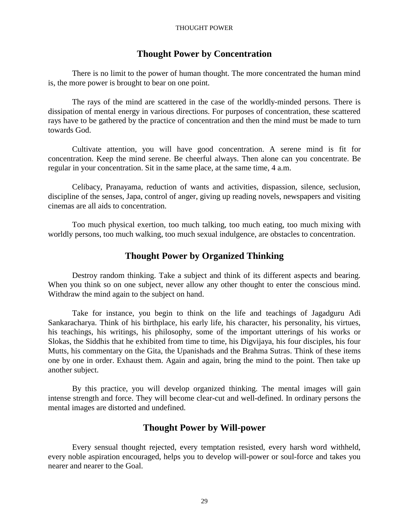### **Thought Power by Concentration**

There is no limit to the power of human thought. The more concentrated the human mind is, the more power is brought to bear on one point.

The rays of the mind are scattered in the case of the worldly-minded persons. There is dissipation of mental energy in various directions. For purposes of concentration, these scattered rays have to be gathered by the practice of concentration and then the mind must be made to turn towards God.

Cultivate attention, you will have good concentration. A serene mind is fit for concentration. Keep the mind serene. Be cheerful always. Then alone can you concentrate. Be regular in your concentration. Sit in the same place, at the same time, 4 a.m.

Celibacy, Pranayama, reduction of wants and activities, dispassion, silence, seclusion, discipline of the senses, Japa, control of anger, giving up reading novels, newspapers and visiting cinemas are all aids to concentration.

Too much physical exertion, too much talking, too much eating, too much mixing with worldly persons, too much walking, too much sexual indulgence, are obstacles to concentration.

### **Thought Power by Organized Thinking**

Destroy random thinking. Take a subject and think of its different aspects and bearing. When you think so on one subject, never allow any other thought to enter the conscious mind. Withdraw the mind again to the subject on hand.

Take for instance, you begin to think on the life and teachings of Jagadguru Adi Sankaracharya. Think of his birthplace, his early life, his character, his personality, his virtues, his teachings, his writings, his philosophy, some of the important utterings of his works or Slokas, the Siddhis that he exhibited from time to time, his Digvijaya, his four disciples, his four Mutts, his commentary on the Gita, the Upanishads and the Brahma Sutras. Think of these items one by one in order. Exhaust them. Again and again, bring the mind to the point. Then take up another subject.

By this practice, you will develop organized thinking. The mental images will gain intense strength and force. They will become clear-cut and well-defined. In ordinary persons the mental images are distorted and undefined.

### **Thought Power by Will-power**

Every sensual thought rejected, every temptation resisted, every harsh word withheld, every noble aspiration encouraged, helps you to develop will-power or soul-force and takes you nearer and nearer to the Goal.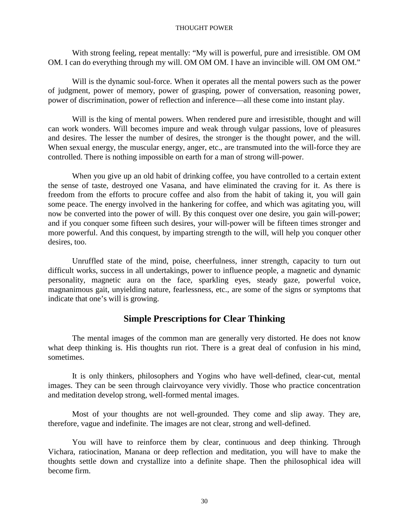With strong feeling, repeat mentally: "My will is powerful, pure and irresistible. OM OM OM. I can do everything through my will. OM OM OM. I have an invincible will. OM OM OM."

Will is the dynamic soul-force. When it operates all the mental powers such as the power of judgment, power of memory, power of grasping, power of conversation, reasoning power, power of discrimination, power of reflection and inference—all these come into instant play.

Will is the king of mental powers. When rendered pure and irresistible, thought and will can work wonders. Will becomes impure and weak through vulgar passions, love of pleasures and desires. The lesser the number of desires, the stronger is the thought power, and the will. When sexual energy, the muscular energy, anger, etc., are transmuted into the will-force they are controlled. There is nothing impossible on earth for a man of strong will-power.

When you give up an old habit of drinking coffee, you have controlled to a certain extent the sense of taste, destroyed one Vasana, and have eliminated the craving for it. As there is freedom from the efforts to procure coffee and also from the habit of taking it, you will gain some peace. The energy involved in the hankering for coffee, and which was agitating you, will now be converted into the power of will. By this conquest over one desire, you gain will-power; and if you conquer some fifteen such desires, your will-power will be fifteen times stronger and more powerful. And this conquest, by imparting strength to the will, will help you conquer other desires, too.

Unruffled state of the mind, poise, cheerfulness, inner strength, capacity to turn out difficult works, success in all undertakings, power to influence people, a magnetic and dynamic personality, magnetic aura on the face, sparkling eyes, steady gaze, powerful voice, magnanimous gait, unyielding nature, fearlessness, etc., are some of the signs or symptoms that indicate that one's will is growing.

### **Simple Prescriptions for Clear Thinking**

The mental images of the common man are generally very distorted. He does not know what deep thinking is. His thoughts run riot. There is a great deal of confusion in his mind, sometimes.

It is only thinkers, philosophers and Yogins who have well-defined, clear-cut, mental images. They can be seen through clairvoyance very vividly. Those who practice concentration and meditation develop strong, well-formed mental images.

Most of your thoughts are not well-grounded. They come and slip away. They are, therefore, vague and indefinite. The images are not clear, strong and well-defined.

You will have to reinforce them by clear, continuous and deep thinking. Through Vichara, ratiocination, Manana or deep reflection and meditation, you will have to make the thoughts settle down and crystallize into a definite shape. Then the philosophical idea will become firm.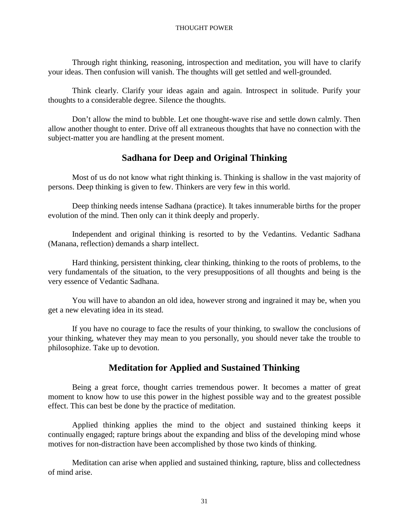Through right thinking, reasoning, introspection and meditation, you will have to clarify your ideas. Then confusion will vanish. The thoughts will get settled and well-grounded.

Think clearly. Clarify your ideas again and again. Introspect in solitude. Purify your thoughts to a considerable degree. Silence the thoughts.

Don't allow the mind to bubble. Let one thought-wave rise and settle down calmly. Then allow another thought to enter. Drive off all extraneous thoughts that have no connection with the subject-matter you are handling at the present moment.

### **Sadhana for Deep and Original Thinking**

Most of us do not know what right thinking is. Thinking is shallow in the vast majority of persons. Deep thinking is given to few. Thinkers are very few in this world.

Deep thinking needs intense Sadhana (practice). It takes innumerable births for the proper evolution of the mind. Then only can it think deeply and properly.

Independent and original thinking is resorted to by the Vedantins. Vedantic Sadhana (Manana, reflection) demands a sharp intellect.

Hard thinking, persistent thinking, clear thinking, thinking to the roots of problems, to the very fundamentals of the situation, to the very presuppositions of all thoughts and being is the very essence of Vedantic Sadhana.

You will have to abandon an old idea, however strong and ingrained it may be, when you get a new elevating idea in its stead.

If you have no courage to face the results of your thinking, to swallow the conclusions of your thinking, whatever they may mean to you personally, you should never take the trouble to philosophize. Take up to devotion.

### **Meditation for Applied and Sustained Thinking**

Being a great force, thought carries tremendous power. It becomes a matter of great moment to know how to use this power in the highest possible way and to the greatest possible effect. This can best be done by the practice of meditation.

Applied thinking applies the mind to the object and sustained thinking keeps it continually engaged; rapture brings about the expanding and bliss of the developing mind whose motives for non-distraction have been accomplished by those two kinds of thinking.

Meditation can arise when applied and sustained thinking, rapture, bliss and collectedness of mind arise.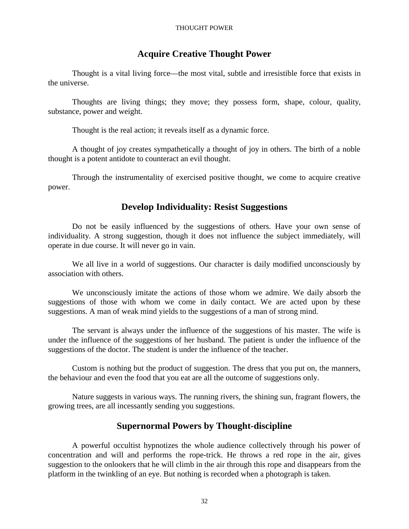## **Acquire Creative Thought Power**

Thought is a vital living force—the most vital, subtle and irresistible force that exists in the universe.

Thoughts are living things; they move; they possess form, shape, colour, quality, substance, power and weight.

Thought is the real action; it reveals itself as a dynamic force.

A thought of joy creates sympathetically a thought of joy in others. The birth of a noble thought is a potent antidote to counteract an evil thought.

Through the instrumentality of exercised positive thought, we come to acquire creative power.

### **Develop Individuality: Resist Suggestions**

Do not be easily influenced by the suggestions of others. Have your own sense of individuality. A strong suggestion, though it does not influence the subject immediately, will operate in due course. It will never go in vain.

We all live in a world of suggestions. Our character is daily modified unconsciously by association with others.

We unconsciously imitate the actions of those whom we admire. We daily absorb the suggestions of those with whom we come in daily contact. We are acted upon by these suggestions. A man of weak mind yields to the suggestions of a man of strong mind.

The servant is always under the influence of the suggestions of his master. The wife is under the influence of the suggestions of her husband. The patient is under the influence of the suggestions of the doctor. The student is under the influence of the teacher.

Custom is nothing but the product of suggestion. The dress that you put on, the manners, the behaviour and even the food that you eat are all the outcome of suggestions only.

Nature suggests in various ways. The running rivers, the shining sun, fragrant flowers, the growing trees, are all incessantly sending you suggestions.

### **Supernormal Powers by Thought-discipline**

A powerful occultist hypnotizes the whole audience collectively through his power of concentration and will and performs the rope-trick. He throws a red rope in the air, gives suggestion to the onlookers that he will climb in the air through this rope and disappears from the platform in the twinkling of an eye. But nothing is recorded when a photograph is taken.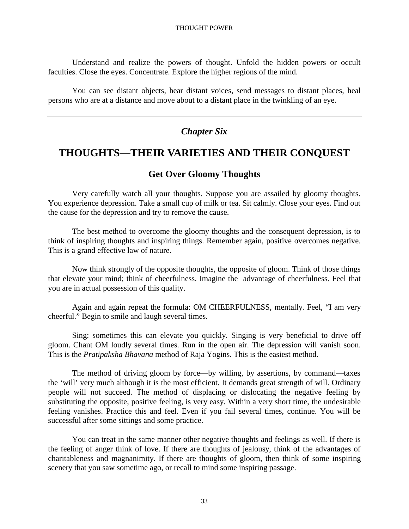Understand and realize the powers of thought. Unfold the hidden powers or occult faculties. Close the eyes. Concentrate. Explore the higher regions of the mind.

You can see distant objects, hear distant voices, send messages to distant places, heal persons who are at a distance and move about to a distant place in the twinkling of an eye.

## *Chapter Six*

## **THOUGHTS—THEIR VARIETIES AND THEIR CONQUEST**

## **Get Over Gloomy Thoughts**

Very carefully watch all your thoughts. Suppose you are assailed by gloomy thoughts. You experience depression. Take a small cup of milk or tea. Sit calmly. Close your eyes. Find out the cause for the depression and try to remove the cause.

The best method to overcome the gloomy thoughts and the consequent depression, is to think of inspiring thoughts and inspiring things. Remember again, positive overcomes negative. This is a grand effective law of nature.

Now think strongly of the opposite thoughts, the opposite of gloom. Think of those things that elevate your mind; think of cheerfulness. Imagine the advantage of cheerfulness. Feel that you are in actual possession of this quality.

Again and again repeat the formula: OM CHEERFULNESS, mentally. Feel, "I am very cheerful." Begin to smile and laugh several times.

Sing: sometimes this can elevate you quickly. Singing is very beneficial to drive off gloom. Chant OM loudly several times. Run in the open air. The depression will vanish soon. This is the *Pratipaksha Bhavana* method of Raja Yogins. This is the easiest method.

The method of driving gloom by force—by willing, by assertions, by command—taxes the 'will' very much although it is the most efficient. It demands great strength of will. Ordinary people will not succeed. The method of displacing or dislocating the negative feeling by substituting the opposite, positive feeling, is very easy. Within a very short time, the undesirable feeling vanishes. Practice this and feel. Even if you fail several times, continue. You will be successful after some sittings and some practice.

You can treat in the same manner other negative thoughts and feelings as well. If there is the feeling of anger think of love. If there are thoughts of jealousy, think of the advantages of charitableness and magnanimity. If there are thoughts of gloom, then think of some inspiring scenery that you saw sometime ago, or recall to mind some inspiring passage.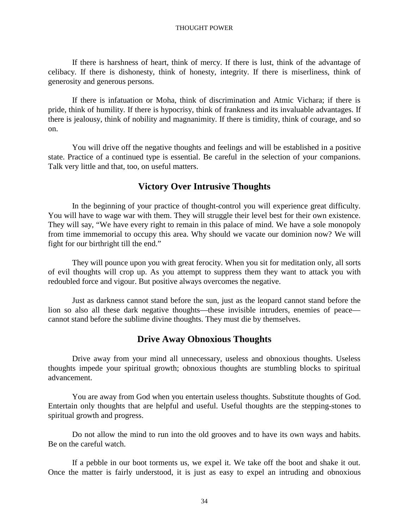If there is harshness of heart, think of mercy. If there is lust, think of the advantage of celibacy. If there is dishonesty, think of honesty, integrity. If there is miserliness, think of generosity and generous persons.

If there is infatuation or Moha, think of discrimination and Atmic Vichara; if there is pride, think of humility. If there is hypocrisy, think of frankness and its invaluable advantages. If there is jealousy, think of nobility and magnanimity. If there is timidity, think of courage, and so on.

You will drive off the negative thoughts and feelings and will be established in a positive state. Practice of a continued type is essential. Be careful in the selection of your companions. Talk very little and that, too, on useful matters.

#### **Victory Over Intrusive Thoughts**

In the beginning of your practice of thought-control you will experience great difficulty. You will have to wage war with them. They will struggle their level best for their own existence. They will say, "We have every right to remain in this palace of mind. We have a sole monopoly from time immemorial to occupy this area. Why should we vacate our dominion now? We will fight for our birthright till the end."

They will pounce upon you with great ferocity. When you sit for meditation only, all sorts of evil thoughts will crop up. As you attempt to suppress them they want to attack you with redoubled force and vigour. But positive always overcomes the negative.

Just as darkness cannot stand before the sun, just as the leopard cannot stand before the lion so also all these dark negative thoughts—these invisible intruders, enemies of peace cannot stand before the sublime divine thoughts. They must die by themselves.

#### **Drive Away Obnoxious Thoughts**

Drive away from your mind all unnecessary, useless and obnoxious thoughts. Useless thoughts impede your spiritual growth; obnoxious thoughts are stumbling blocks to spiritual advancement.

You are away from God when you entertain useless thoughts. Substitute thoughts of God. Entertain only thoughts that are helpful and useful. Useful thoughts are the stepping-stones to spiritual growth and progress.

Do not allow the mind to run into the old grooves and to have its own ways and habits. Be on the careful watch.

If a pebble in our boot torments us, we expel it. We take off the boot and shake it out. Once the matter is fairly understood, it is just as easy to expel an intruding and obnoxious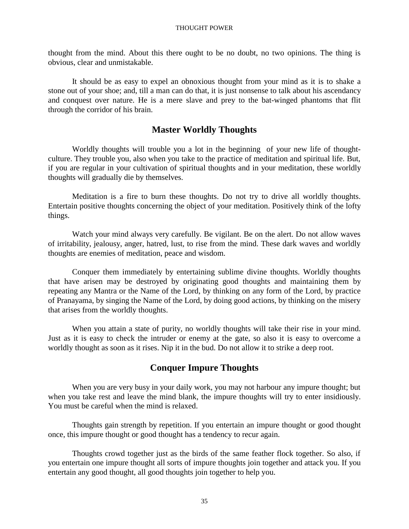thought from the mind. About this there ought to be no doubt, no two opinions. The thing is obvious, clear and unmistakable.

It should be as easy to expel an obnoxious thought from your mind as it is to shake a stone out of your shoe; and, till a man can do that, it is just nonsense to talk about his ascendancy and conquest over nature. He is a mere slave and prey to the bat-winged phantoms that flit through the corridor of his brain.

## **Master Worldly Thoughts**

Worldly thoughts will trouble you a lot in the beginning of your new life of thoughtculture. They trouble you, also when you take to the practice of meditation and spiritual life. But, if you are regular in your cultivation of spiritual thoughts and in your meditation, these worldly thoughts will gradually die by themselves.

Meditation is a fire to burn these thoughts. Do not try to drive all worldly thoughts. Entertain positive thoughts concerning the object of your meditation. Positively think of the lofty things.

Watch your mind always very carefully. Be vigilant. Be on the alert. Do not allow waves of irritability, jealousy, anger, hatred, lust, to rise from the mind. These dark waves and worldly thoughts are enemies of meditation, peace and wisdom.

Conquer them immediately by entertaining sublime divine thoughts. Worldly thoughts that have arisen may be destroyed by originating good thoughts and maintaining them by repeating any Mantra or the Name of the Lord, by thinking on any form of the Lord, by practice of Pranayama, by singing the Name of the Lord, by doing good actions, by thinking on the misery that arises from the worldly thoughts.

When you attain a state of purity, no worldly thoughts will take their rise in your mind. Just as it is easy to check the intruder or enemy at the gate, so also it is easy to overcome a worldly thought as soon as it rises. Nip it in the bud. Do not allow it to strike a deep root.

## **Conquer Impure Thoughts**

When you are very busy in your daily work, you may not harbour any impure thought; but when you take rest and leave the mind blank, the impure thoughts will try to enter insidiously. You must be careful when the mind is relaxed.

Thoughts gain strength by repetition. If you entertain an impure thought or good thought once, this impure thought or good thought has a tendency to recur again.

Thoughts crowd together just as the birds of the same feather flock together. So also, if you entertain one impure thought all sorts of impure thoughts join together and attack you. If you entertain any good thought, all good thoughts join together to help you.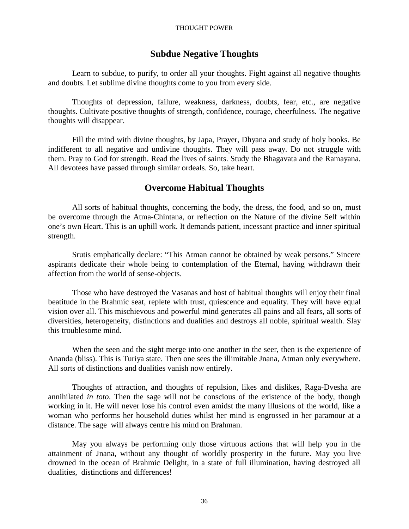## **Subdue Negative Thoughts**

Learn to subdue, to purify, to order all your thoughts. Fight against all negative thoughts and doubts. Let sublime divine thoughts come to you from every side.

Thoughts of depression, failure, weakness, darkness, doubts, fear, etc., are negative thoughts. Cultivate positive thoughts of strength, confidence, courage, cheerfulness. The negative thoughts will disappear.

Fill the mind with divine thoughts, by Japa, Prayer, Dhyana and study of holy books. Be indifferent to all negative and undivine thoughts. They will pass away. Do not struggle with them. Pray to God for strength. Read the lives of saints. Study the Bhagavata and the Ramayana. All devotees have passed through similar ordeals. So, take heart.

#### **Overcome Habitual Thoughts**

All sorts of habitual thoughts, concerning the body, the dress, the food, and so on, must be overcome through the Atma-Chintana, or reflection on the Nature of the divine Self within one's own Heart. This is an uphill work. It demands patient, incessant practice and inner spiritual strength.

Srutis emphatically declare: "This Atman cannot be obtained by weak persons." Sincere aspirants dedicate their whole being to contemplation of the Eternal, having withdrawn their affection from the world of sense-objects.

Those who have destroyed the Vasanas and host of habitual thoughts will enjoy their final beatitude in the Brahmic seat, replete with trust, quiescence and equality. They will have equal vision over all. This mischievous and powerful mind generates all pains and all fears, all sorts of diversities, heterogeneity, distinctions and dualities and destroys all noble, spiritual wealth. Slay this troublesome mind.

When the seen and the sight merge into one another in the seer, then is the experience of Ananda (bliss). This is Turiya state. Then one sees the illimitable Jnana, Atman only everywhere. All sorts of distinctions and dualities vanish now entirely.

Thoughts of attraction, and thoughts of repulsion, likes and dislikes, Raga-Dvesha are annihilated *in toto*. Then the sage will not be conscious of the existence of the body, though working in it. He will never lose his control even amidst the many illusions of the world, like a woman who performs her household duties whilst her mind is engrossed in her paramour at a distance. The sage will always centre his mind on Brahman.

May you always be performing only those virtuous actions that will help you in the attainment of Jnana, without any thought of worldly prosperity in the future. May you live drowned in the ocean of Brahmic Delight, in a state of full illumination, having destroyed all dualities, distinctions and differences!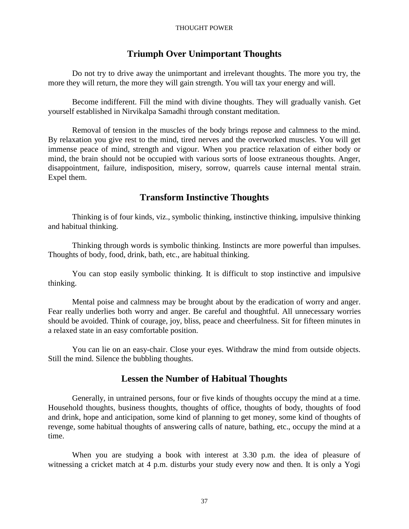## **Triumph Over Unimportant Thoughts**

Do not try to drive away the unimportant and irrelevant thoughts. The more you try, the more they will return, the more they will gain strength. You will tax your energy and will.

Become indifferent. Fill the mind with divine thoughts. They will gradually vanish. Get yourself established in Nirvikalpa Samadhi through constant meditation.

Removal of tension in the muscles of the body brings repose and calmness to the mind. By relaxation you give rest to the mind, tired nerves and the overworked muscles. You will get immense peace of mind, strength and vigour. When you practice relaxation of either body or mind, the brain should not be occupied with various sorts of loose extraneous thoughts. Anger, disappointment, failure, indisposition, misery, sorrow, quarrels cause internal mental strain. Expel them.

### **Transform Instinctive Thoughts**

Thinking is of four kinds, viz., symbolic thinking, instinctive thinking, impulsive thinking and habitual thinking.

Thinking through words is symbolic thinking. Instincts are more powerful than impulses. Thoughts of body, food, drink, bath, etc., are habitual thinking.

You can stop easily symbolic thinking. It is difficult to stop instinctive and impulsive thinking.

Mental poise and calmness may be brought about by the eradication of worry and anger. Fear really underlies both worry and anger. Be careful and thoughtful. All unnecessary worries should be avoided. Think of courage, joy, bliss, peace and cheerfulness. Sit for fifteen minutes in a relaxed state in an easy comfortable position.

You can lie on an easy-chair. Close your eyes. Withdraw the mind from outside objects. Still the mind. Silence the bubbling thoughts.

### **Lessen the Number of Habitual Thoughts**

Generally, in untrained persons, four or five kinds of thoughts occupy the mind at a time. Household thoughts, business thoughts, thoughts of office, thoughts of body, thoughts of food and drink, hope and anticipation, some kind of planning to get money, some kind of thoughts of revenge, some habitual thoughts of answering calls of nature, bathing, etc., occupy the mind at a time.

When you are studying a book with interest at 3.30 p.m. the idea of pleasure of witnessing a cricket match at 4 p.m. disturbs your study every now and then. It is only a Yogi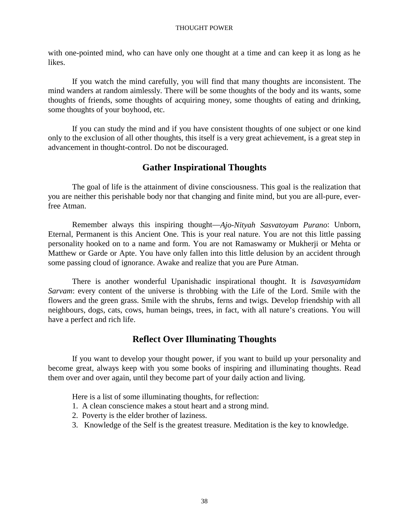with one-pointed mind, who can have only one thought at a time and can keep it as long as he likes.

If you watch the mind carefully, you will find that many thoughts are inconsistent. The mind wanders at random aimlessly. There will be some thoughts of the body and its wants, some thoughts of friends, some thoughts of acquiring money, some thoughts of eating and drinking, some thoughts of your boyhood, etc.

If you can study the mind and if you have consistent thoughts of one subject or one kind only to the exclusion of all other thoughts, this itself is a very great achievement, is a great step in advancement in thought-control. Do not be discouraged.

### **Gather Inspirational Thoughts**

The goal of life is the attainment of divine consciousness. This goal is the realization that you are neither this perishable body nor that changing and finite mind, but you are all-pure, everfree Atman.

Remember always this inspiring thought—*Ajo-Nityah Sasvatoyam Purano*: Unborn, Eternal, Permanent is this Ancient One. This is your real nature. You are not this little passing personality hooked on to a name and form. You are not Ramaswamy or Mukherji or Mehta or Matthew or Garde or Apte. You have only fallen into this little delusion by an accident through some passing cloud of ignorance. Awake and realize that you are Pure Atman.

There is another wonderful Upanishadic inspirational thought. It is *Isavasyamidam Sarvam*: every content of the universe is throbbing with the Life of the Lord. Smile with the flowers and the green grass. Smile with the shrubs, ferns and twigs. Develop friendship with all neighbours, dogs, cats, cows, human beings, trees, in fact, with all nature's creations. You will have a perfect and rich life.

## **Reflect Over Illuminating Thoughts**

If you want to develop your thought power, if you want to build up your personality and become great, always keep with you some books of inspiring and illuminating thoughts. Read them over and over again, until they become part of your daily action and living.

Here is a list of some illuminating thoughts, for reflection:

- 1. A clean conscience makes a stout heart and a strong mind.
- 2. Poverty is the elder brother of laziness.
- 3. Knowledge of the Self is the greatest treasure. Meditation is the key to knowledge.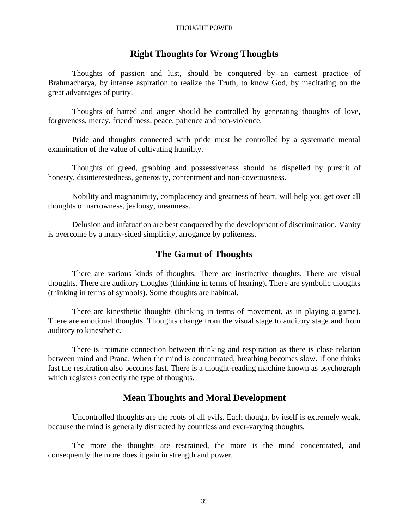#### **Right Thoughts for Wrong Thoughts**

Thoughts of passion and lust, should be conquered by an earnest practice of Brahmacharya, by intense aspiration to realize the Truth, to know God, by meditating on the great advantages of purity.

Thoughts of hatred and anger should be controlled by generating thoughts of love, forgiveness, mercy, friendliness, peace, patience and non-violence.

Pride and thoughts connected with pride must be controlled by a systematic mental examination of the value of cultivating humility.

Thoughts of greed, grabbing and possessiveness should be dispelled by pursuit of honesty, disinterestedness, generosity, contentment and non-covetousness.

Nobility and magnanimity, complacency and greatness of heart, will help you get over all thoughts of narrowness, jealousy, meanness.

Delusion and infatuation are best conquered by the development of discrimination. Vanity is overcome by a many-sided simplicity, arrogance by politeness.

### **The Gamut of Thoughts**

There are various kinds of thoughts. There are instinctive thoughts. There are visual thoughts. There are auditory thoughts (thinking in terms of hearing). There are symbolic thoughts (thinking in terms of symbols). Some thoughts are habitual.

There are kinesthetic thoughts (thinking in terms of movement, as in playing a game). There are emotional thoughts. Thoughts change from the visual stage to auditory stage and from auditory to kinesthetic.

There is intimate connection between thinking and respiration as there is close relation between mind and Prana. When the mind is concentrated, breathing becomes slow. If one thinks fast the respiration also becomes fast. There is a thought-reading machine known as psychograph which registers correctly the type of thoughts.

### **Mean Thoughts and Moral Development**

Uncontrolled thoughts are the roots of all evils. Each thought by itself is extremely weak, because the mind is generally distracted by countless and ever-varying thoughts.

The more the thoughts are restrained, the more is the mind concentrated, and consequently the more does it gain in strength and power.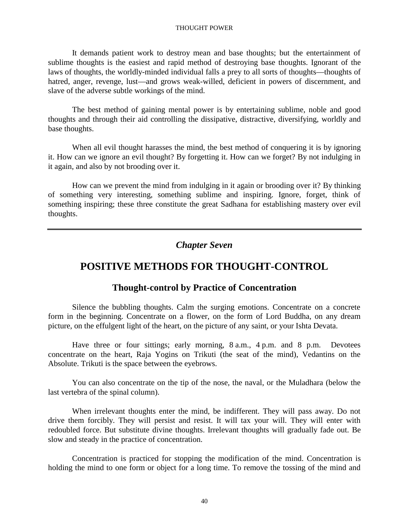It demands patient work to destroy mean and base thoughts; but the entertainment of sublime thoughts is the easiest and rapid method of destroying base thoughts. Ignorant of the laws of thoughts, the worldly-minded individual falls a prey to all sorts of thoughts—thoughts of hatred, anger, revenge, lust—and grows weak-willed, deficient in powers of discernment, and slave of the adverse subtle workings of the mind.

The best method of gaining mental power is by entertaining sublime, noble and good thoughts and through their aid controlling the dissipative, distractive, diversifying, worldly and base thoughts.

When all evil thought harasses the mind, the best method of conquering it is by ignoring it. How can we ignore an evil thought? By forgetting it. How can we forget? By not indulging in it again, and also by not brooding over it.

How can we prevent the mind from indulging in it again or brooding over it? By thinking of something very interesting, something sublime and inspiring. Ignore, forget, think of something inspiring; these three constitute the great Sadhana for establishing mastery over evil thoughts.

## *Chapter Seven*

# **POSITIVE METHODS FOR THOUGHT-CONTROL**

#### **Thought-control by Practice of Concentration**

Silence the bubbling thoughts. Calm the surging emotions. Concentrate on a concrete form in the beginning. Concentrate on a flower, on the form of Lord Buddha, on any dream picture, on the effulgent light of the heart, on the picture of any saint, or your Ishta Devata.

Have three or four sittings; early morning, 8 a.m., 4 p.m. and 8 p.m. Devotees concentrate on the heart, Raja Yogins on Trikuti (the seat of the mind), Vedantins on the Absolute. Trikuti is the space between the eyebrows.

You can also concentrate on the tip of the nose, the naval, or the Muladhara (below the last vertebra of the spinal column).

When irrelevant thoughts enter the mind, be indifferent. They will pass away. Do not drive them forcibly. They will persist and resist. It will tax your will. They will enter with redoubled force. But substitute divine thoughts. Irrelevant thoughts will gradually fade out. Be slow and steady in the practice of concentration.

Concentration is practiced for stopping the modification of the mind. Concentration is holding the mind to one form or object for a long time. To remove the tossing of the mind and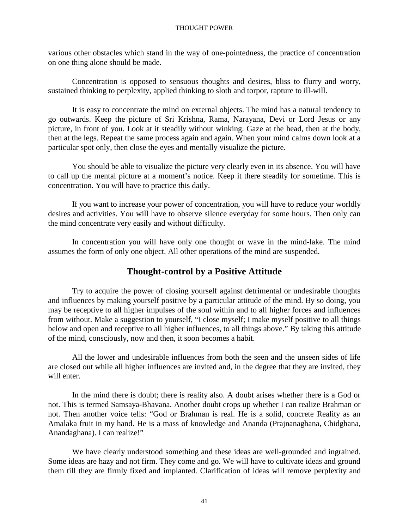various other obstacles which stand in the way of one-pointedness, the practice of concentration on one thing alone should be made.

Concentration is opposed to sensuous thoughts and desires, bliss to flurry and worry, sustained thinking to perplexity, applied thinking to sloth and torpor, rapture to ill-will.

It is easy to concentrate the mind on external objects. The mind has a natural tendency to go outwards. Keep the picture of Sri Krishna, Rama, Narayana, Devi or Lord Jesus or any picture, in front of you. Look at it steadily without winking. Gaze at the head, then at the body, then at the legs. Repeat the same process again and again. When your mind calms down look at a particular spot only, then close the eyes and mentally visualize the picture.

You should be able to visualize the picture very clearly even in its absence. You will have to call up the mental picture at a moment's notice. Keep it there steadily for sometime. This is concentration. You will have to practice this daily.

If you want to increase your power of concentration, you will have to reduce your worldly desires and activities. You will have to observe silence everyday for some hours. Then only can the mind concentrate very easily and without difficulty.

In concentration you will have only one thought or wave in the mind-lake. The mind assumes the form of only one object. All other operations of the mind are suspended.

## **Thought-control by a Positive Attitude**

Try to acquire the power of closing yourself against detrimental or undesirable thoughts and influences by making yourself positive by a particular attitude of the mind. By so doing, you may be receptive to all higher impulses of the soul within and to all higher forces and influences from without. Make a suggestion to yourself, "I close myself; I make myself positive to all things below and open and receptive to all higher influences, to all things above." By taking this attitude of the mind, consciously, now and then, it soon becomes a habit.

All the lower and undesirable influences from both the seen and the unseen sides of life are closed out while all higher influences are invited and, in the degree that they are invited, they will enter.

In the mind there is doubt; there is reality also. A doubt arises whether there is a God or not. This is termed Samsaya-Bhavana. Another doubt crops up whether I can realize Brahman or not. Then another voice tells: "God or Brahman is real. He is a solid, concrete Reality as an Amalaka fruit in my hand. He is a mass of knowledge and Ananda (Prajnanaghana, Chidghana, Anandaghana). I can realize!"

We have clearly understood something and these ideas are well-grounded and ingrained. Some ideas are hazy and not firm. They come and go. We will have to cultivate ideas and ground them till they are firmly fixed and implanted. Clarification of ideas will remove perplexity and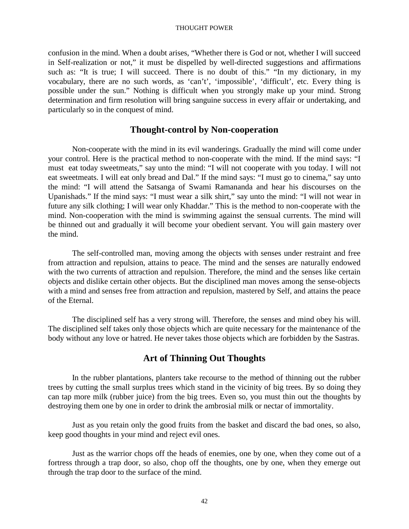confusion in the mind. When a doubt arises, "Whether there is God or not, whether I will succeed in Self-realization or not," it must be dispelled by well-directed suggestions and affirmations such as: "It is true; I will succeed. There is no doubt of this." "In my dictionary, in my vocabulary, there are no such words, as 'can't', 'impossible', 'difficult', etc. Every thing is possible under the sun." Nothing is difficult when you strongly make up your mind. Strong determination and firm resolution will bring sanguine success in every affair or undertaking, and particularly so in the conquest of mind.

#### **Thought-control by Non-cooperation**

Non-cooperate with the mind in its evil wanderings. Gradually the mind will come under your control. Here is the practical method to non-cooperate with the mind. If the mind says: "I must eat today sweetmeats," say unto the mind: "I will not cooperate with you today. I will not eat sweetmeats. I will eat only bread and Dal." If the mind says: "I must go to cinema," say unto the mind: "I will attend the Satsanga of Swami Ramananda and hear his discourses on the Upanishads." If the mind says: "I must wear a silk shirt," say unto the mind: "I will not wear in future any silk clothing; I will wear only Khaddar." This is the method to non-cooperate with the mind. Non-cooperation with the mind is swimming against the sensual currents. The mind will be thinned out and gradually it will become your obedient servant. You will gain mastery over the mind.

The self-controlled man, moving among the objects with senses under restraint and free from attraction and repulsion, attains to peace. The mind and the senses are naturally endowed with the two currents of attraction and repulsion. Therefore, the mind and the senses like certain objects and dislike certain other objects. But the disciplined man moves among the sense-objects with a mind and senses free from attraction and repulsion, mastered by Self, and attains the peace of the Eternal.

The disciplined self has a very strong will. Therefore, the senses and mind obey his will. The disciplined self takes only those objects which are quite necessary for the maintenance of the body without any love or hatred. He never takes those objects which are forbidden by the Sastras.

### **Art of Thinning Out Thoughts**

In the rubber plantations, planters take recourse to the method of thinning out the rubber trees by cutting the small surplus trees which stand in the vicinity of big trees. By so doing they can tap more milk (rubber juice) from the big trees. Even so, you must thin out the thoughts by destroying them one by one in order to drink the ambrosial milk or nectar of immortality.

Just as you retain only the good fruits from the basket and discard the bad ones, so also, keep good thoughts in your mind and reject evil ones.

Just as the warrior chops off the heads of enemies, one by one, when they come out of a fortress through a trap door, so also, chop off the thoughts, one by one, when they emerge out through the trap door to the surface of the mind.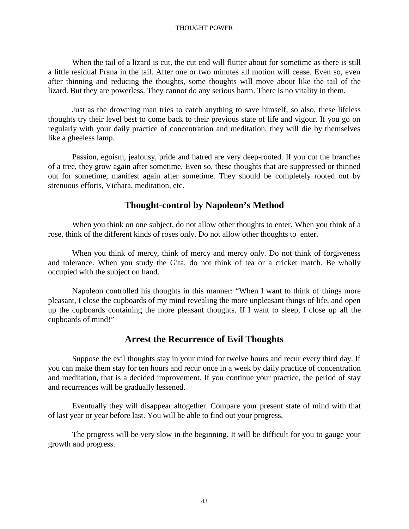When the tail of a lizard is cut, the cut end will flutter about for sometime as there is still a little residual Prana in the tail. After one or two minutes all motion will cease. Even so, even after thinning and reducing the thoughts, some thoughts will move about like the tail of the lizard. But they are powerless. They cannot do any serious harm. There is no vitality in them.

Just as the drowning man tries to catch anything to save himself, so also, these lifeless thoughts try their level best to come back to their previous state of life and vigour. If you go on regularly with your daily practice of concentration and meditation, they will die by themselves like a gheeless lamp.

Passion, egoism, jealousy, pride and hatred are very deep-rooted. If you cut the branches of a tree, they grow again after sometime. Even so, these thoughts that are suppressed or thinned out for sometime, manifest again after sometime. They should be completely rooted out by strenuous efforts, Vichara, meditation, etc.

## **Thought-control by Napoleon's Method**

When you think on one subject, do not allow other thoughts to enter. When you think of a rose, think of the different kinds of roses only. Do not allow other thoughts to enter.

When you think of mercy, think of mercy and mercy only. Do not think of forgiveness and tolerance. When you study the Gita, do not think of tea or a cricket match. Be wholly occupied with the subject on hand.

Napoleon controlled his thoughts in this manner: "When I want to think of things more pleasant, I close the cupboards of my mind revealing the more unpleasant things of life, and open up the cupboards containing the more pleasant thoughts. If I want to sleep, I close up all the cupboards of mind!"

### **Arrest the Recurrence of Evil Thoughts**

Suppose the evil thoughts stay in your mind for twelve hours and recur every third day. If you can make them stay for ten hours and recur once in a week by daily practice of concentration and meditation, that is a decided improvement. If you continue your practice, the period of stay and recurrences will be gradually lessened.

Eventually they will disappear altogether. Compare your present state of mind with that of last year or year before last. You will be able to find out your progress.

The progress will be very slow in the beginning. It will be difficult for you to gauge your growth and progress.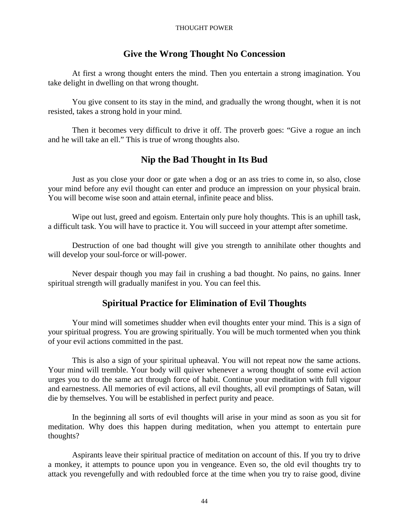### **Give the Wrong Thought No Concession**

At first a wrong thought enters the mind. Then you entertain a strong imagination. You take delight in dwelling on that wrong thought.

You give consent to its stay in the mind, and gradually the wrong thought, when it is not resisted, takes a strong hold in your mind.

Then it becomes very difficult to drive it off. The proverb goes: "Give a rogue an inch and he will take an ell." This is true of wrong thoughts also.

## **Nip the Bad Thought in Its Bud**

Just as you close your door or gate when a dog or an ass tries to come in, so also, close your mind before any evil thought can enter and produce an impression on your physical brain. You will become wise soon and attain eternal, infinite peace and bliss.

Wipe out lust, greed and egoism. Entertain only pure holy thoughts. This is an uphill task, a difficult task. You will have to practice it. You will succeed in your attempt after sometime.

Destruction of one bad thought will give you strength to annihilate other thoughts and will develop your soul-force or will-power.

Never despair though you may fail in crushing a bad thought. No pains, no gains. Inner spiritual strength will gradually manifest in you. You can feel this.

### **Spiritual Practice for Elimination of Evil Thoughts**

Your mind will sometimes shudder when evil thoughts enter your mind. This is a sign of your spiritual progress. You are growing spiritually. You will be much tormented when you think of your evil actions committed in the past.

This is also a sign of your spiritual upheaval. You will not repeat now the same actions. Your mind will tremble. Your body will quiver whenever a wrong thought of some evil action urges you to do the same act through force of habit. Continue your meditation with full vigour and earnestness. All memories of evil actions, all evil thoughts, all evil promptings of Satan, will die by themselves. You will be established in perfect purity and peace.

In the beginning all sorts of evil thoughts will arise in your mind as soon as you sit for meditation. Why does this happen during meditation, when you attempt to entertain pure thoughts?

Aspirants leave their spiritual practice of meditation on account of this. If you try to drive a monkey, it attempts to pounce upon you in vengeance. Even so, the old evil thoughts try to attack you revengefully and with redoubled force at the time when you try to raise good, divine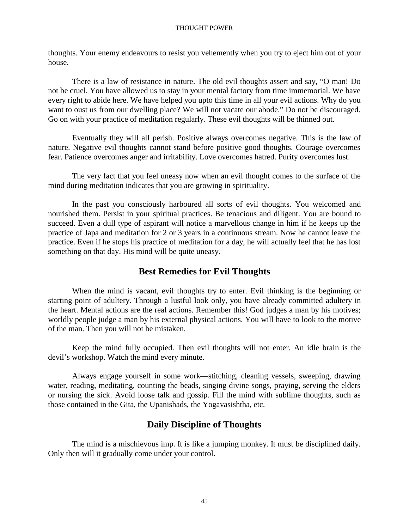thoughts. Your enemy endeavours to resist you vehemently when you try to eject him out of your house.

There is a law of resistance in nature. The old evil thoughts assert and say, "O man! Do not be cruel. You have allowed us to stay in your mental factory from time immemorial. We have every right to abide here. We have helped you upto this time in all your evil actions. Why do you want to oust us from our dwelling place? We will not vacate our abode." Do not be discouraged. Go on with your practice of meditation regularly. These evil thoughts will be thinned out.

Eventually they will all perish. Positive always overcomes negative. This is the law of nature. Negative evil thoughts cannot stand before positive good thoughts. Courage overcomes fear. Patience overcomes anger and irritability. Love overcomes hatred. Purity overcomes lust.

The very fact that you feel uneasy now when an evil thought comes to the surface of the mind during meditation indicates that you are growing in spirituality.

In the past you consciously harboured all sorts of evil thoughts. You welcomed and nourished them. Persist in your spiritual practices. Be tenacious and diligent. You are bound to succeed. Even a dull type of aspirant will notice a marvellous change in him if he keeps up the practice of Japa and meditation for 2 or 3 years in a continuous stream. Now he cannot leave the practice. Even if he stops his practice of meditation for a day, he will actually feel that he has lost something on that day. His mind will be quite uneasy.

## **Best Remedies for Evil Thoughts**

When the mind is vacant, evil thoughts try to enter. Evil thinking is the beginning or starting point of adultery. Through a lustful look only, you have already committed adultery in the heart. Mental actions are the real actions. Remember this! God judges a man by his motives; worldly people judge a man by his external physical actions. You will have to look to the motive of the man. Then you will not be mistaken.

Keep the mind fully occupied. Then evil thoughts will not enter. An idle brain is the devil's workshop. Watch the mind every minute.

Always engage yourself in some work—stitching, cleaning vessels, sweeping, drawing water, reading, meditating, counting the beads, singing divine songs, praying, serving the elders or nursing the sick. Avoid loose talk and gossip. Fill the mind with sublime thoughts, such as those contained in the Gita, the Upanishads, the Yogavasishtha, etc.

### **Daily Discipline of Thoughts**

The mind is a mischievous imp. It is like a jumping monkey. It must be disciplined daily. Only then will it gradually come under your control.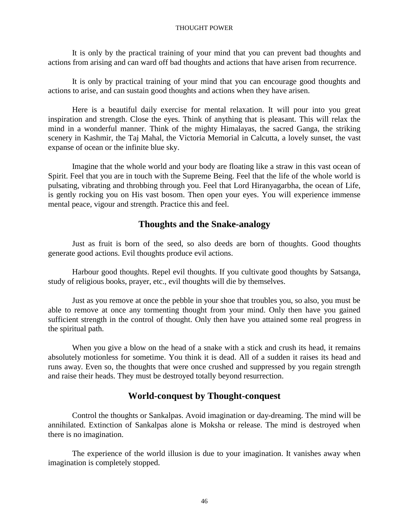It is only by the practical training of your mind that you can prevent bad thoughts and actions from arising and can ward off bad thoughts and actions that have arisen from recurrence.

It is only by practical training of your mind that you can encourage good thoughts and actions to arise, and can sustain good thoughts and actions when they have arisen.

Here is a beautiful daily exercise for mental relaxation. It will pour into you great inspiration and strength. Close the eyes. Think of anything that is pleasant. This will relax the mind in a wonderful manner. Think of the mighty Himalayas, the sacred Ganga, the striking scenery in Kashmir, the Taj Mahal, the Victoria Memorial in Calcutta, a lovely sunset, the vast expanse of ocean or the infinite blue sky.

Imagine that the whole world and your body are floating like a straw in this vast ocean of Spirit. Feel that you are in touch with the Supreme Being. Feel that the life of the whole world is pulsating, vibrating and throbbing through you. Feel that Lord Hiranyagarbha, the ocean of Life, is gently rocking you on His vast bosom. Then open your eyes. You will experience immense mental peace, vigour and strength. Practice this and feel.

#### **Thoughts and the Snake-analogy**

Just as fruit is born of the seed, so also deeds are born of thoughts. Good thoughts generate good actions. Evil thoughts produce evil actions.

Harbour good thoughts. Repel evil thoughts. If you cultivate good thoughts by Satsanga, study of religious books, prayer, etc., evil thoughts will die by themselves.

Just as you remove at once the pebble in your shoe that troubles you, so also, you must be able to remove at once any tormenting thought from your mind. Only then have you gained sufficient strength in the control of thought. Only then have you attained some real progress in the spiritual path.

When you give a blow on the head of a snake with a stick and crush its head, it remains absolutely motionless for sometime. You think it is dead. All of a sudden it raises its head and runs away. Even so, the thoughts that were once crushed and suppressed by you regain strength and raise their heads. They must be destroyed totally beyond resurrection.

### **World-conquest by Thought-conquest**

Control the thoughts or Sankalpas. Avoid imagination or day-dreaming. The mind will be annihilated. Extinction of Sankalpas alone is Moksha or release. The mind is destroyed when there is no imagination.

The experience of the world illusion is due to your imagination. It vanishes away when imagination is completely stopped.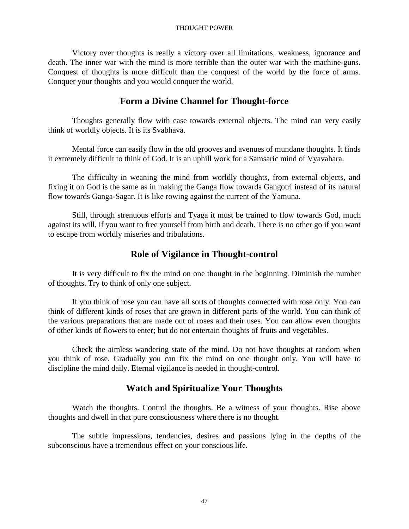Victory over thoughts is really a victory over all limitations, weakness, ignorance and death. The inner war with the mind is more terrible than the outer war with the machine-guns. Conquest of thoughts is more difficult than the conquest of the world by the force of arms. Conquer your thoughts and you would conquer the world.

#### **Form a Divine Channel for Thought-force**

Thoughts generally flow with ease towards external objects. The mind can very easily think of worldly objects. It is its Svabhava.

Mental force can easily flow in the old grooves and avenues of mundane thoughts. It finds it extremely difficult to think of God. It is an uphill work for a Samsaric mind of Vyavahara.

The difficulty in weaning the mind from worldly thoughts, from external objects, and fixing it on God is the same as in making the Ganga flow towards Gangotri instead of its natural flow towards Ganga-Sagar. It is like rowing against the current of the Yamuna.

Still, through strenuous efforts and Tyaga it must be trained to flow towards God, much against its will, if you want to free yourself from birth and death. There is no other go if you want to escape from worldly miseries and tribulations.

### **Role of Vigilance in Thought-control**

It is very difficult to fix the mind on one thought in the beginning. Diminish the number of thoughts. Try to think of only one subject.

If you think of rose you can have all sorts of thoughts connected with rose only. You can think of different kinds of roses that are grown in different parts of the world. You can think of the various preparations that are made out of roses and their uses. You can allow even thoughts of other kinds of flowers to enter; but do not entertain thoughts of fruits and vegetables.

Check the aimless wandering state of the mind. Do not have thoughts at random when you think of rose. Gradually you can fix the mind on one thought only. You will have to discipline the mind daily. Eternal vigilance is needed in thought-control.

### **Watch and Spiritualize Your Thoughts**

Watch the thoughts. Control the thoughts. Be a witness of your thoughts. Rise above thoughts and dwell in that pure consciousness where there is no thought.

The subtle impressions, tendencies, desires and passions lying in the depths of the subconscious have a tremendous effect on your conscious life.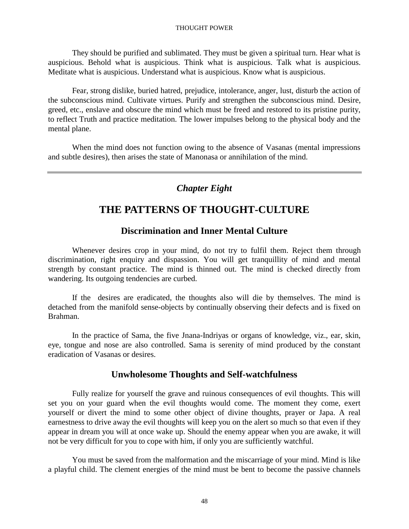They should be purified and sublimated. They must be given a spiritual turn. Hear what is auspicious. Behold what is auspicious. Think what is auspicious. Talk what is auspicious. Meditate what is auspicious. Understand what is auspicious. Know what is auspicious.

Fear, strong dislike, buried hatred, prejudice, intolerance, anger, lust, disturb the action of the subconscious mind. Cultivate virtues. Purify and strengthen the subconscious mind. Desire, greed, etc., enslave and obscure the mind which must be freed and restored to its pristine purity, to reflect Truth and practice meditation. The lower impulses belong to the physical body and the mental plane.

When the mind does not function owing to the absence of Vasanas (mental impressions and subtle desires), then arises the state of Manonasa or annihilation of the mind.

## *Chapter Eight*

# **THE PATTERNS OF THOUGHT-CULTURE**

## **Discrimination and Inner Mental Culture**

Whenever desires crop in your mind, do not try to fulfil them. Reject them through discrimination, right enquiry and dispassion. You will get tranquillity of mind and mental strength by constant practice. The mind is thinned out. The mind is checked directly from wandering. Its outgoing tendencies are curbed.

If the desires are eradicated, the thoughts also will die by themselves. The mind is detached from the manifold sense-objects by continually observing their defects and is fixed on Brahman.

In the practice of Sama, the five Jnana-Indriyas or organs of knowledge, viz., ear, skin, eye, tongue and nose are also controlled. Sama is serenity of mind produced by the constant eradication of Vasanas or desires.

### **Unwholesome Thoughts and Self-watchfulness**

Fully realize for yourself the grave and ruinous consequences of evil thoughts. This will set you on your guard when the evil thoughts would come. The moment they come, exert yourself or divert the mind to some other object of divine thoughts, prayer or Japa. A real earnestness to drive away the evil thoughts will keep you on the alert so much so that even if they appear in dream you will at once wake up. Should the enemy appear when you are awake, it will not be very difficult for you to cope with him, if only you are sufficiently watchful.

You must be saved from the malformation and the miscarriage of your mind. Mind is like a playful child. The clement energies of the mind must be bent to become the passive channels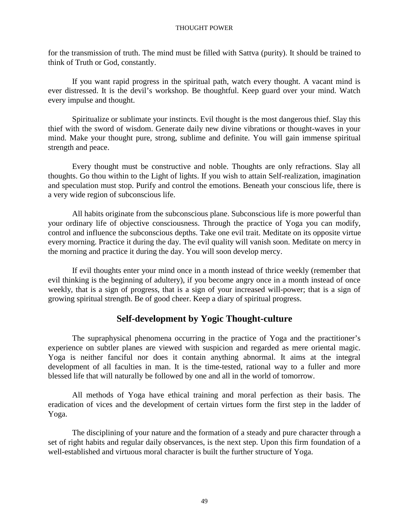for the transmission of truth. The mind must be filled with Sattva (purity). It should be trained to think of Truth or God, constantly.

If you want rapid progress in the spiritual path, watch every thought. A vacant mind is ever distressed. It is the devil's workshop. Be thoughtful. Keep guard over your mind. Watch every impulse and thought.

Spiritualize or sublimate your instincts. Evil thought is the most dangerous thief. Slay this thief with the sword of wisdom. Generate daily new divine vibrations or thought-waves in your mind. Make your thought pure, strong, sublime and definite. You will gain immense spiritual strength and peace.

Every thought must be constructive and noble. Thoughts are only refractions. Slay all thoughts. Go thou within to the Light of lights. If you wish to attain Self-realization, imagination and speculation must stop. Purify and control the emotions. Beneath your conscious life, there is a very wide region of subconscious life.

All habits originate from the subconscious plane. Subconscious life is more powerful than your ordinary life of objective consciousness. Through the practice of Yoga you can modify, control and influence the subconscious depths. Take one evil trait. Meditate on its opposite virtue every morning. Practice it during the day. The evil quality will vanish soon. Meditate on mercy in the morning and practice it during the day. You will soon develop mercy.

If evil thoughts enter your mind once in a month instead of thrice weekly (remember that evil thinking is the beginning of adultery), if you become angry once in a month instead of once weekly, that is a sign of progress, that is a sign of your increased will-power; that is a sign of growing spiritual strength. Be of good cheer. Keep a diary of spiritual progress.

## **Self-development by Yogic Thought-culture**

The supraphysical phenomena occurring in the practice of Yoga and the practitioner's experience on subtler planes are viewed with suspicion and regarded as mere oriental magic. Yoga is neither fanciful nor does it contain anything abnormal. It aims at the integral development of all faculties in man. It is the time-tested, rational way to a fuller and more blessed life that will naturally be followed by one and all in the world of tomorrow.

All methods of Yoga have ethical training and moral perfection as their basis. The eradication of vices and the development of certain virtues form the first step in the ladder of Yoga.

The disciplining of your nature and the formation of a steady and pure character through a set of right habits and regular daily observances, is the next step. Upon this firm foundation of a well-established and virtuous moral character is built the further structure of Yoga.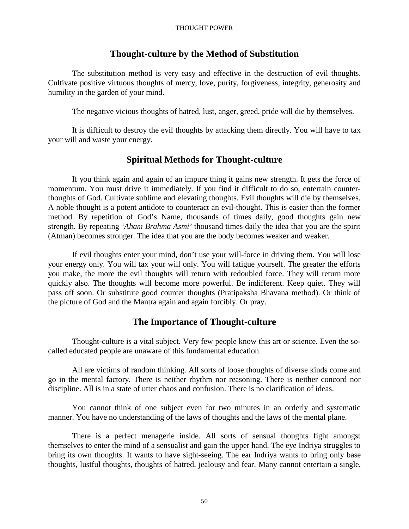#### **Thought-culture by the Method of Substitution**

The substitution method is very easy and effective in the destruction of evil thoughts. Cultivate positive virtuous thoughts of mercy, love, purity, forgiveness, integrity, generosity and humility in the garden of your mind.

The negative vicious thoughts of hatred, lust, anger, greed, pride will die by themselves.

It is difficult to destroy the evil thoughts by attacking them directly. You will have to tax your will and waste your energy.

### **Spiritual Methods for Thought-culture**

If you think again and again of an impure thing it gains new strength. It gets the force of momentum. You must drive it immediately. If you find it difficult to do so, entertain counterthoughts of God. Cultivate sublime and elevating thoughts. Evil thoughts will die by themselves. A noble thought is a potent antidote to counteract an evil-thought. This is easier than the former method. By repetition of God's Name, thousands of times daily, good thoughts gain new strength. By repeating *'Aham Brahma Asmi'* thousand times daily the idea that you are the spirit (Atman) becomes stronger. The idea that you are the body becomes weaker and weaker.

If evil thoughts enter your mind, don't use your will-force in driving them. You will lose your energy only. You will tax your will only. You will fatigue yourself. The greater the efforts you make, the more the evil thoughts will return with redoubled force. They will return more quickly also. The thoughts will become more powerful. Be indifferent. Keep quiet. They will pass off soon. Or substitute good counter thoughts (Pratipaksha Bhavana method). Or think of the picture of God and the Mantra again and again forcibly. Or pray.

### **The Importance of Thought-culture**

Thought-culture is a vital subject. Very few people know this art or science. Even the socalled educated people are unaware of this fundamental education.

All are victims of random thinking. All sorts of loose thoughts of diverse kinds come and go in the mental factory. There is neither rhythm nor reasoning. There is neither concord nor discipline. All is in a state of utter chaos and confusion. There is no clarification of ideas.

You cannot think of one subject even for two minutes in an orderly and systematic manner. You have no understanding of the laws of thoughts and the laws of the mental plane.

There is a perfect menagerie inside. All sorts of sensual thoughts fight amongst themselves to enter the mind of a sensualist and gain the upper hand. The eye Indriya struggles to bring its own thoughts. It wants to have sight-seeing. The ear Indriya wants to bring only base thoughts, lustful thoughts, thoughts of hatred, jealousy and fear. Many cannot entertain a single,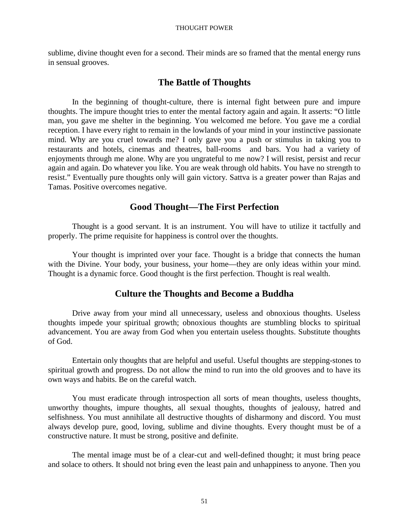sublime, divine thought even for a second. Their minds are so framed that the mental energy runs in sensual grooves.

## **The Battle of Thoughts**

In the beginning of thought-culture, there is internal fight between pure and impure thoughts. The impure thought tries to enter the mental factory again and again. It asserts: "O little man, you gave me shelter in the beginning. You welcomed me before. You gave me a cordial reception. I have every right to remain in the lowlands of your mind in your instinctive passionate mind. Why are you cruel towards me? I only gave you a push or stimulus in taking you to restaurants and hotels, cinemas and theatres, ball-rooms and bars. You had a variety of enjoyments through me alone. Why are you ungrateful to me now? I will resist, persist and recur again and again. Do whatever you like. You are weak through old habits. You have no strength to resist." Eventually pure thoughts only will gain victory. Sattva is a greater power than Rajas and Tamas. Positive overcomes negative.

## **Good Thought—The First Perfection**

Thought is a good servant. It is an instrument. You will have to utilize it tactfully and properly. The prime requisite for happiness is control over the thoughts.

Your thought is imprinted over your face. Thought is a bridge that connects the human with the Divine. Your body, your business, your home—they are only ideas within your mind. Thought is a dynamic force. Good thought is the first perfection. Thought is real wealth.

## **Culture the Thoughts and Become a Buddha**

Drive away from your mind all unnecessary, useless and obnoxious thoughts. Useless thoughts impede your spiritual growth; obnoxious thoughts are stumbling blocks to spiritual advancement. You are away from God when you entertain useless thoughts. Substitute thoughts of God.

Entertain only thoughts that are helpful and useful. Useful thoughts are stepping-stones to spiritual growth and progress. Do not allow the mind to run into the old grooves and to have its own ways and habits. Be on the careful watch.

You must eradicate through introspection all sorts of mean thoughts, useless thoughts, unworthy thoughts, impure thoughts, all sexual thoughts, thoughts of jealousy, hatred and selfishness. You must annihilate all destructive thoughts of disharmony and discord. You must always develop pure, good, loving, sublime and divine thoughts. Every thought must be of a constructive nature. It must be strong, positive and definite.

The mental image must be of a clear-cut and well-defined thought; it must bring peace and solace to others. It should not bring even the least pain and unhappiness to anyone. Then you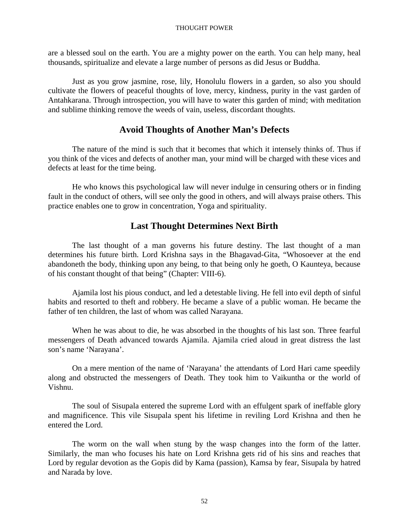are a blessed soul on the earth. You are a mighty power on the earth. You can help many, heal thousands, spiritualize and elevate a large number of persons as did Jesus or Buddha.

Just as you grow jasmine, rose, lily, Honolulu flowers in a garden, so also you should cultivate the flowers of peaceful thoughts of love, mercy, kindness, purity in the vast garden of Antahkarana. Through introspection, you will have to water this garden of mind; with meditation and sublime thinking remove the weeds of vain, useless, discordant thoughts.

## **Avoid Thoughts of Another Man's Defects**

The nature of the mind is such that it becomes that which it intensely thinks of. Thus if you think of the vices and defects of another man, your mind will be charged with these vices and defects at least for the time being.

He who knows this psychological law will never indulge in censuring others or in finding fault in the conduct of others, will see only the good in others, and will always praise others. This practice enables one to grow in concentration, Yoga and spirituality.

## **Last Thought Determines Next Birth**

The last thought of a man governs his future destiny. The last thought of a man determines his future birth. Lord Krishna says in the Bhagavad-Gita, "Whosoever at the end abandoneth the body, thinking upon any being, to that being only he goeth, O Kaunteya, because of his constant thought of that being" (Chapter: VIII-6).

Ajamila lost his pious conduct, and led a detestable living. He fell into evil depth of sinful habits and resorted to theft and robbery. He became a slave of a public woman. He became the father of ten children, the last of whom was called Narayana.

When he was about to die, he was absorbed in the thoughts of his last son. Three fearful messengers of Death advanced towards Ajamila. Ajamila cried aloud in great distress the last son's name 'Narayana'.

On a mere mention of the name of 'Narayana' the attendants of Lord Hari came speedily along and obstructed the messengers of Death. They took him to Vaikuntha or the world of Vishnu.

The soul of Sisupala entered the supreme Lord with an effulgent spark of ineffable glory and magnificence. This vile Sisupala spent his lifetime in reviling Lord Krishna and then he entered the Lord.

The worm on the wall when stung by the wasp changes into the form of the latter. Similarly, the man who focuses his hate on Lord Krishna gets rid of his sins and reaches that Lord by regular devotion as the Gopis did by Kama (passion), Kamsa by fear, Sisupala by hatred and Narada by love.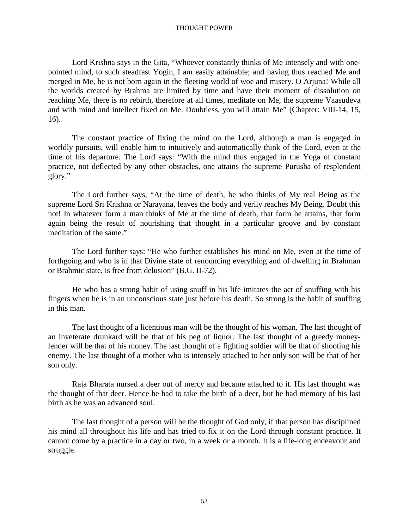Lord Krishna says in the Gita, "Whoever constantly thinks of Me intensely and with onepointed mind, to such steadfast Yogin, I am easily attainable; and having thus reached Me and merged in Me, he is not born again in the fleeting world of woe and misery. O Arjuna! While all the worlds created by Brahma are limited by time and have their moment of dissolution on reaching Me, there is no rebirth, therefore at all times, meditate on Me, the supreme Vaasudeva and with mind and intellect fixed on Me. Doubtless, you will attain Me" (Chapter: VIII-14, 15, 16).

The constant practice of fixing the mind on the Lord, although a man is engaged in worldly pursuits, will enable him to intuitively and automatically think of the Lord, even at the time of his departure. The Lord says: "With the mind thus engaged in the Yoga of constant practice, not deflected by any other obstacles, one attains the supreme Purusha of resplendent glory."

The Lord further says, "At the time of death, he who thinks of My real Being as the supreme Lord Sri Krishna or Narayana, leaves the body and verily reaches My Being. Doubt this not! In whatever form a man thinks of Me at the time of death, that form he attains, that form again being the result of nourishing that thought in a particular groove and by constant meditation of the same."

The Lord further says: "He who further establishes his mind on Me, even at the time of forthgoing and who is in that Divine state of renouncing everything and of dwelling in Brahman or Brahmic state, is free from delusion" (B.G. II-72).

He who has a strong habit of using snuff in his life imitates the act of snuffing with his fingers when he is in an unconscious state just before his death. So strong is the habit of snuffing in this man.

The last thought of a licentious man will be the thought of his woman. The last thought of an inveterate drunkard will be that of his peg of liquor. The last thought of a greedy moneylender will be that of his money. The last thought of a fighting soldier will be that of shooting his enemy. The last thought of a mother who is intensely attached to her only son will be that of her son only.

Raja Bharata nursed a deer out of mercy and became attached to it. His last thought was the thought of that deer. Hence he had to take the birth of a deer, but he had memory of his last birth as he was an advanced soul.

The last thought of a person will be the thought of God only, if that person has disciplined his mind all throughout his life and has tried to fix it on the Lord through constant practice. It cannot come by a practice in a day or two, in a week or a month. It is a life-long endeavour and struggle.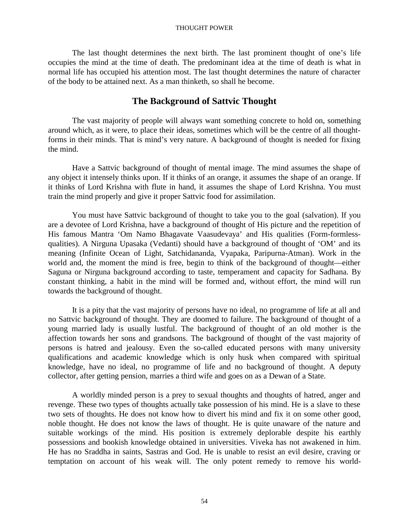The last thought determines the next birth. The last prominent thought of one's life occupies the mind at the time of death. The predominant idea at the time of death is what in normal life has occupied his attention most. The last thought determines the nature of character of the body to be attained next. As a man thinketh, so shall he become.

#### **The Background of Sattvic Thought**

The vast majority of people will always want something concrete to hold on, something around which, as it were, to place their ideas, sometimes which will be the centre of all thoughtforms in their minds. That is mind's very nature. A background of thought is needed for fixing the mind.

Have a Sattvic background of thought of mental image. The mind assumes the shape of any object it intensely thinks upon. If it thinks of an orange, it assumes the shape of an orange. If it thinks of Lord Krishna with flute in hand, it assumes the shape of Lord Krishna. You must train the mind properly and give it proper Sattvic food for assimilation.

You must have Sattvic background of thought to take you to the goal (salvation). If you are a devotee of Lord Krishna, have a background of thought of His picture and the repetition of His famous Mantra 'Om Namo Bhagavate Vaasudevaya' and His qualities (Form-formlessqualities). A Nirguna Upasaka (Vedanti) should have a background of thought of 'OM' and its meaning (Infinite Ocean of Light, Satchidananda, Vyapaka, Paripurna-Atman). Work in the world and, the moment the mind is free, begin to think of the background of thought—either Saguna or Nirguna background according to taste, temperament and capacity for Sadhana. By constant thinking, a habit in the mind will be formed and, without effort, the mind will run towards the background of thought.

It is a pity that the vast majority of persons have no ideal, no programme of life at all and no Sattvic background of thought. They are doomed to failure. The background of thought of a young married lady is usually lustful. The background of thought of an old mother is the affection towards her sons and grandsons. The background of thought of the vast majority of persons is hatred and jealousy. Even the so-called educated persons with many university qualifications and academic knowledge which is only husk when compared with spiritual knowledge, have no ideal, no programme of life and no background of thought. A deputy collector, after getting pension, marries a third wife and goes on as a Dewan of a State.

A worldly minded person is a prey to sexual thoughts and thoughts of hatred, anger and revenge. These two types of thoughts actually take possession of his mind. He is a slave to these two sets of thoughts. He does not know how to divert his mind and fix it on some other good, noble thought. He does not know the laws of thought. He is quite unaware of the nature and suitable workings of the mind. His position is extremely deplorable despite his earthly possessions and bookish knowledge obtained in universities. Viveka has not awakened in him. He has no Sraddha in saints, Sastras and God. He is unable to resist an evil desire, craving or temptation on account of his weak will. The only potent remedy to remove his world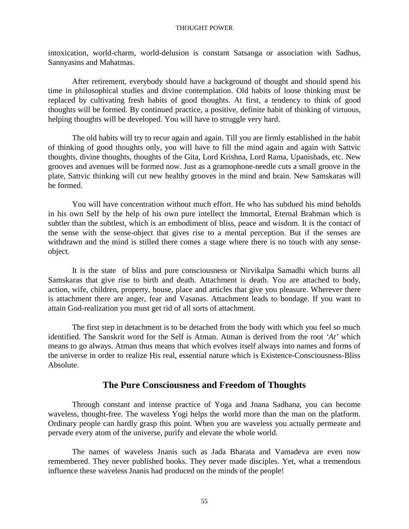intoxication, world-charm, world-delusion is constant Satsanga or association with Sadhus, Sannyasins and Mahatmas.

After retirement, everybody should have a background of thought and should spend his time in philosophical studies and divine contemplation. Old habits of loose thinking must be replaced by cultivating fresh habits of good thoughts. At first, a tendency to think of good thoughts will be formed. By continued practice, a positive, definite habit of thinking of virtuous, helping thoughts will be developed. You will have to struggle very hard.

The old habits will try to recur again and again. Till you are firmly established in the habit of thinking of good thoughts only, you will have to fill the mind again and again with Sattvic thoughts, divine thoughts, thoughts of the Gita, Lord Krishna, Lord Rama, Upanishads, etc. New grooves and avenues will be formed now. Just as a gramophone-needle cuts a small groove in the plate, Sattvic thinking will cut new healthy grooves in the mind and brain. New Samskaras will be formed.

You will have concentration without much effort. He who has subdued his mind beholds in his own Self by the help of his own pure intellect the Immortal, Eternal Brahman which is subtler than the subtlest, which is an embodiment of bliss, peace and wisdom. It is the contact of the sense with the sense-object that gives rise to a mental perception. But if the senses are withdrawn and the mind is stilled there comes a stage where there is no touch with any senseobject.

It is the state of bliss and pure consciousness or Nirvikalpa Samadhi which burns all Samskaras that give rise to birth and death. Attachment is death. You are attached to body, action, wife, children, property, house, place and articles that give you pleasure. Wherever there is attachment there are anger, fear and Vasanas. Attachment leads to bondage. If you want to attain God-realization you must get rid of all sorts of attachment.

The first step in detachment is to be detached from the body with which you feel so much identified. The Sanskrit word for the Self is Atman. Atman is derived from the root *'At'* which means to go always. Atman thus means that which evolves itself always into names and forms of the universe in order to realize His real, essential nature which is Existence-Consciousness-Bliss Absolute.

#### **The Pure Consciousness and Freedom of Thoughts**

Through constant and intense practice of Yoga and Jnana Sadhana, you can become waveless, thought-free. The waveless Yogi helps the world more than the man on the platform. Ordinary people can hardly grasp this point. When you are waveless you actually permeate and pervade every atom of the universe, purify and elevate the whole world.

The names of waveless Jnanis such as Jada Bharata and Vamadeva are even now remembered. They never published books. They never made disciples. Yet, what a tremendous influence these waveless Jnanis had produced on the minds of the people!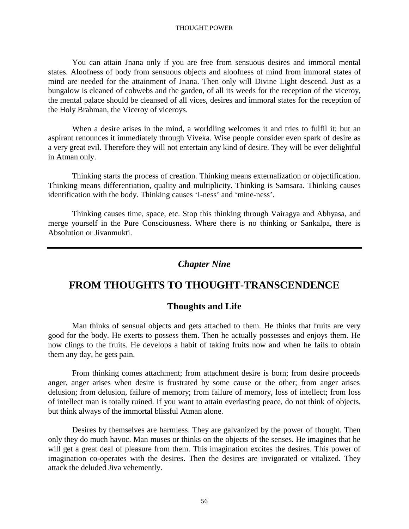You can attain Jnana only if you are free from sensuous desires and immoral mental states. Aloofness of body from sensuous objects and aloofness of mind from immoral states of mind are needed for the attainment of Jnana. Then only will Divine Light descend. Just as a bungalow is cleaned of cobwebs and the garden, of all its weeds for the reception of the viceroy, the mental palace should be cleansed of all vices, desires and immoral states for the reception of the Holy Brahman, the Viceroy of viceroys.

When a desire arises in the mind, a worldling welcomes it and tries to fulfil it; but an aspirant renounces it immediately through Viveka. Wise people consider even spark of desire as a very great evil. Therefore they will not entertain any kind of desire. They will be ever delightful in Atman only.

Thinking starts the process of creation. Thinking means externalization or objectification. Thinking means differentiation, quality and multiplicity. Thinking is Samsara. Thinking causes identification with the body. Thinking causes 'I-ness' and 'mine-ness'.

Thinking causes time, space, etc. Stop this thinking through Vairagya and Abhyasa, and merge yourself in the Pure Consciousness. Where there is no thinking or Sankalpa, there is Absolution or Jivanmukti.

#### *Chapter Nine*

## **FROM THOUGHTS TO THOUGHT-TRANSCENDENCE**

### **Thoughts and Life**

Man thinks of sensual objects and gets attached to them. He thinks that fruits are very good for the body. He exerts to possess them. Then he actually possesses and enjoys them. He now clings to the fruits. He develops a habit of taking fruits now and when he fails to obtain them any day, he gets pain.

From thinking comes attachment; from attachment desire is born; from desire proceeds anger, anger arises when desire is frustrated by some cause or the other; from anger arises delusion; from delusion, failure of memory; from failure of memory, loss of intellect; from loss of intellect man is totally ruined. If you want to attain everlasting peace, do not think of objects, but think always of the immortal blissful Atman alone.

Desires by themselves are harmless. They are galvanized by the power of thought. Then only they do much havoc. Man muses or thinks on the objects of the senses. He imagines that he will get a great deal of pleasure from them. This imagination excites the desires. This power of imagination co-operates with the desires. Then the desires are invigorated or vitalized. They attack the deluded Jiva vehemently.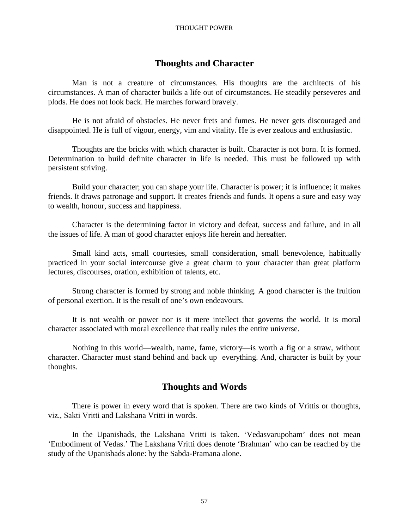## **Thoughts and Character**

Man is not a creature of circumstances. His thoughts are the architects of his circumstances. A man of character builds a life out of circumstances. He steadily perseveres and plods. He does not look back. He marches forward bravely.

He is not afraid of obstacles. He never frets and fumes. He never gets discouraged and disappointed. He is full of vigour, energy, vim and vitality. He is ever zealous and enthusiastic.

Thoughts are the bricks with which character is built. Character is not born. It is formed. Determination to build definite character in life is needed. This must be followed up with persistent striving.

Build your character; you can shape your life. Character is power; it is influence; it makes friends. It draws patronage and support. It creates friends and funds. It opens a sure and easy way to wealth, honour, success and happiness.

Character is the determining factor in victory and defeat, success and failure, and in all the issues of life. A man of good character enjoys life herein and hereafter.

Small kind acts, small courtesies, small consideration, small benevolence, habitually practiced in your social intercourse give a great charm to your character than great platform lectures, discourses, oration, exhibition of talents, etc.

Strong character is formed by strong and noble thinking. A good character is the fruition of personal exertion. It is the result of one's own endeavours.

It is not wealth or power nor is it mere intellect that governs the world. It is moral character associated with moral excellence that really rules the entire universe.

Nothing in this world—wealth, name, fame, victory—is worth a fig or a straw, without character. Character must stand behind and back up everything. And, character is built by your thoughts.

### **Thoughts and Words**

There is power in every word that is spoken. There are two kinds of Vrittis or thoughts, viz., Sakti Vritti and Lakshana Vritti in words.

In the Upanishads, the Lakshana Vritti is taken. 'Vedasvarupoham' does not mean 'Embodiment of Vedas.' The Lakshana Vritti does denote 'Brahman' who can be reached by the study of the Upanishads alone: by the Sabda-Pramana alone.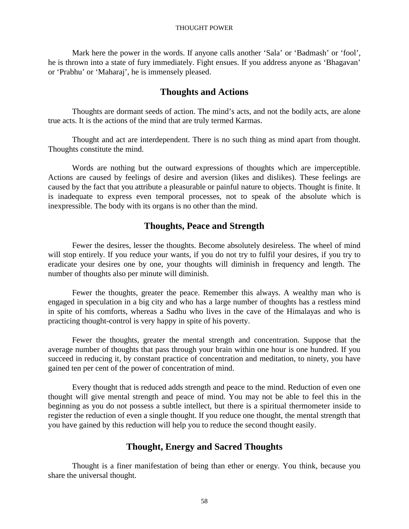Mark here the power in the words. If anyone calls another 'Sala' or 'Badmash' or 'fool', he is thrown into a state of fury immediately. Fight ensues. If you address anyone as 'Bhagavan' or 'Prabhu' or 'Maharaj', he is immensely pleased.

#### **Thoughts and Actions**

Thoughts are dormant seeds of action. The mind's acts, and not the bodily acts, are alone true acts. It is the actions of the mind that are truly termed Karmas.

Thought and act are interdependent. There is no such thing as mind apart from thought. Thoughts constitute the mind.

Words are nothing but the outward expressions of thoughts which are imperceptible. Actions are caused by feelings of desire and aversion (likes and dislikes). These feelings are caused by the fact that you attribute a pleasurable or painful nature to objects. Thought is finite. It is inadequate to express even temporal processes, not to speak of the absolute which is inexpressible. The body with its organs is no other than the mind.

#### **Thoughts, Peace and Strength**

Fewer the desires, lesser the thoughts. Become absolutely desireless. The wheel of mind will stop entirely. If you reduce your wants, if you do not try to fulfil your desires, if you try to eradicate your desires one by one, your thoughts will diminish in frequency and length. The number of thoughts also per minute will diminish.

Fewer the thoughts, greater the peace. Remember this always. A wealthy man who is engaged in speculation in a big city and who has a large number of thoughts has a restless mind in spite of his comforts, whereas a Sadhu who lives in the cave of the Himalayas and who is practicing thought-control is very happy in spite of his poverty.

Fewer the thoughts, greater the mental strength and concentration. Suppose that the average number of thoughts that pass through your brain within one hour is one hundred. If you succeed in reducing it, by constant practice of concentration and meditation, to ninety, you have gained ten per cent of the power of concentration of mind.

Every thought that is reduced adds strength and peace to the mind. Reduction of even one thought will give mental strength and peace of mind. You may not be able to feel this in the beginning as you do not possess a subtle intellect, but there is a spiritual thermometer inside to register the reduction of even a single thought. If you reduce one thought, the mental strength that you have gained by this reduction will help you to reduce the second thought easily.

#### **Thought, Energy and Sacred Thoughts**

Thought is a finer manifestation of being than ether or energy. You think, because you share the universal thought.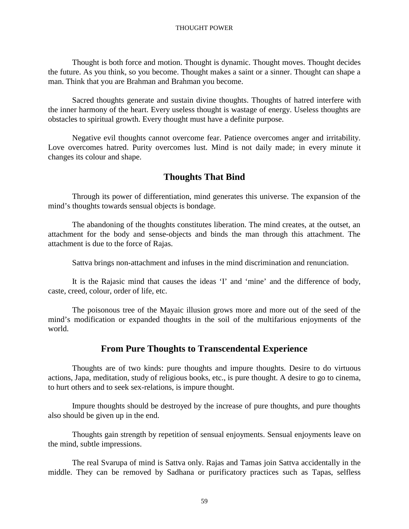Thought is both force and motion. Thought is dynamic. Thought moves. Thought decides the future. As you think, so you become. Thought makes a saint or a sinner. Thought can shape a man. Think that you are Brahman and Brahman you become.

Sacred thoughts generate and sustain divine thoughts. Thoughts of hatred interfere with the inner harmony of the heart. Every useless thought is wastage of energy. Useless thoughts are obstacles to spiritual growth. Every thought must have a definite purpose.

Negative evil thoughts cannot overcome fear. Patience overcomes anger and irritability. Love overcomes hatred. Purity overcomes lust. Mind is not daily made; in every minute it changes its colour and shape.

### **Thoughts That Bind**

Through its power of differentiation, mind generates this universe. The expansion of the mind's thoughts towards sensual objects is bondage.

The abandoning of the thoughts constitutes liberation. The mind creates, at the outset, an attachment for the body and sense-objects and binds the man through this attachment. The attachment is due to the force of Rajas.

Sattva brings non-attachment and infuses in the mind discrimination and renunciation.

It is the Rajasic mind that causes the ideas 'I' and 'mine' and the difference of body, caste, creed, colour, order of life, etc.

The poisonous tree of the Mayaic illusion grows more and more out of the seed of the mind's modification or expanded thoughts in the soil of the multifarious enjoyments of the world.

### **From Pure Thoughts to Transcendental Experience**

Thoughts are of two kinds: pure thoughts and impure thoughts. Desire to do virtuous actions, Japa, meditation, study of religious books, etc., is pure thought. A desire to go to cinema, to hurt others and to seek sex-relations, is impure thought.

Impure thoughts should be destroyed by the increase of pure thoughts, and pure thoughts also should be given up in the end.

Thoughts gain strength by repetition of sensual enjoyments. Sensual enjoyments leave on the mind, subtle impressions.

The real Svarupa of mind is Sattva only. Rajas and Tamas join Sattva accidentally in the middle. They can be removed by Sadhana or purificatory practices such as Tapas, selfless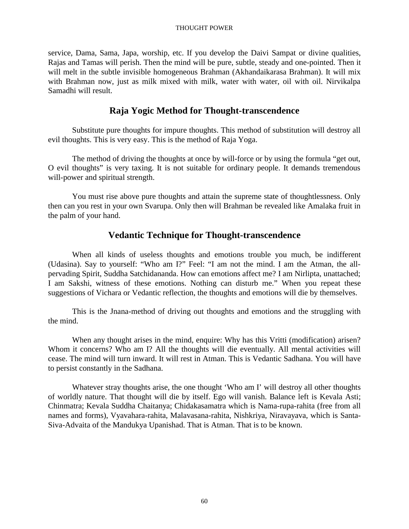service, Dama, Sama, Japa, worship, etc. If you develop the Daivi Sampat or divine qualities, Rajas and Tamas will perish. Then the mind will be pure, subtle, steady and one-pointed. Then it will melt in the subtle invisible homogeneous Brahman (Akhandaikarasa Brahman). It will mix with Brahman now, just as milk mixed with milk, water with water, oil with oil. Nirvikalpa Samadhi will result.

### **Raja Yogic Method for Thought-transcendence**

Substitute pure thoughts for impure thoughts. This method of substitution will destroy all evil thoughts. This is very easy. This is the method of Raja Yoga.

The method of driving the thoughts at once by will-force or by using the formula "get out, O evil thoughts" is very taxing. It is not suitable for ordinary people. It demands tremendous will-power and spiritual strength.

You must rise above pure thoughts and attain the supreme state of thoughtlessness. Only then can you rest in your own Svarupa. Only then will Brahman be revealed like Amalaka fruit in the palm of your hand.

## **Vedantic Technique for Thought-transcendence**

When all kinds of useless thoughts and emotions trouble you much, be indifferent (Udasina). Say to yourself: "Who am I?" Feel: "I am not the mind. I am the Atman, the allpervading Spirit, Suddha Satchidananda. How can emotions affect me? I am Nirlipta, unattached; I am Sakshi, witness of these emotions. Nothing can disturb me." When you repeat these suggestions of Vichara or Vedantic reflection, the thoughts and emotions will die by themselves.

This is the Jnana-method of driving out thoughts and emotions and the struggling with the mind.

When any thought arises in the mind, enquire: Why has this Vritti (modification) arisen? Whom it concerns? Who am I? All the thoughts will die eventually. All mental activities will cease. The mind will turn inward. It will rest in Atman. This is Vedantic Sadhana. You will have to persist constantly in the Sadhana.

Whatever stray thoughts arise, the one thought 'Who am I' will destroy all other thoughts of worldly nature. That thought will die by itself. Ego will vanish. Balance left is Kevala Asti; Chinmatra; Kevala Suddha Chaitanya; Chidakasamatra which is Nama-rupa-rahita (free from all names and forms), Vyavahara-rahita, Malavasana-rahita, Nishkriya, Niravayava, which is Santa-Siva-Advaita of the Mandukya Upanishad. That is Atman. That is to be known.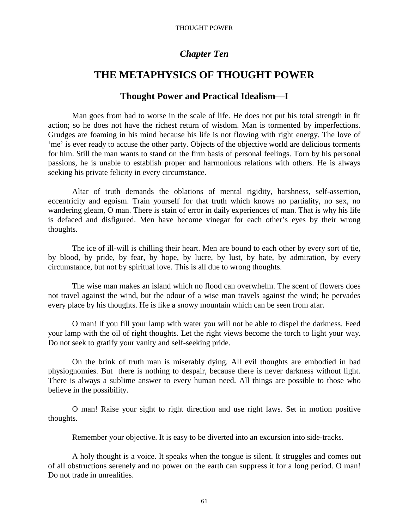## *Chapter Ten*

# **THE METAPHYSICS OF THOUGHT POWER**

## **Thought Power and Practical Idealism—I**

Man goes from bad to worse in the scale of life. He does not put his total strength in fit action; so he does not have the richest return of wisdom. Man is tormented by imperfections. Grudges are foaming in his mind because his life is not flowing with right energy. The love of 'me' is ever ready to accuse the other party. Objects of the objective world are delicious torments for him. Still the man wants to stand on the firm basis of personal feelings. Torn by his personal passions, he is unable to establish proper and harmonious relations with others. He is always seeking his private felicity in every circumstance.

Altar of truth demands the oblations of mental rigidity, harshness, self-assertion, eccentricity and egoism. Train yourself for that truth which knows no partiality, no sex, no wandering gleam, O man. There is stain of error in daily experiences of man. That is why his life is defaced and disfigured. Men have become vinegar for each other's eyes by their wrong thoughts.

The ice of ill-will is chilling their heart. Men are bound to each other by every sort of tie, by blood, by pride, by fear, by hope, by lucre, by lust, by hate, by admiration, by every circumstance, but not by spiritual love. This is all due to wrong thoughts.

The wise man makes an island which no flood can overwhelm. The scent of flowers does not travel against the wind, but the odour of a wise man travels against the wind; he pervades every place by his thoughts. He is like a snowy mountain which can be seen from afar.

O man! If you fill your lamp with water you will not be able to dispel the darkness. Feed your lamp with the oil of right thoughts. Let the right views become the torch to light your way. Do not seek to gratify your vanity and self-seeking pride.

On the brink of truth man is miserably dying. All evil thoughts are embodied in bad physiognomies. But there is nothing to despair, because there is never darkness without light. There is always a sublime answer to every human need. All things are possible to those who believe in the possibility.

O man! Raise your sight to right direction and use right laws. Set in motion positive thoughts.

Remember your objective. It is easy to be diverted into an excursion into side-tracks.

A holy thought is a voice. It speaks when the tongue is silent. It struggles and comes out of all obstructions serenely and no power on the earth can suppress it for a long period. O man! Do not trade in unrealities.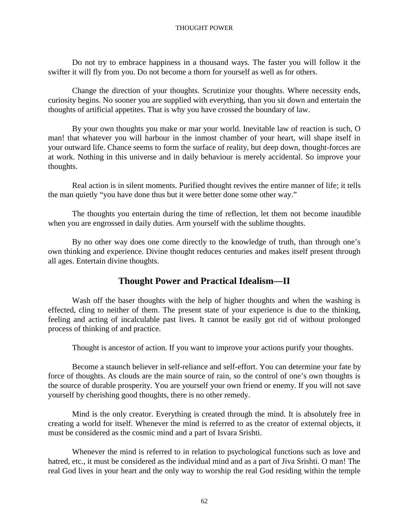Do not try to embrace happiness in a thousand ways. The faster you will follow it the swifter it will fly from you. Do not become a thorn for yourself as well as for others.

Change the direction of your thoughts. Scrutinize your thoughts. Where necessity ends, curiosity begins. No sooner you are supplied with everything, than you sit down and entertain the thoughts of artificial appetites. That is why you have crossed the boundary of law.

By your own thoughts you make or mar your world. Inevitable law of reaction is such, O man! that whatever you will harbour in the inmost chamber of your heart, will shape itself in your outward life. Chance seems to form the surface of reality, but deep down, thought-forces are at work. Nothing in this universe and in daily behaviour is merely accidental. So improve your thoughts.

Real action is in silent moments. Purified thought revives the entire manner of life; it tells the man quietly "you have done thus but it were better done some other way."

The thoughts you entertain during the time of reflection, let them not become inaudible when you are engrossed in daily duties. Arm yourself with the sublime thoughts.

By no other way does one come directly to the knowledge of truth, than through one's own thinking and experience. Divine thought reduces centuries and makes itself present through all ages. Entertain divine thoughts.

### **Thought Power and Practical Idealism—II**

Wash off the baser thoughts with the help of higher thoughts and when the washing is effected, cling to neither of them. The present state of your experience is due to the thinking, feeling and acting of incalculable past lives. It cannot be easily got rid of without prolonged process of thinking of and practice.

Thought is ancestor of action. If you want to improve your actions purify your thoughts.

Become a staunch believer in self-reliance and self-effort. You can determine your fate by force of thoughts. As clouds are the main source of rain, so the control of one's own thoughts is the source of durable prosperity. You are yourself your own friend or enemy. If you will not save yourself by cherishing good thoughts, there is no other remedy.

Mind is the only creator. Everything is created through the mind. It is absolutely free in creating a world for itself. Whenever the mind is referred to as the creator of external objects, it must be considered as the cosmic mind and a part of Isvara Srishti.

Whenever the mind is referred to in relation to psychological functions such as love and hatred, etc., it must be considered as the individual mind and as a part of Jiva Srishti. O man! The real God lives in your heart and the only way to worship the real God residing within the temple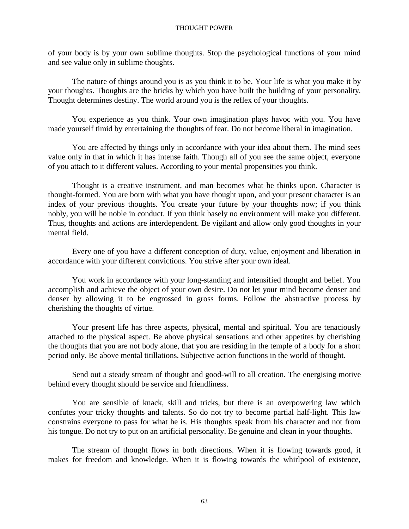of your body is by your own sublime thoughts. Stop the psychological functions of your mind and see value only in sublime thoughts.

The nature of things around you is as you think it to be. Your life is what you make it by your thoughts. Thoughts are the bricks by which you have built the building of your personality. Thought determines destiny. The world around you is the reflex of your thoughts.

You experience as you think. Your own imagination plays havoc with you. You have made yourself timid by entertaining the thoughts of fear. Do not become liberal in imagination.

You are affected by things only in accordance with your idea about them. The mind sees value only in that in which it has intense faith. Though all of you see the same object, everyone of you attach to it different values. According to your mental propensities you think.

Thought is a creative instrument, and man becomes what he thinks upon. Character is thought-formed. You are born with what you have thought upon, and your present character is an index of your previous thoughts. You create your future by your thoughts now; if you think nobly, you will be noble in conduct. If you think basely no environment will make you different. Thus, thoughts and actions are interdependent. Be vigilant and allow only good thoughts in your mental field.

Every one of you have a different conception of duty, value, enjoyment and liberation in accordance with your different convictions. You strive after your own ideal.

You work in accordance with your long-standing and intensified thought and belief. You accomplish and achieve the object of your own desire. Do not let your mind become denser and denser by allowing it to be engrossed in gross forms. Follow the abstractive process by cherishing the thoughts of virtue.

Your present life has three aspects, physical, mental and spiritual. You are tenaciously attached to the physical aspect. Be above physical sensations and other appetites by cherishing the thoughts that you are not body alone, that you are residing in the temple of a body for a short period only. Be above mental titillations. Subjective action functions in the world of thought.

Send out a steady stream of thought and good-will to all creation. The energising motive behind every thought should be service and friendliness.

You are sensible of knack, skill and tricks, but there is an overpowering law which confutes your tricky thoughts and talents. So do not try to become partial half-light. This law constrains everyone to pass for what he is. His thoughts speak from his character and not from his tongue. Do not try to put on an artificial personality. Be genuine and clean in your thoughts.

The stream of thought flows in both directions. When it is flowing towards good, it makes for freedom and knowledge. When it is flowing towards the whirlpool of existence,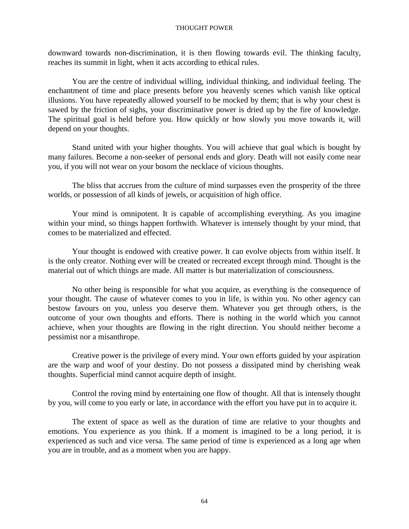downward towards non-discrimination, it is then flowing towards evil. The thinking faculty, reaches its summit in light, when it acts according to ethical rules.

You are the centre of individual willing, individual thinking, and individual feeling. The enchantment of time and place presents before you heavenly scenes which vanish like optical illusions. You have repeatedly allowed yourself to be mocked by them; that is why your chest is sawed by the friction of sighs, your discriminative power is dried up by the fire of knowledge. The spiritual goal is held before you. How quickly or how slowly you move towards it, will depend on your thoughts.

Stand united with your higher thoughts. You will achieve that goal which is bought by many failures. Become a non-seeker of personal ends and glory. Death will not easily come near you, if you will not wear on your bosom the necklace of vicious thoughts.

The bliss that accrues from the culture of mind surpasses even the prosperity of the three worlds, or possession of all kinds of jewels, or acquisition of high office.

Your mind is omnipotent. It is capable of accomplishing everything. As you imagine within your mind, so things happen forthwith. Whatever is intensely thought by your mind, that comes to be materialized and effected.

Your thought is endowed with creative power. It can evolve objects from within itself. It is the only creator. Nothing ever will be created or recreated except through mind. Thought is the material out of which things are made. All matter is but materialization of consciousness.

No other being is responsible for what you acquire, as everything is the consequence of your thought. The cause of whatever comes to you in life, is within you. No other agency can bestow favours on you, unless you deserve them. Whatever you get through others, is the outcome of your own thoughts and efforts. There is nothing in the world which you cannot achieve, when your thoughts are flowing in the right direction. You should neither become a pessimist nor a misanthrope.

Creative power is the privilege of every mind. Your own efforts guided by your aspiration are the warp and woof of your destiny. Do not possess a dissipated mind by cherishing weak thoughts. Superficial mind cannot acquire depth of insight.

Control the roving mind by entertaining one flow of thought. All that is intensely thought by you, will come to you early or late, in accordance with the effort you have put in to acquire it.

The extent of space as well as the duration of time are relative to your thoughts and emotions. You experience as you think. If a moment is imagined to be a long period, it is experienced as such and vice versa. The same period of time is experienced as a long age when you are in trouble, and as a moment when you are happy.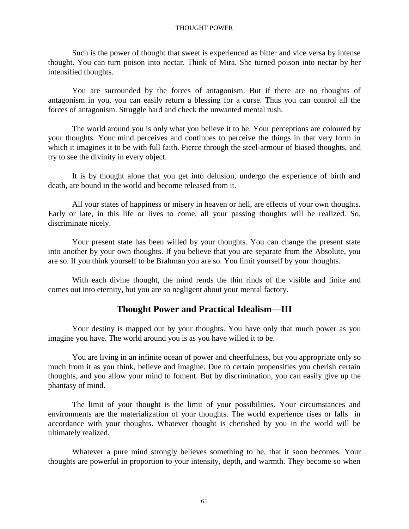Such is the power of thought that sweet is experienced as bitter and vice versa by intense thought. You can turn poison into nectar. Think of Mira. She turned poison into nectar by her intensified thoughts.

You are surrounded by the forces of antagonism. But if there are no thoughts of antagonism in you, you can easily return a blessing for a curse. Thus you can control all the forces of antagonism. Struggle hard and check the unwanted mental rush.

The world around you is only what you believe it to be. Your perceptions are coloured by your thoughts. Your mind perceives and continues to perceive the things in that very form in which it imagines it to be with full faith. Pierce through the steel-armour of biased thoughts, and try to see the divinity in every object.

It is by thought alone that you get into delusion, undergo the experience of birth and death, are bound in the world and become released from it.

All your states of happiness or misery in heaven or hell, are effects of your own thoughts. Early or late, in this life or lives to come, all your passing thoughts will be realized. So, discriminate nicely.

Your present state has been willed by your thoughts. You can change the present state into another by your own thoughts. If you believe that you are separate from the Absolute, you are so. If you think yourself to be Brahman you are so. You limit yourself by your thoughts.

With each divine thought, the mind rends the thin rinds of the visible and finite and comes out into eternity, but you are so negligent about your mental factory.

### **Thought Power and Practical Idealism—III**

Your destiny is mapped out by your thoughts. You have only that much power as you imagine you have. The world around you is as you have willed it to be.

You are living in an infinite ocean of power and cheerfulness, but you appropriate only so much from it as you think, believe and imagine. Due to certain propensities you cherish certain thoughts, and you allow your mind to foment. But by discrimination, you can easily give up the phantasy of mind.

The limit of your thought is the limit of your possibilities. Your circumstances and environments are the materialization of your thoughts. The world experience rises or falls in accordance with your thoughts. Whatever thought is cherished by you in the world will be ultimately realized.

Whatever a pure mind strongly believes something to be, that it soon becomes. Your thoughts are powerful in proportion to your intensity, depth, and warmth. They become so when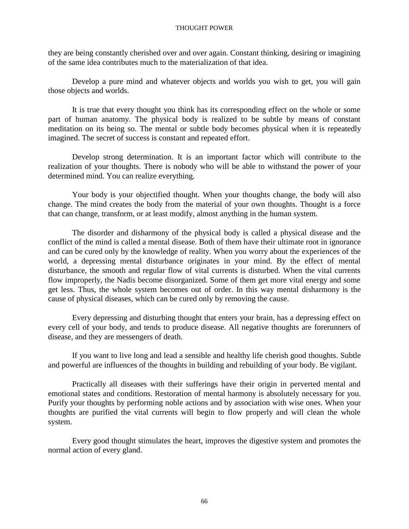they are being constantly cherished over and over again. Constant thinking, desiring or imagining of the same idea contributes much to the materialization of that idea.

Develop a pure mind and whatever objects and worlds you wish to get, you will gain those objects and worlds.

It is true that every thought you think has its corresponding effect on the whole or some part of human anatomy. The physical body is realized to be subtle by means of constant meditation on its being so. The mental or subtle body becomes physical when it is repeatedly imagined. The secret of success is constant and repeated effort.

Develop strong determination. It is an important factor which will contribute to the realization of your thoughts. There is nobody who will be able to withstand the power of your determined mind. You can realize everything.

Your body is your objectified thought. When your thoughts change, the body will also change. The mind creates the body from the material of your own thoughts. Thought is a force that can change, transform, or at least modify, almost anything in the human system.

The disorder and disharmony of the physical body is called a physical disease and the conflict of the mind is called a mental disease. Both of them have their ultimate root in ignorance and can be cured only by the knowledge of reality. When you worry about the experiences of the world, a depressing mental disturbance originates in your mind. By the effect of mental disturbance, the smooth and regular flow of vital currents is disturbed. When the vital currents flow improperly, the Nadis become disorganized. Some of them get more vital energy and some get less. Thus, the whole system becomes out of order. In this way mental disharmony is the cause of physical diseases, which can be cured only by removing the cause.

Every depressing and disturbing thought that enters your brain, has a depressing effect on every cell of your body, and tends to produce disease. All negative thoughts are forerunners of disease, and they are messengers of death.

If you want to live long and lead a sensible and healthy life cherish good thoughts. Subtle and powerful are influences of the thoughts in building and rebuilding of your body. Be vigilant.

Practically all diseases with their sufferings have their origin in perverted mental and emotional states and conditions. Restoration of mental harmony is absolutely necessary for you. Purify your thoughts by performing noble actions and by association with wise ones. When your thoughts are purified the vital currents will begin to flow properly and will clean the whole system.

Every good thought stimulates the heart, improves the digestive system and promotes the normal action of every gland.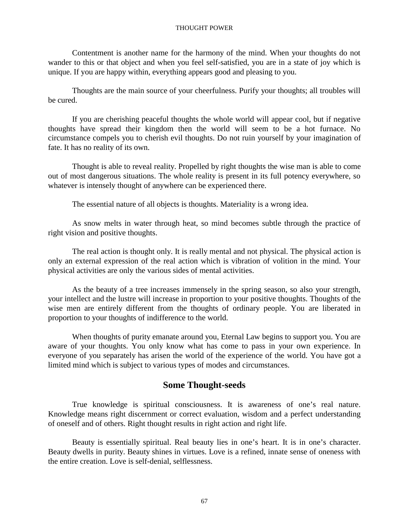Contentment is another name for the harmony of the mind. When your thoughts do not wander to this or that object and when you feel self-satisfied, you are in a state of joy which is unique. If you are happy within, everything appears good and pleasing to you.

Thoughts are the main source of your cheerfulness. Purify your thoughts; all troubles will be cured.

If you are cherishing peaceful thoughts the whole world will appear cool, but if negative thoughts have spread their kingdom then the world will seem to be a hot furnace. No circumstance compels you to cherish evil thoughts. Do not ruin yourself by your imagination of fate. It has no reality of its own.

Thought is able to reveal reality. Propelled by right thoughts the wise man is able to come out of most dangerous situations. The whole reality is present in its full potency everywhere, so whatever is intensely thought of anywhere can be experienced there.

The essential nature of all objects is thoughts. Materiality is a wrong idea.

As snow melts in water through heat, so mind becomes subtle through the practice of right vision and positive thoughts.

The real action is thought only. It is really mental and not physical. The physical action is only an external expression of the real action which is vibration of volition in the mind. Your physical activities are only the various sides of mental activities.

As the beauty of a tree increases immensely in the spring season, so also your strength, your intellect and the lustre will increase in proportion to your positive thoughts. Thoughts of the wise men are entirely different from the thoughts of ordinary people. You are liberated in proportion to your thoughts of indifference to the world.

When thoughts of purity emanate around you, Eternal Law begins to support you. You are aware of your thoughts. You only know what has come to pass in your own experience. In everyone of you separately has arisen the world of the experience of the world. You have got a limited mind which is subject to various types of modes and circumstances.

### **Some Thought-seeds**

True knowledge is spiritual consciousness. It is awareness of one's real nature. Knowledge means right discernment or correct evaluation, wisdom and a perfect understanding of oneself and of others. Right thought results in right action and right life.

Beauty is essentially spiritual. Real beauty lies in one's heart. It is in one's character. Beauty dwells in purity. Beauty shines in virtues. Love is a refined, innate sense of oneness with the entire creation. Love is self-denial, selflessness.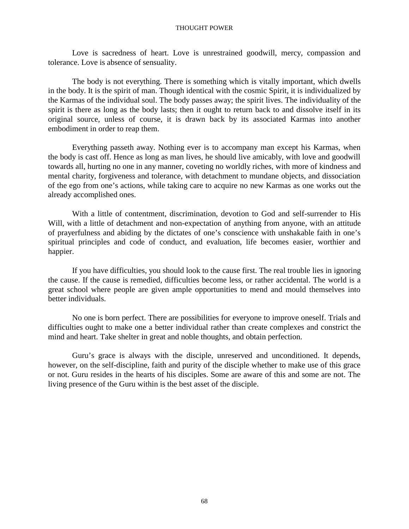Love is sacredness of heart. Love is unrestrained goodwill, mercy, compassion and tolerance. Love is absence of sensuality.

The body is not everything. There is something which is vitally important, which dwells in the body. It is the spirit of man. Though identical with the cosmic Spirit, it is individualized by the Karmas of the individual soul. The body passes away; the spirit lives. The individuality of the spirit is there as long as the body lasts; then it ought to return back to and dissolve itself in its original source, unless of course, it is drawn back by its associated Karmas into another embodiment in order to reap them.

Everything passeth away. Nothing ever is to accompany man except his Karmas, when the body is cast off. Hence as long as man lives, he should live amicably, with love and goodwill towards all, hurting no one in any manner, coveting no worldly riches, with more of kindness and mental charity, forgiveness and tolerance, with detachment to mundane objects, and dissociation of the ego from one's actions, while taking care to acquire no new Karmas as one works out the already accomplished ones.

With a little of contentment, discrimination, devotion to God and self-surrender to His Will, with a little of detachment and non-expectation of anything from anyone, with an attitude of prayerfulness and abiding by the dictates of one's conscience with unshakable faith in one's spiritual principles and code of conduct, and evaluation, life becomes easier, worthier and happier.

If you have difficulties, you should look to the cause first. The real trouble lies in ignoring the cause. If the cause is remedied, difficulties become less, or rather accidental. The world is a great school where people are given ample opportunities to mend and mould themselves into better individuals.

No one is born perfect. There are possibilities for everyone to improve oneself. Trials and difficulties ought to make one a better individual rather than create complexes and constrict the mind and heart. Take shelter in great and noble thoughts, and obtain perfection.

Guru's grace is always with the disciple, unreserved and unconditioned. It depends, however, on the self-discipline, faith and purity of the disciple whether to make use of this grace or not. Guru resides in the hearts of his disciples. Some are aware of this and some are not. The living presence of the Guru within is the best asset of the disciple.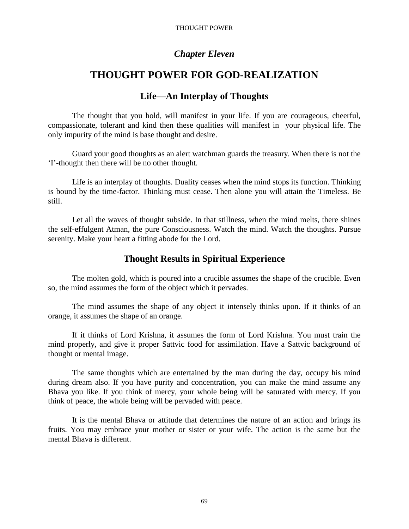# *Chapter Eleven*

# **THOUGHT POWER FOR GOD-REALIZATION**

# **Life—An Interplay of Thoughts**

The thought that you hold, will manifest in your life. If you are courageous, cheerful, compassionate, tolerant and kind then these qualities will manifest in your physical life. The only impurity of the mind is base thought and desire.

Guard your good thoughts as an alert watchman guards the treasury. When there is not the 'I'-thought then there will be no other thought.

Life is an interplay of thoughts. Duality ceases when the mind stops its function. Thinking is bound by the time-factor. Thinking must cease. Then alone you will attain the Timeless. Be still.

Let all the waves of thought subside. In that stillness, when the mind melts, there shines the self-effulgent Atman, the pure Consciousness. Watch the mind. Watch the thoughts. Pursue serenity. Make your heart a fitting abode for the Lord.

### **Thought Results in Spiritual Experience**

The molten gold, which is poured into a crucible assumes the shape of the crucible. Even so, the mind assumes the form of the object which it pervades.

The mind assumes the shape of any object it intensely thinks upon. If it thinks of an orange, it assumes the shape of an orange.

If it thinks of Lord Krishna, it assumes the form of Lord Krishna. You must train the mind properly, and give it proper Sattvic food for assimilation. Have a Sattvic background of thought or mental image.

The same thoughts which are entertained by the man during the day, occupy his mind during dream also. If you have purity and concentration, you can make the mind assume any Bhava you like. If you think of mercy, your whole being will be saturated with mercy. If you think of peace, the whole being will be pervaded with peace.

It is the mental Bhava or attitude that determines the nature of an action and brings its fruits. You may embrace your mother or sister or your wife. The action is the same but the mental Bhava is different.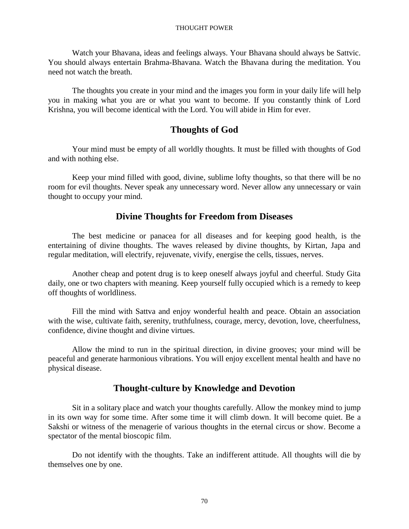Watch your Bhavana, ideas and feelings always. Your Bhavana should always be Sattvic. You should always entertain Brahma-Bhavana. Watch the Bhavana during the meditation. You need not watch the breath.

The thoughts you create in your mind and the images you form in your daily life will help you in making what you are or what you want to become. If you constantly think of Lord Krishna, you will become identical with the Lord. You will abide in Him for ever.

# **Thoughts of God**

Your mind must be empty of all worldly thoughts. It must be filled with thoughts of God and with nothing else.

Keep your mind filled with good, divine, sublime lofty thoughts, so that there will be no room for evil thoughts. Never speak any unnecessary word. Never allow any unnecessary or vain thought to occupy your mind.

### **Divine Thoughts for Freedom from Diseases**

The best medicine or panacea for all diseases and for keeping good health, is the entertaining of divine thoughts. The waves released by divine thoughts, by Kirtan, Japa and regular meditation, will electrify, rejuvenate, vivify, energise the cells, tissues, nerves.

Another cheap and potent drug is to keep oneself always joyful and cheerful. Study Gita daily, one or two chapters with meaning. Keep yourself fully occupied which is a remedy to keep off thoughts of worldliness.

Fill the mind with Sattva and enjoy wonderful health and peace. Obtain an association with the wise, cultivate faith, serenity, truthfulness, courage, mercy, devotion, love, cheerfulness, confidence, divine thought and divine virtues.

Allow the mind to run in the spiritual direction, in divine grooves; your mind will be peaceful and generate harmonious vibrations. You will enjoy excellent mental health and have no physical disease.

### **Thought-culture by Knowledge and Devotion**

Sit in a solitary place and watch your thoughts carefully. Allow the monkey mind to jump in its own way for some time. After some time it will climb down. It will become quiet. Be a Sakshi or witness of the menagerie of various thoughts in the eternal circus or show. Become a spectator of the mental bioscopic film.

Do not identify with the thoughts. Take an indifferent attitude. All thoughts will die by themselves one by one.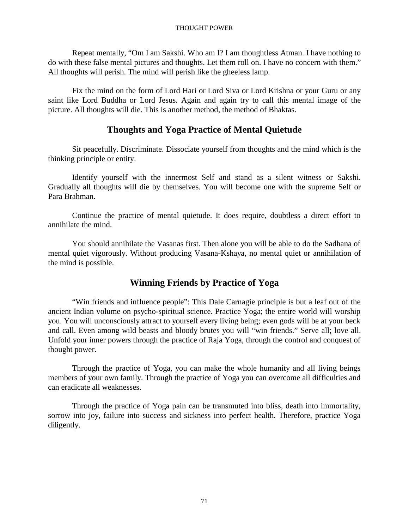Repeat mentally, "Om I am Sakshi. Who am I? I am thoughtless Atman. I have nothing to do with these false mental pictures and thoughts. Let them roll on. I have no concern with them." All thoughts will perish. The mind will perish like the gheeless lamp.

Fix the mind on the form of Lord Hari or Lord Siva or Lord Krishna or your Guru or any saint like Lord Buddha or Lord Jesus. Again and again try to call this mental image of the picture. All thoughts will die. This is another method, the method of Bhaktas.

### **Thoughts and Yoga Practice of Mental Quietude**

Sit peacefully. Discriminate. Dissociate yourself from thoughts and the mind which is the thinking principle or entity.

Identify yourself with the innermost Self and stand as a silent witness or Sakshi. Gradually all thoughts will die by themselves. You will become one with the supreme Self or Para Brahman.

Continue the practice of mental quietude. It does require, doubtless a direct effort to annihilate the mind.

You should annihilate the Vasanas first. Then alone you will be able to do the Sadhana of mental quiet vigorously. Without producing Vasana-Kshaya, no mental quiet or annihilation of the mind is possible.

# **Winning Friends by Practice of Yoga**

"Win friends and influence people": This Dale Carnagie principle is but a leaf out of the ancient Indian volume on psycho-spiritual science. Practice Yoga; the entire world will worship you. You will unconsciously attract to yourself every living being; even gods will be at your beck and call. Even among wild beasts and bloody brutes you will "win friends." Serve all; love all. Unfold your inner powers through the practice of Raja Yoga, through the control and conquest of thought power.

Through the practice of Yoga, you can make the whole humanity and all living beings members of your own family. Through the practice of Yoga you can overcome all difficulties and can eradicate all weaknesses.

Through the practice of Yoga pain can be transmuted into bliss, death into immortality, sorrow into joy, failure into success and sickness into perfect health. Therefore, practice Yoga diligently.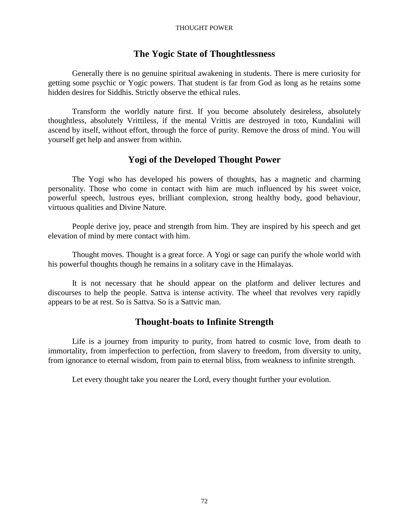### **The Yogic State of Thoughtlessness**

Generally there is no genuine spiritual awakening in students. There is mere curiosity for getting some psychic or Yogic powers. That student is far from God as long as he retains some hidden desires for Siddhis. Strictly observe the ethical rules.

Transform the worldly nature first. If you become absolutely desireless, absolutely thoughtless, absolutely Vrittiless, if the mental Vrittis are destroyed in toto, Kundalini will ascend by itself, without effort, through the force of purity. Remove the dross of mind. You will yourself get help and answer from within.

### **Yogi of the Developed Thought Power**

The Yogi who has developed his powers of thoughts, has a magnetic and charming personality. Those who come in contact with him are much influenced by his sweet voice, powerful speech, lustrous eyes, brilliant complexion, strong healthy body, good behaviour, virtuous qualities and Divine Nature.

People derive joy, peace and strength from him. They are inspired by his speech and get elevation of mind by mere contact with him.

Thought moves. Thought is a great force. A Yogi or sage can purify the whole world with his powerful thoughts though he remains in a solitary cave in the Himalayas.

It is not necessary that he should appear on the platform and deliver lectures and discourses to help the people. Sattva is intense activity. The wheel that revolves very rapidly appears to be at rest. So is Sattva. So is a Sattvic man.

### **Thought-boats to Infinite Strength**

Life is a journey from impurity to purity, from hatred to cosmic love, from death to immortality, from imperfection to perfection, from slavery to freedom, from diversity to unity, from ignorance to eternal wisdom, from pain to eternal bliss, from weakness to infinite strength.

Let every thought take you nearer the Lord, every thought further your evolution.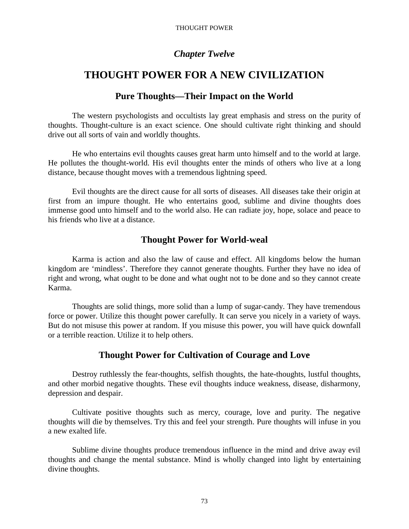# *Chapter Twelve*

# **THOUGHT POWER FOR A NEW CIVILIZATION**

### **Pure Thoughts—Their Impact on the World**

The western psychologists and occultists lay great emphasis and stress on the purity of thoughts. Thought-culture is an exact science. One should cultivate right thinking and should drive out all sorts of vain and worldly thoughts.

He who entertains evil thoughts causes great harm unto himself and to the world at large. He pollutes the thought-world. His evil thoughts enter the minds of others who live at a long distance, because thought moves with a tremendous lightning speed.

Evil thoughts are the direct cause for all sorts of diseases. All diseases take their origin at first from an impure thought. He who entertains good, sublime and divine thoughts does immense good unto himself and to the world also. He can radiate joy, hope, solace and peace to his friends who live at a distance.

# **Thought Power for World-weal**

Karma is action and also the law of cause and effect. All kingdoms below the human kingdom are 'mindless'. Therefore they cannot generate thoughts. Further they have no idea of right and wrong, what ought to be done and what ought not to be done and so they cannot create Karma.

Thoughts are solid things, more solid than a lump of sugar-candy. They have tremendous force or power. Utilize this thought power carefully. It can serve you nicely in a variety of ways. But do not misuse this power at random. If you misuse this power, you will have quick downfall or a terrible reaction. Utilize it to help others.

# **Thought Power for Cultivation of Courage and Love**

Destroy ruthlessly the fear-thoughts, selfish thoughts, the hate-thoughts, lustful thoughts, and other morbid negative thoughts. These evil thoughts induce weakness, disease, disharmony, depression and despair.

Cultivate positive thoughts such as mercy, courage, love and purity. The negative thoughts will die by themselves. Try this and feel your strength. Pure thoughts will infuse in you a new exalted life.

Sublime divine thoughts produce tremendous influence in the mind and drive away evil thoughts and change the mental substance. Mind is wholly changed into light by entertaining divine thoughts.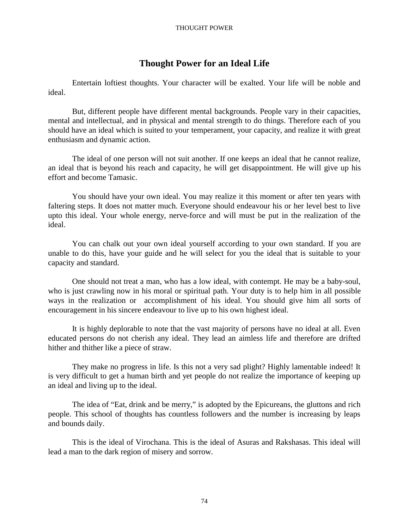# **Thought Power for an Ideal Life**

Entertain loftiest thoughts. Your character will be exalted. Your life will be noble and ideal.

But, different people have different mental backgrounds. People vary in their capacities, mental and intellectual, and in physical and mental strength to do things. Therefore each of you should have an ideal which is suited to your temperament, your capacity, and realize it with great enthusiasm and dynamic action.

The ideal of one person will not suit another. If one keeps an ideal that he cannot realize, an ideal that is beyond his reach and capacity, he will get disappointment. He will give up his effort and become Tamasic.

You should have your own ideal. You may realize it this moment or after ten years with faltering steps. It does not matter much. Everyone should endeavour his or her level best to live upto this ideal. Your whole energy, nerve-force and will must be put in the realization of the ideal.

You can chalk out your own ideal yourself according to your own standard. If you are unable to do this, have your guide and he will select for you the ideal that is suitable to your capacity and standard.

One should not treat a man, who has a low ideal, with contempt. He may be a baby-soul, who is just crawling now in his moral or spiritual path. Your duty is to help him in all possible ways in the realization or accomplishment of his ideal. You should give him all sorts of encouragement in his sincere endeavour to live up to his own highest ideal.

It is highly deplorable to note that the vast majority of persons have no ideal at all. Even educated persons do not cherish any ideal. They lead an aimless life and therefore are drifted hither and thither like a piece of straw.

They make no progress in life. Is this not a very sad plight? Highly lamentable indeed! It is very difficult to get a human birth and yet people do not realize the importance of keeping up an ideal and living up to the ideal.

The idea of "Eat, drink and be merry," is adopted by the Epicureans, the gluttons and rich people. This school of thoughts has countless followers and the number is increasing by leaps and bounds daily.

This is the ideal of Virochana. This is the ideal of Asuras and Rakshasas. This ideal will lead a man to the dark region of misery and sorrow.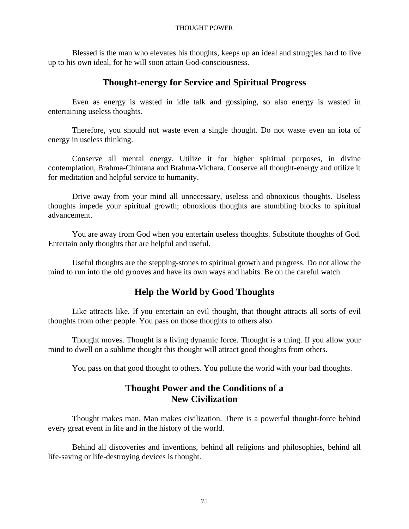Blessed is the man who elevates his thoughts, keeps up an ideal and struggles hard to live up to his own ideal, for he will soon attain God-consciousness.

### **Thought-energy for Service and Spiritual Progress**

Even as energy is wasted in idle talk and gossiping, so also energy is wasted in entertaining useless thoughts.

Therefore, you should not waste even a single thought. Do not waste even an iota of energy in useless thinking.

Conserve all mental energy. Utilize it for higher spiritual purposes, in divine contemplation, Brahma-Chintana and Brahma-Vichara. Conserve all thought-energy and utilize it for meditation and helpful service to humanity.

Drive away from your mind all unnecessary, useless and obnoxious thoughts. Useless thoughts impede your spiritual growth; obnoxious thoughts are stumbling blocks to spiritual advancement.

You are away from God when you entertain useless thoughts. Substitute thoughts of God. Entertain only thoughts that are helpful and useful.

Useful thoughts are the stepping-stones to spiritual growth and progress. Do not allow the mind to run into the old grooves and have its own ways and habits. Be on the careful watch.

# **Help the World by Good Thoughts**

Like attracts like. If you entertain an evil thought, that thought attracts all sorts of evil thoughts from other people. You pass on those thoughts to others also.

Thought moves. Thought is a living dynamic force. Thought is a thing. If you allow your mind to dwell on a sublime thought this thought will attract good thoughts from others.

You pass on that good thought to others. You pollute the world with your bad thoughts.

# **Thought Power and the Conditions of a New Civilization**

Thought makes man. Man makes civilization. There is a powerful thought-force behind every great event in life and in the history of the world.

Behind all discoveries and inventions, behind all religions and philosophies, behind all life-saving or life-destroying devices is thought.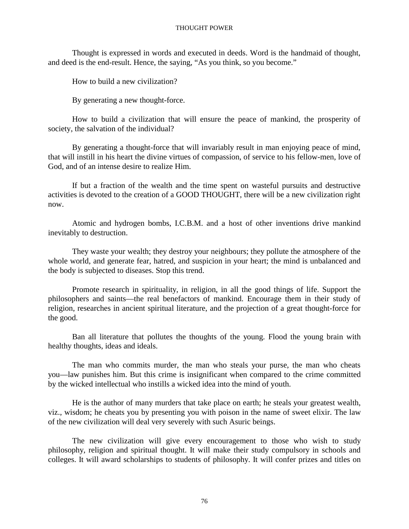Thought is expressed in words and executed in deeds. Word is the handmaid of thought, and deed is the end-result. Hence, the saying, "As you think, so you become."

How to build a new civilization?

By generating a new thought-force.

How to build a civilization that will ensure the peace of mankind, the prosperity of society, the salvation of the individual?

By generating a thought-force that will invariably result in man enjoying peace of mind, that will instill in his heart the divine virtues of compassion, of service to his fellow-men, love of God, and of an intense desire to realize Him.

If but a fraction of the wealth and the time spent on wasteful pursuits and destructive activities is devoted to the creation of a GOOD THOUGHT, there will be a new civilization right now.

Atomic and hydrogen bombs, I.C.B.M. and a host of other inventions drive mankind inevitably to destruction.

They waste your wealth; they destroy your neighbours; they pollute the atmosphere of the whole world, and generate fear, hatred, and suspicion in your heart; the mind is unbalanced and the body is subjected to diseases. Stop this trend.

Promote research in spirituality, in religion, in all the good things of life. Support the philosophers and saints—the real benefactors of mankind. Encourage them in their study of religion, researches in ancient spiritual literature, and the projection of a great thought-force for the good.

Ban all literature that pollutes the thoughts of the young. Flood the young brain with healthy thoughts, ideas and ideals.

The man who commits murder, the man who steals your purse, the man who cheats you—law punishes him. But this crime is insignificant when compared to the crime committed by the wicked intellectual who instills a wicked idea into the mind of youth.

He is the author of many murders that take place on earth; he steals your greatest wealth, viz., wisdom; he cheats you by presenting you with poison in the name of sweet elixir. The law of the new civilization will deal very severely with such Asuric beings.

The new civilization will give every encouragement to those who wish to study philosophy, religion and spiritual thought. It will make their study compulsory in schools and colleges. It will award scholarships to students of philosophy. It will confer prizes and titles on